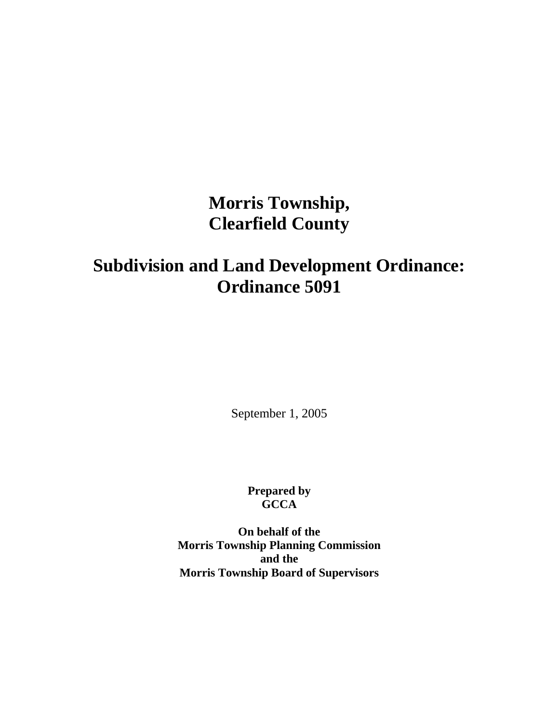# **Morris Township, Clearfield County**

# **Subdivision and Land Development Ordinance: Ordinance 5091**

September 1, 2005

**Prepared by GCCA** 

**On behalf of the Morris Township Planning Commission and the Morris Township Board of Supervisors**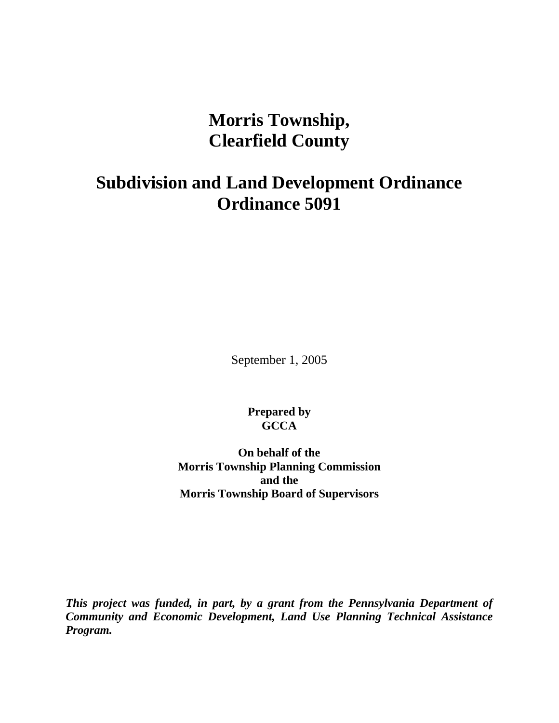**Morris Township, Clearfield County** 

## **Subdivision and Land Development Ordinance Ordinance 5091**

September 1, 2005

**Prepared by GCCA** 

**On behalf of the Morris Township Planning Commission and the Morris Township Board of Supervisors** 

*This project was funded, in part, by a grant from the Pennsylvania Department of Community and Economic Development, Land Use Planning Technical Assistance Program.*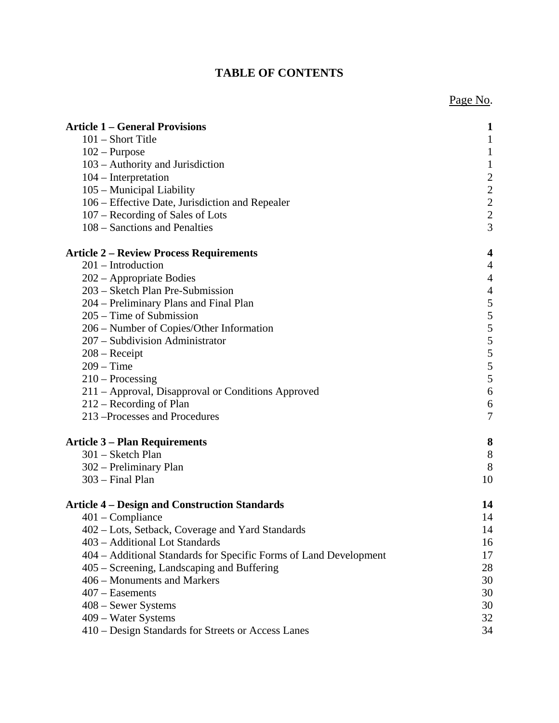## **TABLE OF CONTENTS**

|                                                                   | Page No.                                        |
|-------------------------------------------------------------------|-------------------------------------------------|
| <b>Article 1 – General Provisions</b>                             | 1                                               |
| 101 - Short Title                                                 | $\mathbf{1}$                                    |
| $102$ – Purpose                                                   | $\mathbf{1}$                                    |
| 103 – Authority and Jurisdiction                                  | $\mathbf{1}$                                    |
| $104$ – Interpretation                                            |                                                 |
| 105 – Municipal Liability                                         |                                                 |
| 106 - Effective Date, Jurisdiction and Repealer                   | $\begin{array}{c} 2 \\ 2 \\ 2 \\ 3 \end{array}$ |
| 107 – Recording of Sales of Lots                                  |                                                 |
| 108 – Sanctions and Penalties                                     |                                                 |
| Article 2 – Review Process Requirements                           | 4                                               |
| $201$ – Introduction                                              | 4                                               |
| 202 – Appropriate Bodies                                          | $\overline{4}$                                  |
| 203 – Sketch Plan Pre-Submission                                  | $\overline{4}$                                  |
| 204 – Preliminary Plans and Final Plan                            | $\frac{5}{5}$                                   |
| $205 - Time$ of Submission                                        |                                                 |
| 206 – Number of Copies/Other Information                          | $\frac{5}{5}$<br>$\frac{5}{5}$                  |
| 207 – Subdivision Administrator                                   |                                                 |
| $208 -$ Receipt                                                   |                                                 |
| $209 - Time$                                                      |                                                 |
| $210 -$ Processing                                                | 5                                               |
| 211 - Approval, Disapproval or Conditions Approved                | 6                                               |
| 212 – Recording of Plan                                           | 6                                               |
| 213 - Processes and Procedures                                    | $\tau$                                          |
| <b>Article 3 – Plan Requirements</b>                              | 8                                               |
| 301 - Sketch Plan                                                 | 8                                               |
| 302 – Preliminary Plan                                            | 8                                               |
| 303 - Final Plan                                                  | 10                                              |
| <b>Article 4 - Design and Construction Standards</b>              | 14                                              |
| $401$ – Compliance                                                | 14                                              |
| 402 – Lots, Setback, Coverage and Yard Standards                  | 14                                              |
| 403 - Additional Lot Standards                                    | 16                                              |
| 404 - Additional Standards for Specific Forms of Land Development | 17                                              |
| 405 – Screening, Landscaping and Buffering                        | 28                                              |
| 406 – Monuments and Markers                                       | 30                                              |
| $407 -$ Easements                                                 | 30                                              |
| 408 – Sewer Systems                                               | 30                                              |
| 409 – Water Systems                                               | 32                                              |
| 410 – Design Standards for Streets or Access Lanes                | 34                                              |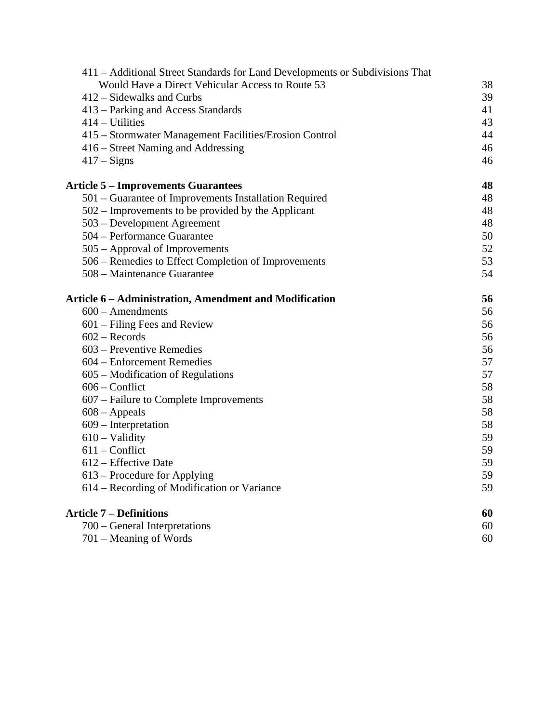| 411 - Additional Street Standards for Land Developments or Subdivisions That |    |
|------------------------------------------------------------------------------|----|
| Would Have a Direct Vehicular Access to Route 53                             | 38 |
| 412 – Sidewalks and Curbs                                                    | 39 |
| 413 – Parking and Access Standards                                           | 41 |
| 414 – Utilities                                                              | 43 |
| 415 – Stormwater Management Facilities/Erosion Control                       | 44 |
| 416 – Street Naming and Addressing                                           | 46 |
| $417 - Signs$                                                                | 46 |
| <b>Article 5 – Improvements Guarantees</b>                                   | 48 |
| 501 – Guarantee of Improvements Installation Required                        | 48 |
| 502 – Improvements to be provided by the Applicant                           | 48 |
| 503 – Development Agreement                                                  | 48 |
| 504 – Performance Guarantee                                                  | 50 |
| 505 – Approval of Improvements                                               | 52 |
| 506 – Remedies to Effect Completion of Improvements                          | 53 |
| 508 – Maintenance Guarantee                                                  | 54 |
| Article 6 - Administration, Amendment and Modification                       | 56 |
| $600 -$ Amendments                                                           | 56 |
| $601 -$ Filing Fees and Review                                               | 56 |
| $602 - Records$                                                              | 56 |
| 603 – Preventive Remedies                                                    | 56 |
| 604 – Enforcement Remedies                                                   | 57 |
| 605 – Modification of Regulations                                            | 57 |
| $606$ – Conflict                                                             | 58 |
| 607 – Failure to Complete Improvements                                       | 58 |
| $608 - Appeals$                                                              | 58 |
| 609 – Interpretation                                                         | 58 |
| $610 - Validity$                                                             | 59 |
| $611$ – Conflict                                                             | 59 |
| 612 – Effective Date                                                         | 59 |
| 613 – Procedure for Applying                                                 | 59 |
| 614 – Recording of Modification or Variance                                  | 59 |
| <b>Article 7 – Definitions</b>                                               | 60 |
| 700 – General Interpretations                                                | 60 |
| 701 – Meaning of Words                                                       | 60 |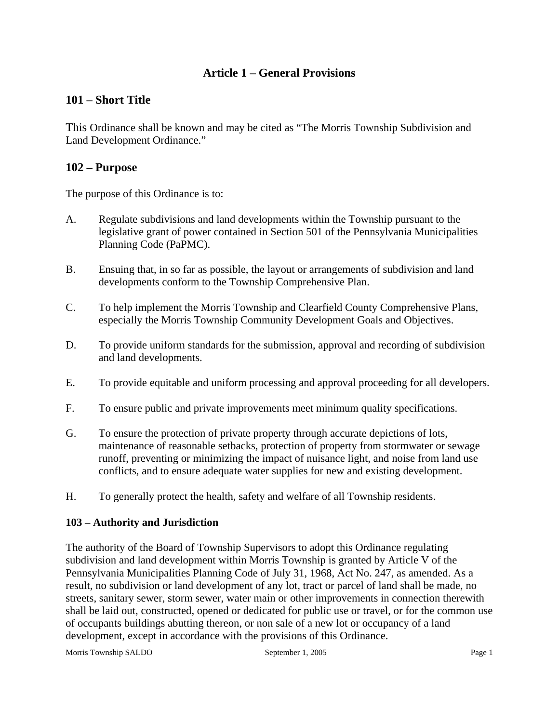## **Article 1 – General Provisions**

## **101 – Short Title**

This Ordinance shall be known and may be cited as "The Morris Township Subdivision and Land Development Ordinance."

## **102 – Purpose**

The purpose of this Ordinance is to:

- A. Regulate subdivisions and land developments within the Township pursuant to the legislative grant of power contained in Section 501 of the Pennsylvania Municipalities Planning Code (PaPMC).
- B. Ensuing that, in so far as possible, the layout or arrangements of subdivision and land developments conform to the Township Comprehensive Plan.
- C. To help implement the Morris Township and Clearfield County Comprehensive Plans, especially the Morris Township Community Development Goals and Objectives.
- D. To provide uniform standards for the submission, approval and recording of subdivision and land developments.
- E. To provide equitable and uniform processing and approval proceeding for all developers.
- F. To ensure public and private improvements meet minimum quality specifications.
- G. To ensure the protection of private property through accurate depictions of lots, maintenance of reasonable setbacks, protection of property from stormwater or sewage runoff, preventing or minimizing the impact of nuisance light, and noise from land use conflicts, and to ensure adequate water supplies for new and existing development.
- H. To generally protect the health, safety and welfare of all Township residents.

#### **103 – Authority and Jurisdiction**

The authority of the Board of Township Supervisors to adopt this Ordinance regulating subdivision and land development within Morris Township is granted by Article V of the Pennsylvania Municipalities Planning Code of July 31, 1968, Act No. 247, as amended. As a result, no subdivision or land development of any lot, tract or parcel of land shall be made, no streets, sanitary sewer, storm sewer, water main or other improvements in connection therewith shall be laid out, constructed, opened or dedicated for public use or travel, or for the common use of occupants buildings abutting thereon, or non sale of a new lot or occupancy of a land development, except in accordance with the provisions of this Ordinance.

Morris Township SALDO September 1, 2005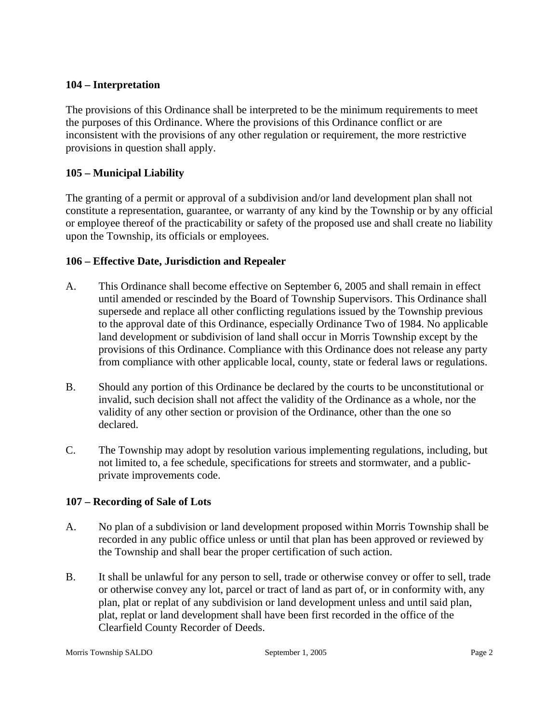#### **104 – Interpretation**

The provisions of this Ordinance shall be interpreted to be the minimum requirements to meet the purposes of this Ordinance. Where the provisions of this Ordinance conflict or are inconsistent with the provisions of any other regulation or requirement, the more restrictive provisions in question shall apply.

## **105 – Municipal Liability**

The granting of a permit or approval of a subdivision and/or land development plan shall not constitute a representation, guarantee, or warranty of any kind by the Township or by any official or employee thereof of the practicability or safety of the proposed use and shall create no liability upon the Township, its officials or employees.

## **106 – Effective Date, Jurisdiction and Repealer**

- A. This Ordinance shall become effective on September 6, 2005 and shall remain in effect until amended or rescinded by the Board of Township Supervisors. This Ordinance shall supersede and replace all other conflicting regulations issued by the Township previous to the approval date of this Ordinance, especially Ordinance Two of 1984. No applicable land development or subdivision of land shall occur in Morris Township except by the provisions of this Ordinance. Compliance with this Ordinance does not release any party from compliance with other applicable local, county, state or federal laws or regulations.
- B. Should any portion of this Ordinance be declared by the courts to be unconstitutional or invalid, such decision shall not affect the validity of the Ordinance as a whole, nor the validity of any other section or provision of the Ordinance, other than the one so declared.
- C. The Township may adopt by resolution various implementing regulations, including, but not limited to, a fee schedule, specifications for streets and stormwater, and a publicprivate improvements code.

## **107 – Recording of Sale of Lots**

- A. No plan of a subdivision or land development proposed within Morris Township shall be recorded in any public office unless or until that plan has been approved or reviewed by the Township and shall bear the proper certification of such action.
- B. It shall be unlawful for any person to sell, trade or otherwise convey or offer to sell, trade or otherwise convey any lot, parcel or tract of land as part of, or in conformity with, any plan, plat or replat of any subdivision or land development unless and until said plan, plat, replat or land development shall have been first recorded in the office of the Clearfield County Recorder of Deeds.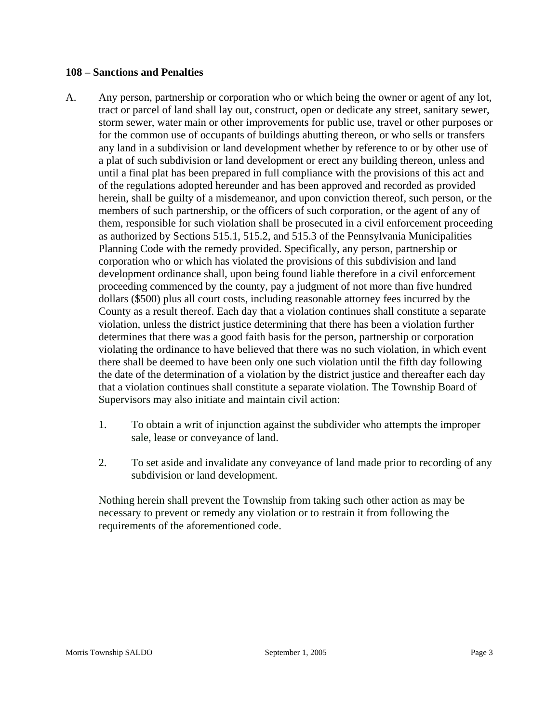#### **108 – Sanctions and Penalties**

- A. Any person, partnership or corporation who or which being the owner or agent of any lot, tract or parcel of land shall lay out, construct, open or dedicate any street, sanitary sewer, storm sewer, water main or other improvements for public use, travel or other purposes or for the common use of occupants of buildings abutting thereon, or who sells or transfers any land in a subdivision or land development whether by reference to or by other use of a plat of such subdivision or land development or erect any building thereon, unless and until a final plat has been prepared in full compliance with the provisions of this act and of the regulations adopted hereunder and has been approved and recorded as provided herein, shall be guilty of a misdemeanor, and upon conviction thereof, such person, or the members of such partnership, or the officers of such corporation, or the agent of any of them, responsible for such violation shall be prosecuted in a civil enforcement proceeding as authorized by Sections 515.1, 515.2, and 515.3 of the Pennsylvania Municipalities Planning Code with the remedy provided. Specifically, any person, partnership or corporation who or which has violated the provisions of this subdivision and land development ordinance shall, upon being found liable therefore in a civil enforcement proceeding commenced by the county, pay a judgment of not more than five hundred dollars (\$500) plus all court costs, including reasonable attorney fees incurred by the County as a result thereof. Each day that a violation continues shall constitute a separate violation, unless the district justice determining that there has been a violation further determines that there was a good faith basis for the person, partnership or corporation violating the ordinance to have believed that there was no such violation, in which event there shall be deemed to have been only one such violation until the fifth day following the date of the determination of a violation by the district justice and thereafter each day that a violation continues shall constitute a separate violation. The Township Board of Supervisors may also initiate and maintain civil action:
	- 1. To obtain a writ of injunction against the subdivider who attempts the improper sale, lease or conveyance of land.
	- 2. To set aside and invalidate any conveyance of land made prior to recording of any subdivision or land development.

Nothing herein shall prevent the Township from taking such other action as may be necessary to prevent or remedy any violation or to restrain it from following the requirements of the aforementioned code.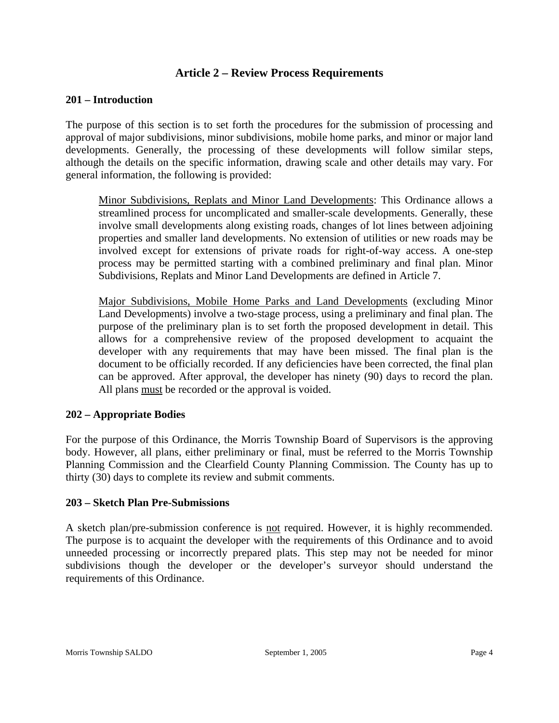## **Article 2 – Review Process Requirements**

## **201 – Introduction**

The purpose of this section is to set forth the procedures for the submission of processing and approval of major subdivisions, minor subdivisions, mobile home parks, and minor or major land developments. Generally, the processing of these developments will follow similar steps, although the details on the specific information, drawing scale and other details may vary. For general information, the following is provided:

Minor Subdivisions, Replats and Minor Land Developments: This Ordinance allows a streamlined process for uncomplicated and smaller-scale developments. Generally, these involve small developments along existing roads, changes of lot lines between adjoining properties and smaller land developments. No extension of utilities or new roads may be involved except for extensions of private roads for right-of-way access. A one-step process may be permitted starting with a combined preliminary and final plan. Minor Subdivisions, Replats and Minor Land Developments are defined in Article 7.

Major Subdivisions, Mobile Home Parks and Land Developments (excluding Minor Land Developments) involve a two-stage process, using a preliminary and final plan. The purpose of the preliminary plan is to set forth the proposed development in detail. This allows for a comprehensive review of the proposed development to acquaint the developer with any requirements that may have been missed. The final plan is the document to be officially recorded. If any deficiencies have been corrected, the final plan can be approved. After approval, the developer has ninety (90) days to record the plan. All plans must be recorded or the approval is voided.

#### **202 – Appropriate Bodies**

For the purpose of this Ordinance, the Morris Township Board of Supervisors is the approving body. However, all plans, either preliminary or final, must be referred to the Morris Township Planning Commission and the Clearfield County Planning Commission. The County has up to thirty (30) days to complete its review and submit comments.

#### **203 – Sketch Plan Pre-Submissions**

A sketch plan/pre-submission conference is not required. However, it is highly recommended. The purpose is to acquaint the developer with the requirements of this Ordinance and to avoid unneeded processing or incorrectly prepared plats. This step may not be needed for minor subdivisions though the developer or the developer's surveyor should understand the requirements of this Ordinance.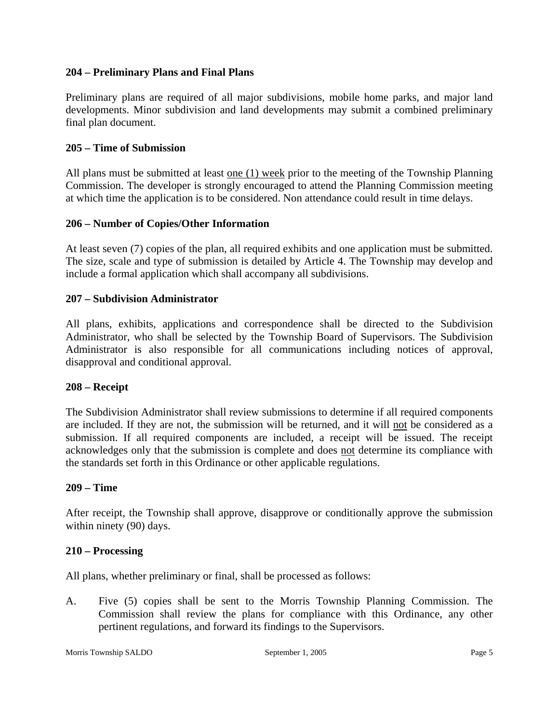## **204 – Preliminary Plans and Final Plans**

Preliminary plans are required of all major subdivisions, mobile home parks, and major land developments. Minor subdivision and land developments may submit a combined preliminary final plan document.

## **205 – Time of Submission**

All plans must be submitted at least <u>one (1) week</u> prior to the meeting of the Township Planning Commission. The developer is strongly encouraged to attend the Planning Commission meeting at which time the application is to be considered. Non attendance could result in time delays.

## **206 – Number of Copies/Other Information**

At least seven (7) copies of the plan, all required exhibits and one application must be submitted. The size, scale and type of submission is detailed by Article 4. The Township may develop and include a formal application which shall accompany all subdivisions.

## **207 – Subdivision Administrator**

All plans, exhibits, applications and correspondence shall be directed to the Subdivision Administrator, who shall be selected by the Township Board of Supervisors. The Subdivision Administrator is also responsible for all communications including notices of approval, disapproval and conditional approval.

#### **208 – Receipt**

The Subdivision Administrator shall review submissions to determine if all required components are included. If they are not, the submission will be returned, and it will not be considered as a submission. If all required components are included, a receipt will be issued. The receipt acknowledges only that the submission is complete and does not determine its compliance with the standards set forth in this Ordinance or other applicable regulations.

#### **209 – Time**

After receipt, the Township shall approve, disapprove or conditionally approve the submission within ninety (90) days.

#### **210 – Processing**

All plans, whether preliminary or final, shall be processed as follows:

A. Five (5) copies shall be sent to the Morris Township Planning Commission. The Commission shall review the plans for compliance with this Ordinance, any other pertinent regulations, and forward its findings to the Supervisors.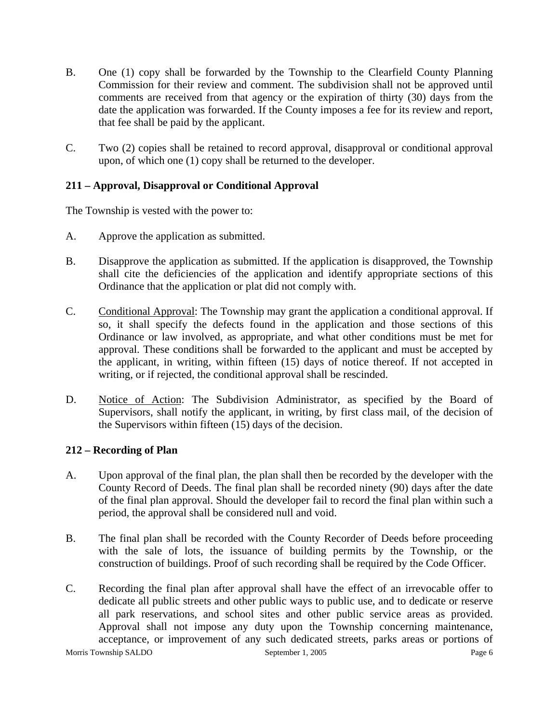- B. One (1) copy shall be forwarded by the Township to the Clearfield County Planning Commission for their review and comment. The subdivision shall not be approved until comments are received from that agency or the expiration of thirty (30) days from the date the application was forwarded. If the County imposes a fee for its review and report, that fee shall be paid by the applicant.
- C. Two (2) copies shall be retained to record approval, disapproval or conditional approval upon, of which one (1) copy shall be returned to the developer.

## **211 – Approval, Disapproval or Conditional Approval**

The Township is vested with the power to:

- A. Approve the application as submitted.
- B. Disapprove the application as submitted. If the application is disapproved, the Township shall cite the deficiencies of the application and identify appropriate sections of this Ordinance that the application or plat did not comply with.
- C. Conditional Approval: The Township may grant the application a conditional approval. If so, it shall specify the defects found in the application and those sections of this Ordinance or law involved, as appropriate, and what other conditions must be met for approval. These conditions shall be forwarded to the applicant and must be accepted by the applicant, in writing, within fifteen (15) days of notice thereof. If not accepted in writing, or if rejected, the conditional approval shall be rescinded.
- D. Notice of Action: The Subdivision Administrator, as specified by the Board of Supervisors, shall notify the applicant, in writing, by first class mail, of the decision of the Supervisors within fifteen (15) days of the decision.

#### **212 – Recording of Plan**

- A. Upon approval of the final plan, the plan shall then be recorded by the developer with the County Record of Deeds. The final plan shall be recorded ninety (90) days after the date of the final plan approval. Should the developer fail to record the final plan within such a period, the approval shall be considered null and void.
- B. The final plan shall be recorded with the County Recorder of Deeds before proceeding with the sale of lots, the issuance of building permits by the Township, or the construction of buildings. Proof of such recording shall be required by the Code Officer.
- Morris Township SALDO September 1, 2005 C. Recording the final plan after approval shall have the effect of an irrevocable offer to dedicate all public streets and other public ways to public use, and to dedicate or reserve all park reservations, and school sites and other public service areas as provided. Approval shall not impose any duty upon the Township concerning maintenance, acceptance, or improvement of any such dedicated streets, parks areas or portions of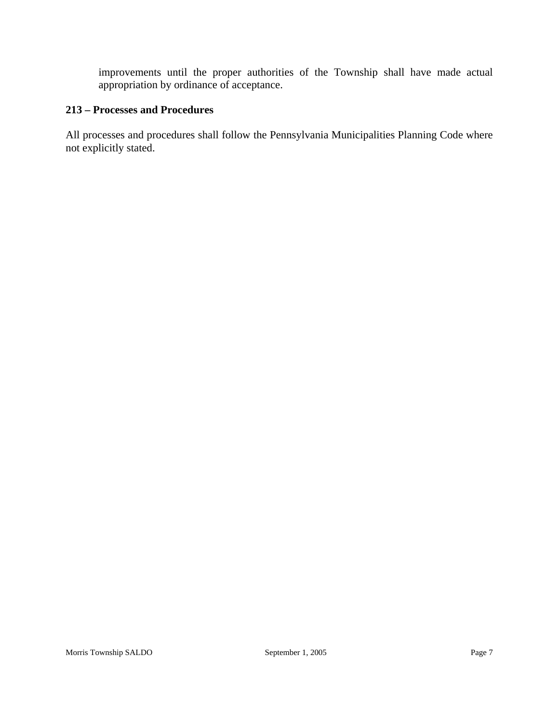improvements until the proper authorities of the Township shall have made actual appropriation by ordinance of acceptance.

## **213 – Processes and Procedures**

All processes and procedures shall follow the Pennsylvania Municipalities Planning Code where not explicitly stated.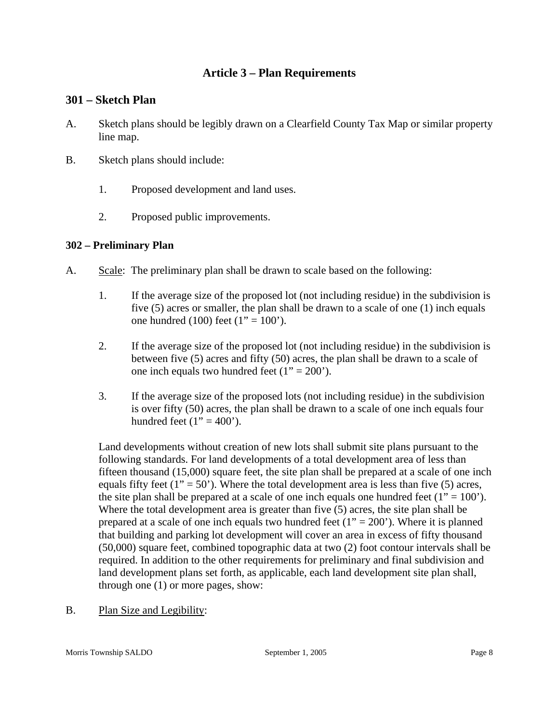## **Article 3 – Plan Requirements**

## **301 – Sketch Plan**

- A. Sketch plans should be legibly drawn on a Clearfield County Tax Map or similar property line map.
- B. Sketch plans should include:
	- 1. Proposed development and land uses.
	- 2. Proposed public improvements.

## **302 – Preliminary Plan**

- A. Scale: The preliminary plan shall be drawn to scale based on the following:
	- 1. If the average size of the proposed lot (not including residue) in the subdivision is five (5) acres or smaller, the plan shall be drawn to a scale of one (1) inch equals one hundred (100) feet (1" = 100").
	- 2. If the average size of the proposed lot (not including residue) in the subdivision is between five (5) acres and fifty (50) acres, the plan shall be drawn to a scale of one inch equals two hundred feet  $(1" = 200')$ .
	- 3. If the average size of the proposed lots (not including residue) in the subdivision is over fifty (50) acres, the plan shall be drawn to a scale of one inch equals four hundred feet  $(1" = 400')$ .

Land developments without creation of new lots shall submit site plans pursuant to the following standards. For land developments of a total development area of less than fifteen thousand (15,000) square feet, the site plan shall be prepared at a scale of one inch equals fifty feet (1" = 50"). Where the total development area is less than five (5) acres, the site plan shall be prepared at a scale of one inch equals one hundred feet  $(1" = 100')$ . Where the total development area is greater than five (5) acres, the site plan shall be prepared at a scale of one inch equals two hundred feet  $(1" = 200")$ . Where it is planned that building and parking lot development will cover an area in excess of fifty thousand (50,000) square feet, combined topographic data at two (2) foot contour intervals shall be required. In addition to the other requirements for preliminary and final subdivision and land development plans set forth, as applicable, each land development site plan shall, through one (1) or more pages, show:

B. Plan Size and Legibility: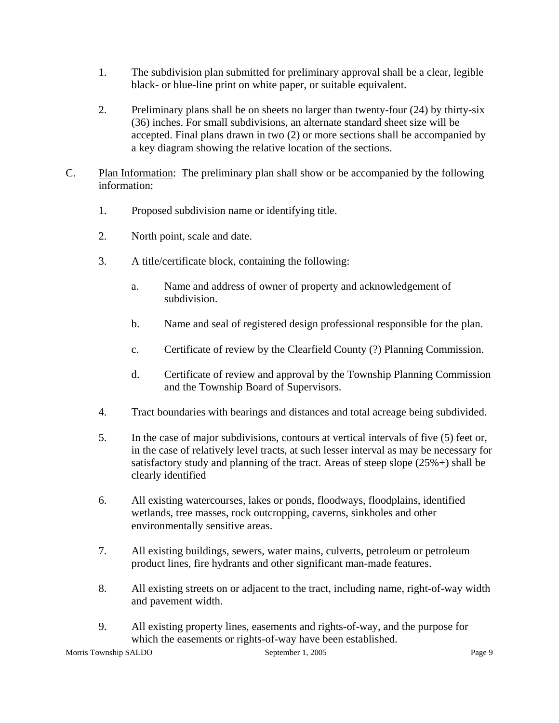- 1. The subdivision plan submitted for preliminary approval shall be a clear, legible black- or blue-line print on white paper, or suitable equivalent.
- 2. Preliminary plans shall be on sheets no larger than twenty-four (24) by thirty-six (36) inches. For small subdivisions, an alternate standard sheet size will be accepted. Final plans drawn in two (2) or more sections shall be accompanied by a key diagram showing the relative location of the sections.
- C. Plan Information: The preliminary plan shall show or be accompanied by the following information:
	- 1. Proposed subdivision name or identifying title.
	- 2. North point, scale and date.
	- 3. A title/certificate block, containing the following:
		- a. Name and address of owner of property and acknowledgement of subdivision.
		- b. Name and seal of registered design professional responsible for the plan.
		- c. Certificate of review by the Clearfield County (?) Planning Commission.
		- d. Certificate of review and approval by the Township Planning Commission and the Township Board of Supervisors.
	- 4. Tract boundaries with bearings and distances and total acreage being subdivided.
	- 5. In the case of major subdivisions, contours at vertical intervals of five (5) feet or, in the case of relatively level tracts, at such lesser interval as may be necessary for satisfactory study and planning of the tract. Areas of steep slope (25%+) shall be clearly identified
	- 6. All existing watercourses, lakes or ponds, floodways, floodplains, identified wetlands, tree masses, rock outcropping, caverns, sinkholes and other environmentally sensitive areas.
	- 7. All existing buildings, sewers, water mains, culverts, petroleum or petroleum product lines, fire hydrants and other significant man-made features.
	- 8. All existing streets on or adjacent to the tract, including name, right-of-way width and pavement width.
	- 9. All existing property lines, easements and rights-of-way, and the purpose for which the easements or rights-of-way have been established.

Morris Township SALDO September 1, 2005 Page 9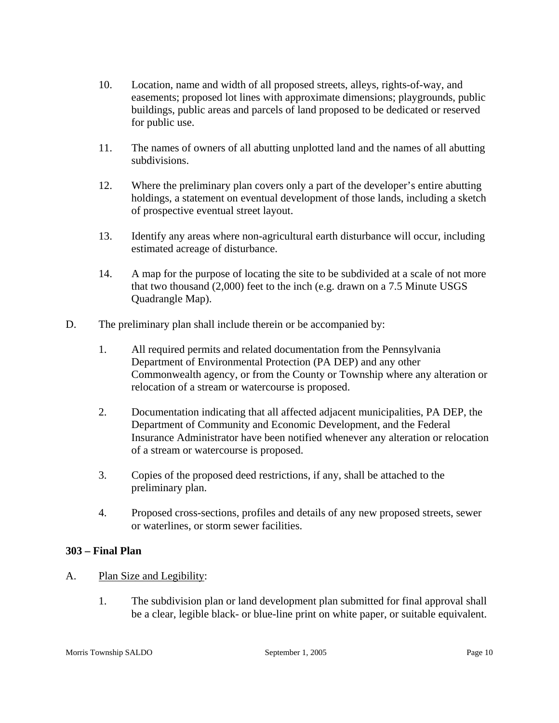- 10. Location, name and width of all proposed streets, alleys, rights-of-way, and easements; proposed lot lines with approximate dimensions; playgrounds, public buildings, public areas and parcels of land proposed to be dedicated or reserved for public use.
- 11. The names of owners of all abutting unplotted land and the names of all abutting subdivisions.
- 12. Where the preliminary plan covers only a part of the developer's entire abutting holdings, a statement on eventual development of those lands, including a sketch of prospective eventual street layout.
- 13. Identify any areas where non-agricultural earth disturbance will occur, including estimated acreage of disturbance.
- 14. A map for the purpose of locating the site to be subdivided at a scale of not more that two thousand (2,000) feet to the inch (e.g. drawn on a 7.5 Minute USGS Quadrangle Map).
- D. The preliminary plan shall include therein or be accompanied by:
	- 1. All required permits and related documentation from the Pennsylvania Department of Environmental Protection (PA DEP) and any other Commonwealth agency, or from the County or Township where any alteration or relocation of a stream or watercourse is proposed.
	- 2. Documentation indicating that all affected adjacent municipalities, PA DEP, the Department of Community and Economic Development, and the Federal Insurance Administrator have been notified whenever any alteration or relocation of a stream or watercourse is proposed.
	- 3. Copies of the proposed deed restrictions, if any, shall be attached to the preliminary plan.
	- 4. Proposed cross-sections, profiles and details of any new proposed streets, sewer or waterlines, or storm sewer facilities.

## **303 – Final Plan**

## A. Plan Size and Legibility:

1. The subdivision plan or land development plan submitted for final approval shall be a clear, legible black- or blue-line print on white paper, or suitable equivalent.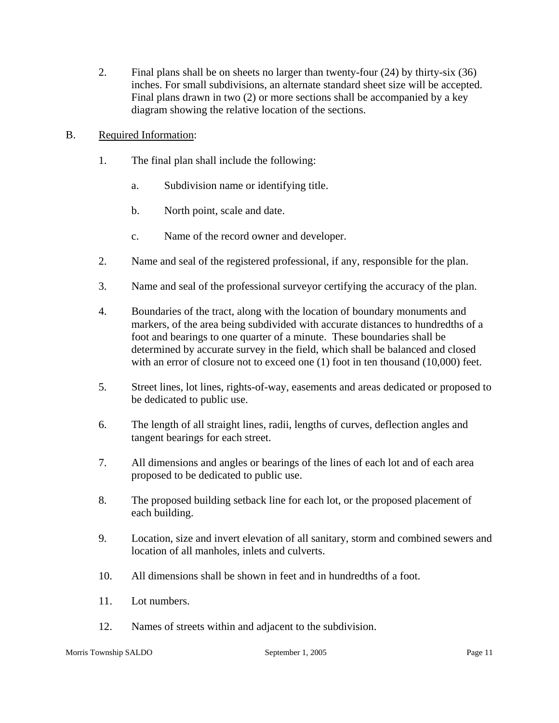- 2. Final plans shall be on sheets no larger than twenty-four (24) by thirty-six (36) inches. For small subdivisions, an alternate standard sheet size will be accepted. Final plans drawn in two (2) or more sections shall be accompanied by a key diagram showing the relative location of the sections.
- B. Required Information:
	- 1. The final plan shall include the following:
		- a. Subdivision name or identifying title.
		- b. North point, scale and date.
		- c. Name of the record owner and developer.
	- 2. Name and seal of the registered professional, if any, responsible for the plan.
	- 3. Name and seal of the professional surveyor certifying the accuracy of the plan.
	- 4. Boundaries of the tract, along with the location of boundary monuments and markers, of the area being subdivided with accurate distances to hundredths of a foot and bearings to one quarter of a minute. These boundaries shall be determined by accurate survey in the field, which shall be balanced and closed with an error of closure not to exceed one (1) foot in ten thousand (10,000) feet.
	- 5. Street lines, lot lines, rights-of-way, easements and areas dedicated or proposed to be dedicated to public use.
	- 6. The length of all straight lines, radii, lengths of curves, deflection angles and tangent bearings for each street.
	- 7. All dimensions and angles or bearings of the lines of each lot and of each area proposed to be dedicated to public use.
	- 8. The proposed building setback line for each lot, or the proposed placement of each building.
	- 9. Location, size and invert elevation of all sanitary, storm and combined sewers and location of all manholes, inlets and culverts.
	- 10. All dimensions shall be shown in feet and in hundredths of a foot.
	- 11. Lot numbers.
	- 12. Names of streets within and adjacent to the subdivision.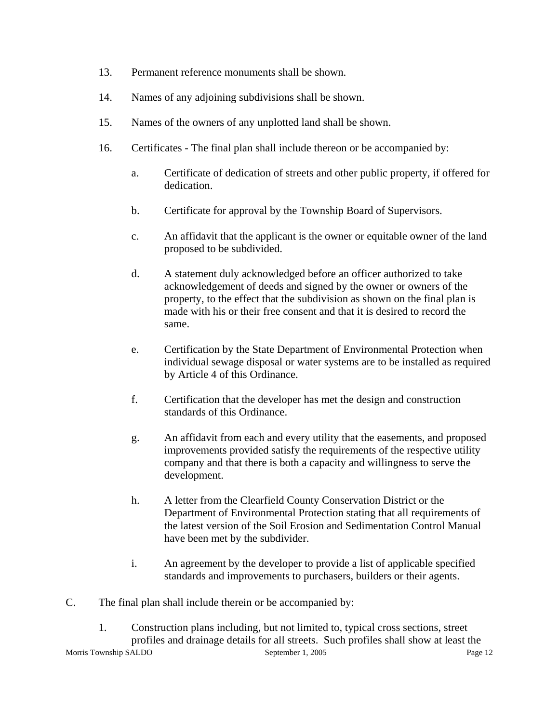- 13. Permanent reference monuments shall be shown.
- 14. Names of any adjoining subdivisions shall be shown.
- 15. Names of the owners of any unplotted land shall be shown.
- 16. Certificates The final plan shall include thereon or be accompanied by:
	- a. Certificate of dedication of streets and other public property, if offered for dedication.
	- b. Certificate for approval by the Township Board of Supervisors.
	- c. An affidavit that the applicant is the owner or equitable owner of the land proposed to be subdivided.
	- d. A statement duly acknowledged before an officer authorized to take acknowledgement of deeds and signed by the owner or owners of the property, to the effect that the subdivision as shown on the final plan is made with his or their free consent and that it is desired to record the same.
	- e. Certification by the State Department of Environmental Protection when individual sewage disposal or water systems are to be installed as required by Article 4 of this Ordinance.
	- f. Certification that the developer has met the design and construction standards of this Ordinance.
	- g. An affidavit from each and every utility that the easements, and proposed improvements provided satisfy the requirements of the respective utility company and that there is both a capacity and willingness to serve the development.
	- h. A letter from the Clearfield County Conservation District or the Department of Environmental Protection stating that all requirements of the latest version of the Soil Erosion and Sedimentation Control Manual have been met by the subdivider.
	- i. An agreement by the developer to provide a list of applicable specified standards and improvements to purchasers, builders or their agents.
- C. The final plan shall include therein or be accompanied by:

Morris Township SALDO September 1, 2005 Page 12 1. Construction plans including, but not limited to, typical cross sections, street profiles and drainage details for all streets. Such profiles shall show at least the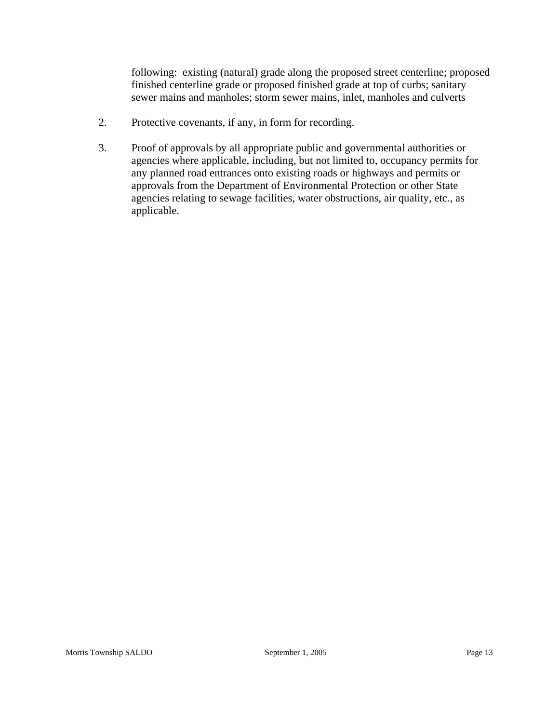following: existing (natural) grade along the proposed street centerline; proposed finished centerline grade or proposed finished grade at top of curbs; sanitary sewer mains and manholes; storm sewer mains, inlet, manholes and culverts

- 2. Protective covenants, if any, in form for recording.
- 3. Proof of approvals by all appropriate public and governmental authorities or agencies where applicable, including, but not limited to, occupancy permits for any planned road entrances onto existing roads or highways and permits or approvals from the Department of Environmental Protection or other State agencies relating to sewage facilities, water obstructions, air quality, etc., as applicable.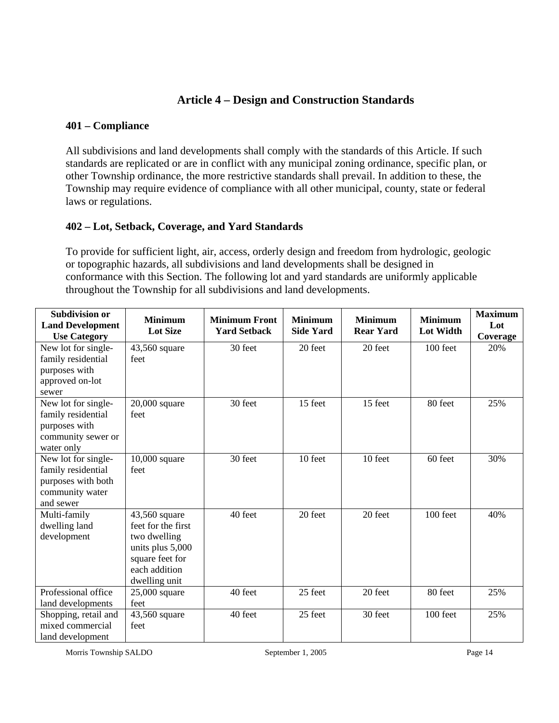## **Article 4 – Design and Construction Standards**

## **401 – Compliance**

All subdivisions and land developments shall comply with the standards of this Article. If such standards are replicated or are in conflict with any municipal zoning ordinance, specific plan, or other Township ordinance, the more restrictive standards shall prevail. In addition to these, the Township may require evidence of compliance with all other municipal, county, state or federal laws or regulations.

## **402 – Lot, Setback, Coverage, and Yard Standards**

To provide for sufficient light, air, access, orderly design and freedom from hydrologic, geologic or topographic hazards, all subdivisions and land developments shall be designed in conformance with this Section. The following lot and yard standards are uniformly applicable throughout the Township for all subdivisions and land developments.

| <b>Subdivision or</b><br><b>Land Development</b><br><b>Use Category</b>                         | <b>Minimum</b><br><b>Lot Size</b>                                                                                            | <b>Minimum Front</b><br><b>Yard Setback</b> | <b>Minimum</b><br><b>Side Yard</b> | <b>Minimum</b><br><b>Rear Yard</b> | <b>Minimum</b><br><b>Lot Width</b> | <b>Maximum</b><br>Lot<br>Coverage |
|-------------------------------------------------------------------------------------------------|------------------------------------------------------------------------------------------------------------------------------|---------------------------------------------|------------------------------------|------------------------------------|------------------------------------|-----------------------------------|
| New lot for single-<br>family residential<br>purposes with<br>approved on-lot<br>sewer          | 43,560 square<br>feet                                                                                                        | 30 feet                                     | 20 feet                            | 20 feet                            | 100 feet                           | 20%                               |
| New lot for single-<br>family residential<br>purposes with<br>community sewer or<br>water only  | $20,000$ square<br>feet                                                                                                      | 30 feet                                     | 15 feet                            | 15 feet                            | 80 feet                            | 25%                               |
| New lot for single-<br>family residential<br>purposes with both<br>community water<br>and sewer | $10,000$ square<br>feet                                                                                                      | 30 feet                                     | 10 feet                            | 10 feet                            | 60 feet                            | 30%                               |
| Multi-family<br>dwelling land<br>development                                                    | 43,560 square<br>feet for the first<br>two dwelling<br>units plus 5,000<br>square feet for<br>each addition<br>dwelling unit | 40 feet                                     | 20 feet                            | 20 feet                            | 100 feet                           | 40%                               |
| Professional office<br>land developments                                                        | 25,000 square<br>feet                                                                                                        | 40 feet                                     | 25 feet                            | 20 feet                            | 80 feet                            | 25%                               |
| Shopping, retail and<br>mixed commercial<br>land development                                    | 43,560 square<br>feet                                                                                                        | 40 feet                                     | 25 feet                            | 30 feet                            | 100 feet                           | 25%                               |

Morris Township SALDO September 1, 2005 Page 14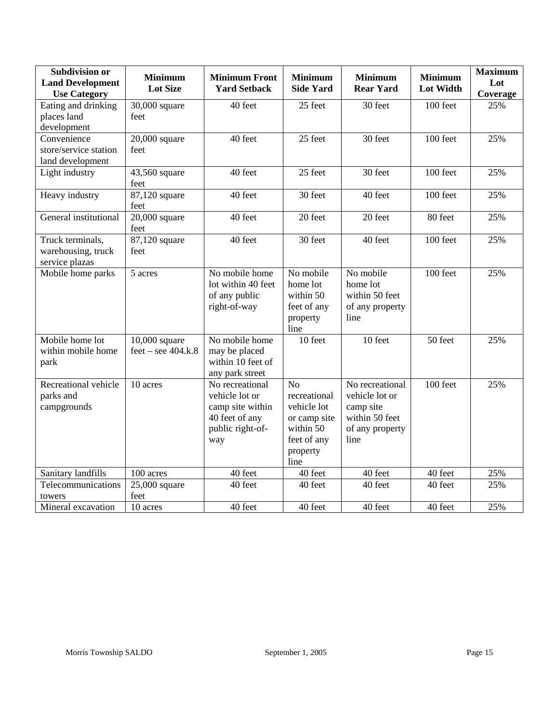| <b>Subdivision or</b><br><b>Land Development</b><br><b>Use Category</b> | <b>Minimum</b><br><b>Lot Size</b>       | <b>Minimum Front</b><br><b>Yard Setback</b>                                                        | <b>Minimum</b><br><b>Side Yard</b>                                                                            | <b>Minimum</b><br><b>Rear Yard</b>                                                          | <b>Minimum</b><br><b>Lot Width</b> | <b>Maximum</b><br>Lot<br>Coverage |
|-------------------------------------------------------------------------|-----------------------------------------|----------------------------------------------------------------------------------------------------|---------------------------------------------------------------------------------------------------------------|---------------------------------------------------------------------------------------------|------------------------------------|-----------------------------------|
| Eating and drinking<br>places land<br>development                       | 30,000 square<br>feet                   | 40 feet                                                                                            | 25 feet                                                                                                       | 30 feet                                                                                     | 100 feet                           | 25%                               |
| Convenience<br>store/service station<br>land development                | $20,000$ square<br>feet                 | 40 feet                                                                                            | 25 feet                                                                                                       | 30 feet                                                                                     | 100 feet                           | 25%                               |
| Light industry                                                          | 43,560 square<br>feet                   | 40 feet                                                                                            | 25 feet                                                                                                       | 30 feet                                                                                     | 100 feet                           | 25%                               |
| Heavy industry                                                          | 87,120 square<br>feet                   | 40 feet                                                                                            | 30 feet                                                                                                       | 40 feet                                                                                     | 100 feet                           | 25%                               |
| General institutional                                                   | $20,000$ square<br>feet                 | 40 feet                                                                                            | 20 feet                                                                                                       | 20 feet                                                                                     | 80 feet                            | 25%                               |
| Truck terminals,<br>warehousing, truck<br>service plazas                | 87,120 square<br>feet                   | 40 feet                                                                                            | 30 feet                                                                                                       | 40 feet                                                                                     | 100 feet                           | 25%                               |
| Mobile home parks                                                       | 5 acres                                 | No mobile home<br>lot within 40 feet<br>of any public<br>right-of-way                              | No mobile<br>home lot<br>within 50<br>feet of any<br>property<br>line                                         | No mobile<br>home lot<br>within 50 feet<br>of any property<br>line                          | 100 feet                           | 25%                               |
| Mobile home lot<br>within mobile home<br>park                           | $10,000$ square<br>$feet - see 404.k.8$ | No mobile home<br>may be placed<br>within 10 feet of<br>any park street                            | 10 feet                                                                                                       | 10 feet                                                                                     | 50 feet                            | 25%                               |
| Recreational vehicle<br>parks and<br>campgrounds                        | 10 acres                                | No recreational<br>vehicle lot or<br>camp site within<br>40 feet of any<br>public right-of-<br>way | N <sub>o</sub><br>recreational<br>vehicle lot<br>or camp site<br>within 50<br>feet of any<br>property<br>line | No recreational<br>vehicle lot or<br>camp site<br>within 50 feet<br>of any property<br>line | 100 feet                           | 25%                               |
| Sanitary landfills                                                      | 100 acres                               | 40 feet                                                                                            | 40 feet                                                                                                       | 40 feet                                                                                     | 40 feet                            | 25%                               |
| Telecommunications<br>towers                                            | $25,000$ square<br>feet                 | 40 feet                                                                                            | 40 feet                                                                                                       | 40 feet                                                                                     | 40 feet                            | 25%                               |
| Mineral excavation                                                      | 10 acres                                | 40 feet                                                                                            | 40 feet                                                                                                       | 40 feet                                                                                     | 40 feet                            | 25%                               |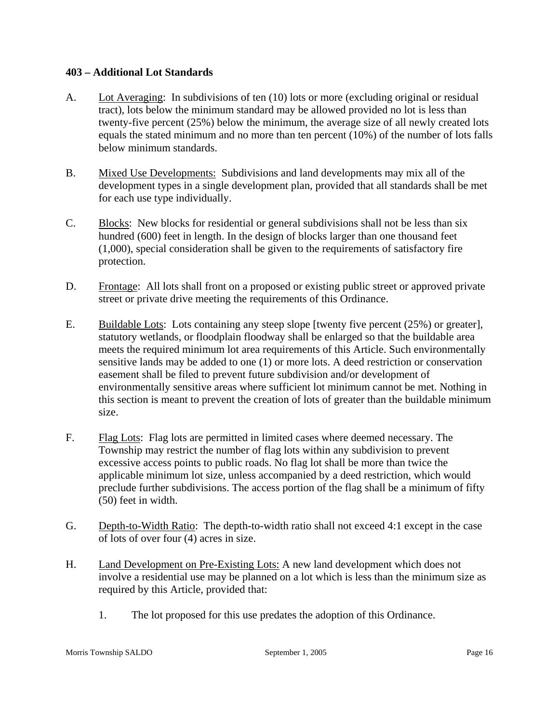#### **403 – Additional Lot Standards**

- A. Lot Averaging: In subdivisions of ten (10) lots or more (excluding original or residual tract), lots below the minimum standard may be allowed provided no lot is less than twenty-five percent (25%) below the minimum, the average size of all newly created lots equals the stated minimum and no more than ten percent (10%) of the number of lots falls below minimum standards.
- B. Mixed Use Developments: Subdivisions and land developments may mix all of the development types in a single development plan, provided that all standards shall be met for each use type individually.
- C. Blocks: New blocks for residential or general subdivisions shall not be less than six hundred (600) feet in length. In the design of blocks larger than one thousand feet (1,000), special consideration shall be given to the requirements of satisfactory fire protection.
- D. Frontage: All lots shall front on a proposed or existing public street or approved private street or private drive meeting the requirements of this Ordinance.
- E. Buildable Lots: Lots containing any steep slope [twenty five percent (25%) or greater], statutory wetlands, or floodplain floodway shall be enlarged so that the buildable area meets the required minimum lot area requirements of this Article. Such environmentally sensitive lands may be added to one (1) or more lots. A deed restriction or conservation easement shall be filed to prevent future subdivision and/or development of environmentally sensitive areas where sufficient lot minimum cannot be met. Nothing in this section is meant to prevent the creation of lots of greater than the buildable minimum size.
- F. Flag Lots: Flag lots are permitted in limited cases where deemed necessary. The Township may restrict the number of flag lots within any subdivision to prevent excessive access points to public roads. No flag lot shall be more than twice the applicable minimum lot size, unless accompanied by a deed restriction, which would preclude further subdivisions. The access portion of the flag shall be a minimum of fifty (50) feet in width.
- G. Depth-to-Width Ratio: The depth-to-width ratio shall not exceed 4:1 except in the case of lots of over four (4) acres in size.
- H. Land Development on Pre-Existing Lots: A new land development which does not involve a residential use may be planned on a lot which is less than the minimum size as required by this Article, provided that:
	- 1. The lot proposed for this use predates the adoption of this Ordinance.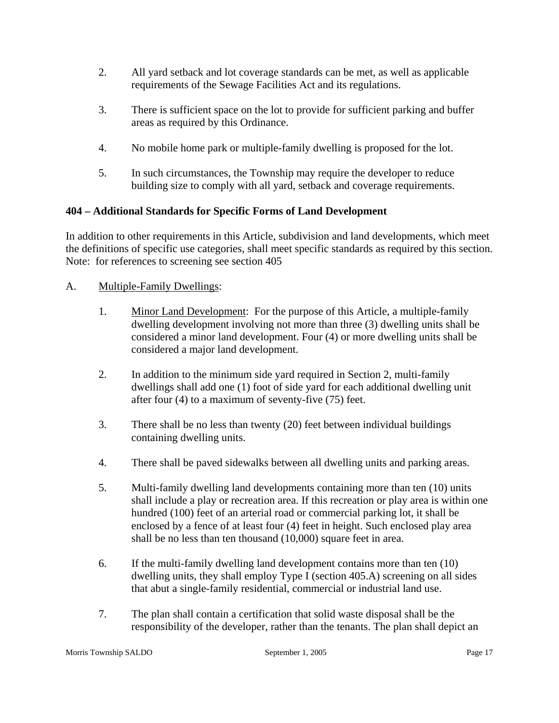- 2. All yard setback and lot coverage standards can be met, as well as applicable requirements of the Sewage Facilities Act and its regulations.
- 3. There is sufficient space on the lot to provide for sufficient parking and buffer areas as required by this Ordinance.
- 4. No mobile home park or multiple-family dwelling is proposed for the lot.
- 5. In such circumstances, the Township may require the developer to reduce building size to comply with all yard, setback and coverage requirements.

## **404 – Additional Standards for Specific Forms of Land Development**

In addition to other requirements in this Article, subdivision and land developments, which meet the definitions of specific use categories, shall meet specific standards as required by this section. Note: for references to screening see section 405

## A. Multiple-Family Dwellings:

- 1. Minor Land Development: For the purpose of this Article, a multiple-family dwelling development involving not more than three (3) dwelling units shall be considered a minor land development. Four (4) or more dwelling units shall be considered a major land development.
- 2. In addition to the minimum side yard required in Section 2, multi-family dwellings shall add one (1) foot of side yard for each additional dwelling unit after four (4) to a maximum of seventy-five (75) feet.
- 3. There shall be no less than twenty (20) feet between individual buildings containing dwelling units.
- 4. There shall be paved sidewalks between all dwelling units and parking areas.
- 5. Multi-family dwelling land developments containing more than ten (10) units shall include a play or recreation area. If this recreation or play area is within one hundred (100) feet of an arterial road or commercial parking lot, it shall be enclosed by a fence of at least four (4) feet in height. Such enclosed play area shall be no less than ten thousand (10,000) square feet in area.
- 6. If the multi-family dwelling land development contains more than ten (10) dwelling units, they shall employ Type I (section 405.A) screening on all sides that abut a single-family residential, commercial or industrial land use.
- 7. The plan shall contain a certification that solid waste disposal shall be the responsibility of the developer, rather than the tenants. The plan shall depict an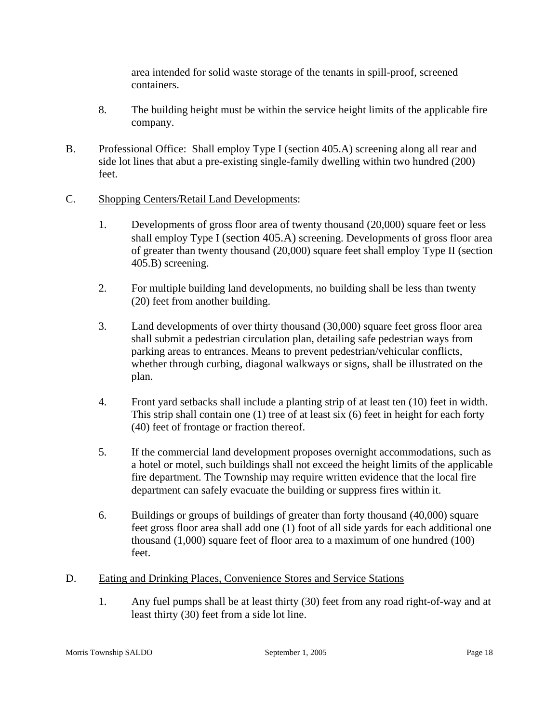area intended for solid waste storage of the tenants in spill-proof, screened containers.

- 8. The building height must be within the service height limits of the applicable fire company.
- B. Professional Office: Shall employ Type I (section 405.A) screening along all rear and side lot lines that abut a pre-existing single-family dwelling within two hundred (200) feet.
- C. Shopping Centers/Retail Land Developments:
	- 1. Developments of gross floor area of twenty thousand (20,000) square feet or less shall employ Type I (section 405.A) screening. Developments of gross floor area of greater than twenty thousand (20,000) square feet shall employ Type II (section 405.B) screening.
	- 2. For multiple building land developments, no building shall be less than twenty (20) feet from another building.
	- 3. Land developments of over thirty thousand (30,000) square feet gross floor area shall submit a pedestrian circulation plan, detailing safe pedestrian ways from parking areas to entrances. Means to prevent pedestrian/vehicular conflicts, whether through curbing, diagonal walkways or signs, shall be illustrated on the plan.
	- 4. Front yard setbacks shall include a planting strip of at least ten (10) feet in width. This strip shall contain one (1) tree of at least six (6) feet in height for each forty (40) feet of frontage or fraction thereof.
	- 5. If the commercial land development proposes overnight accommodations, such as a hotel or motel, such buildings shall not exceed the height limits of the applicable fire department. The Township may require written evidence that the local fire department can safely evacuate the building or suppress fires within it.
	- 6. Buildings or groups of buildings of greater than forty thousand (40,000) square feet gross floor area shall add one (1) foot of all side yards for each additional one thousand (1,000) square feet of floor area to a maximum of one hundred (100) feet.
- D. Eating and Drinking Places, Convenience Stores and Service Stations
	- 1. Any fuel pumps shall be at least thirty (30) feet from any road right-of-way and at least thirty (30) feet from a side lot line.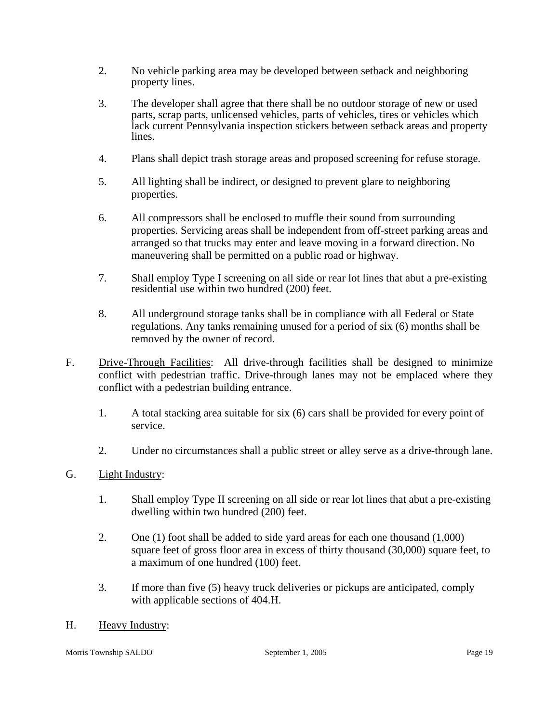- 2. No vehicle parking area may be developed between setback and neighboring property lines.
- 3. The developer shall agree that there shall be no outdoor storage of new or used parts, scrap parts, unlicensed vehicles, parts of vehicles, tires or vehicles which lack current Pennsylvania inspection stickers between setback areas and property lines.
- 4. Plans shall depict trash storage areas and proposed screening for refuse storage.
- 5. All lighting shall be indirect, or designed to prevent glare to neighboring properties.
- 6. All compressors shall be enclosed to muffle their sound from surrounding properties. Servicing areas shall be independent from off-street parking areas and arranged so that trucks may enter and leave moving in a forward direction. No maneuvering shall be permitted on a public road or highway.
- 7. Shall employ Type I screening on all side or rear lot lines that abut a pre-existing residential use within two hundred (200) feet.
- 8. All underground storage tanks shall be in compliance with all Federal or State regulations. Any tanks remaining unused for a period of six (6) months shall be removed by the owner of record.
- F. Drive-Through Facilities: All drive-through facilities shall be designed to minimize conflict with pedestrian traffic. Drive-through lanes may not be emplaced where they conflict with a pedestrian building entrance.
	- 1. A total stacking area suitable for six (6) cars shall be provided for every point of service.
	- 2. Under no circumstances shall a public street or alley serve as a drive-through lane.
- G. Light Industry:
	- 1. Shall employ Type II screening on all side or rear lot lines that abut a pre-existing dwelling within two hundred (200) feet.
	- 2. One (1) foot shall be added to side yard areas for each one thousand (1,000) square feet of gross floor area in excess of thirty thousand (30,000) square feet, to a maximum of one hundred (100) feet.
	- 3. If more than five (5) heavy truck deliveries or pickups are anticipated, comply with applicable sections of 404.H.
- H. Heavy Industry: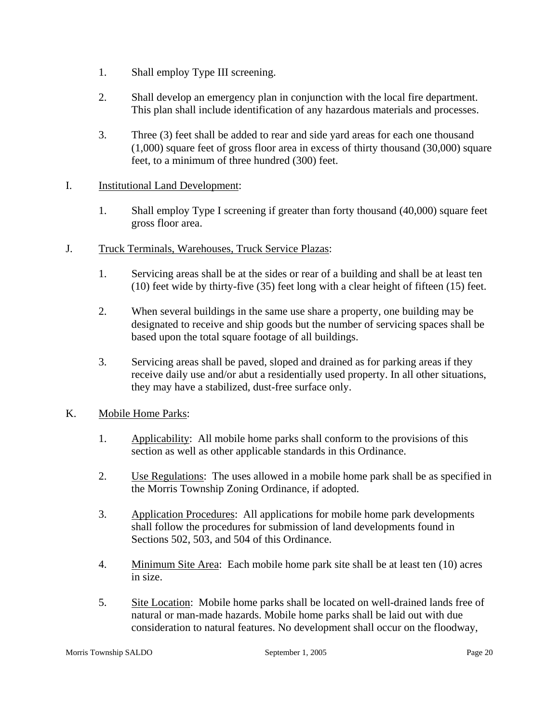- 1. Shall employ Type III screening.
- 2. Shall develop an emergency plan in conjunction with the local fire department. This plan shall include identification of any hazardous materials and processes.
- 3. Three (3) feet shall be added to rear and side yard areas for each one thousand (1,000) square feet of gross floor area in excess of thirty thousand (30,000) square feet, to a minimum of three hundred (300) feet.

## I. Institutional Land Development:

1. Shall employ Type I screening if greater than forty thousand (40,000) square feet gross floor area.

## J. Truck Terminals, Warehouses, Truck Service Plazas:

- 1. Servicing areas shall be at the sides or rear of a building and shall be at least ten (10) feet wide by thirty-five (35) feet long with a clear height of fifteen (15) feet.
- 2. When several buildings in the same use share a property, one building may be designated to receive and ship goods but the number of servicing spaces shall be based upon the total square footage of all buildings.
- 3. Servicing areas shall be paved, sloped and drained as for parking areas if they receive daily use and/or abut a residentially used property. In all other situations, they may have a stabilized, dust-free surface only.

## K. Mobile Home Parks:

- 1. Applicability: All mobile home parks shall conform to the provisions of this section as well as other applicable standards in this Ordinance.
- 2. Use Regulations: The uses allowed in a mobile home park shall be as specified in the Morris Township Zoning Ordinance, if adopted.
- 3. Application Procedures: All applications for mobile home park developments shall follow the procedures for submission of land developments found in Sections 502, 503, and 504 of this Ordinance.
- 4. Minimum Site Area: Each mobile home park site shall be at least ten (10) acres in size.
- 5. Site Location: Mobile home parks shall be located on well-drained lands free of natural or man-made hazards. Mobile home parks shall be laid out with due consideration to natural features. No development shall occur on the floodway,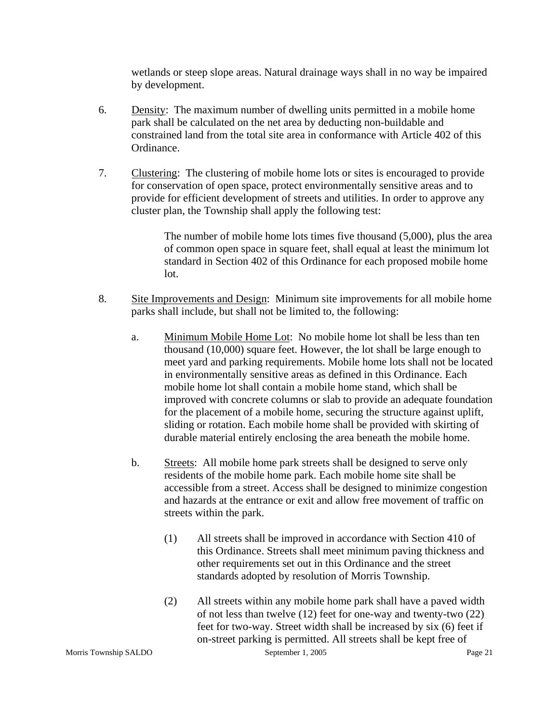wetlands or steep slope areas. Natural drainage ways shall in no way be impaired by development.

- 6. Density: The maximum number of dwelling units permitted in a mobile home park shall be calculated on the net area by deducting non-buildable and constrained land from the total site area in conformance with Article 402 of this Ordinance.
- 7. Clustering: The clustering of mobile home lots or sites is encouraged to provide for conservation of open space, protect environmentally sensitive areas and to provide for efficient development of streets and utilities. In order to approve any cluster plan, the Township shall apply the following test:

The number of mobile home lots times five thousand (5,000), plus the area of common open space in square feet, shall equal at least the minimum lot standard in Section 402 of this Ordinance for each proposed mobile home lot.

- 8. Site Improvements and Design: Minimum site improvements for all mobile home parks shall include, but shall not be limited to, the following:
	- a. Minimum Mobile Home Lot: No mobile home lot shall be less than ten thousand (10,000) square feet. However, the lot shall be large enough to meet yard and parking requirements. Mobile home lots shall not be located in environmentally sensitive areas as defined in this Ordinance. Each mobile home lot shall contain a mobile home stand, which shall be improved with concrete columns or slab to provide an adequate foundation for the placement of a mobile home, securing the structure against uplift, sliding or rotation. Each mobile home shall be provided with skirting of durable material entirely enclosing the area beneath the mobile home.
	- b. Streets: All mobile home park streets shall be designed to serve only residents of the mobile home park. Each mobile home site shall be accessible from a street. Access shall be designed to minimize congestion and hazards at the entrance or exit and allow free movement of traffic on streets within the park.
		- (1) All streets shall be improved in accordance with Section 410 of this Ordinance. Streets shall meet minimum paving thickness and other requirements set out in this Ordinance and the street standards adopted by resolution of Morris Township.
		- (2) All streets within any mobile home park shall have a paved width of not less than twelve (12) feet for one-way and twenty-two (22) feet for two-way. Street width shall be increased by six (6) feet if on-street parking is permitted. All streets shall be kept free of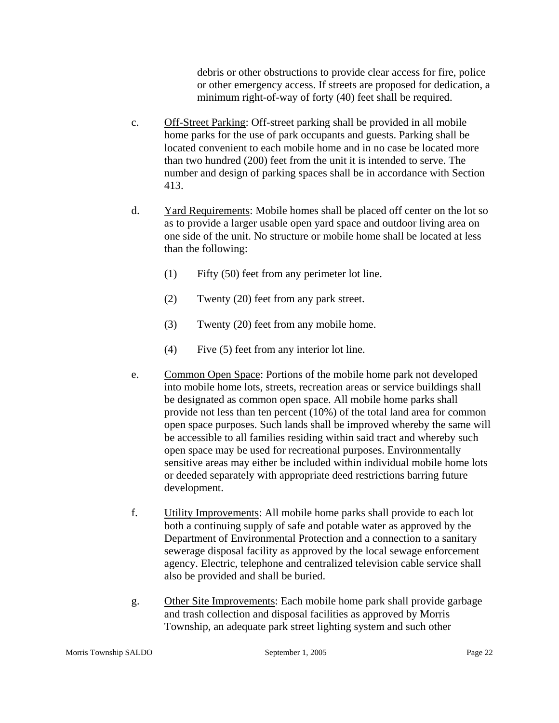debris or other obstructions to provide clear access for fire, police or other emergency access. If streets are proposed for dedication, a minimum right-of-way of forty (40) feet shall be required.

- c. Off-Street Parking: Off-street parking shall be provided in all mobile home parks for the use of park occupants and guests. Parking shall be located convenient to each mobile home and in no case be located more than two hundred (200) feet from the unit it is intended to serve. The number and design of parking spaces shall be in accordance with Section 413.
- d. Yard Requirements: Mobile homes shall be placed off center on the lot so as to provide a larger usable open yard space and outdoor living area on one side of the unit. No structure or mobile home shall be located at less than the following:
	- (1) Fifty (50) feet from any perimeter lot line.
	- (2) Twenty (20) feet from any park street.
	- (3) Twenty (20) feet from any mobile home.
	- (4) Five (5) feet from any interior lot line.
- e. Common Open Space: Portions of the mobile home park not developed into mobile home lots, streets, recreation areas or service buildings shall be designated as common open space. All mobile home parks shall provide not less than ten percent (10%) of the total land area for common open space purposes. Such lands shall be improved whereby the same will be accessible to all families residing within said tract and whereby such open space may be used for recreational purposes. Environmentally sensitive areas may either be included within individual mobile home lots or deeded separately with appropriate deed restrictions barring future development.
- f. Utility Improvements: All mobile home parks shall provide to each lot both a continuing supply of safe and potable water as approved by the Department of Environmental Protection and a connection to a sanitary sewerage disposal facility as approved by the local sewage enforcement agency. Electric, telephone and centralized television cable service shall also be provided and shall be buried.
- g. Other Site Improvements: Each mobile home park shall provide garbage and trash collection and disposal facilities as approved by Morris Township, an adequate park street lighting system and such other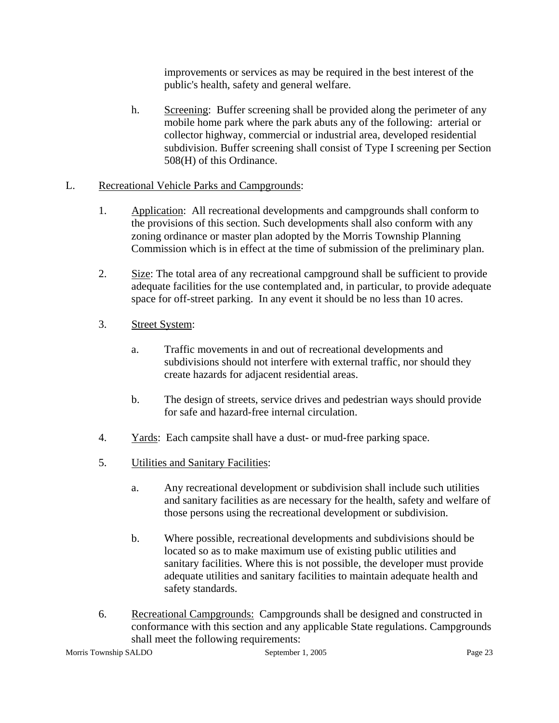improvements or services as may be required in the best interest of the public's health, safety and general welfare.

h. Screening: Buffer screening shall be provided along the perimeter of any mobile home park where the park abuts any of the following: arterial or collector highway, commercial or industrial area, developed residential subdivision. Buffer screening shall consist of Type I screening per Section 508(H) of this Ordinance.

## L. Recreational Vehicle Parks and Campgrounds:

- 1. Application: All recreational developments and campgrounds shall conform to the provisions of this section. Such developments shall also conform with any zoning ordinance or master plan adopted by the Morris Township Planning Commission which is in effect at the time of submission of the preliminary plan.
- 2. Size: The total area of any recreational campground shall be sufficient to provide adequate facilities for the use contemplated and, in particular, to provide adequate space for off-street parking. In any event it should be no less than 10 acres.
- 3. Street System:
	- a. Traffic movements in and out of recreational developments and subdivisions should not interfere with external traffic, nor should they create hazards for adjacent residential areas.
	- b. The design of streets, service drives and pedestrian ways should provide for safe and hazard-free internal circulation.
- 4. Yards: Each campsite shall have a dust- or mud-free parking space.
- 5. Utilities and Sanitary Facilities:
	- a. Any recreational development or subdivision shall include such utilities and sanitary facilities as are necessary for the health, safety and welfare of those persons using the recreational development or subdivision.
	- b. Where possible, recreational developments and subdivisions should be located so as to make maximum use of existing public utilities and sanitary facilities. Where this is not possible, the developer must provide adequate utilities and sanitary facilities to maintain adequate health and safety standards.
- 6. Recreational Campgrounds: Campgrounds shall be designed and constructed in conformance with this section and any applicable State regulations. Campgrounds shall meet the following requirements: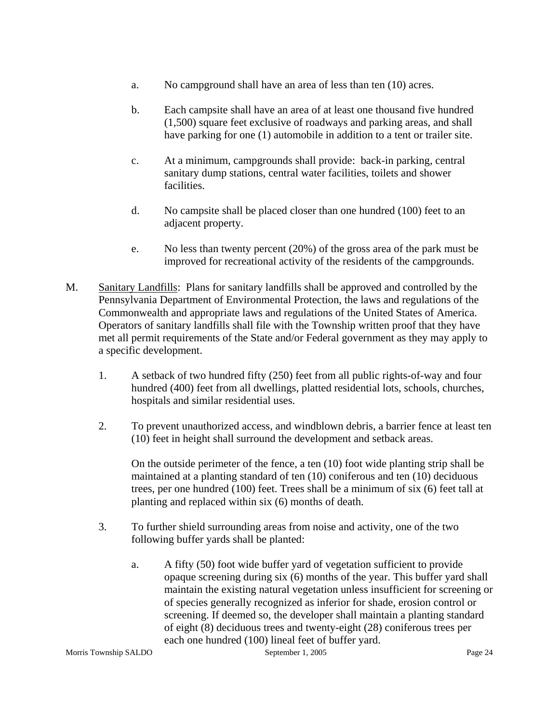- a. No campground shall have an area of less than ten (10) acres.
- b. Each campsite shall have an area of at least one thousand five hundred (1,500) square feet exclusive of roadways and parking areas, and shall have parking for one (1) automobile in addition to a tent or trailer site.
- c. At a minimum, campgrounds shall provide: back-in parking, central sanitary dump stations, central water facilities, toilets and shower facilities.
- d. No campsite shall be placed closer than one hundred (100) feet to an adjacent property.
- e. No less than twenty percent (20%) of the gross area of the park must be improved for recreational activity of the residents of the campgrounds.
- M. Sanitary Landfills: Plans for sanitary landfills shall be approved and controlled by the Pennsylvania Department of Environmental Protection, the laws and regulations of the Commonwealth and appropriate laws and regulations of the United States of America. Operators of sanitary landfills shall file with the Township written proof that they have met all permit requirements of the State and/or Federal government as they may apply to a specific development.
	- 1. A setback of two hundred fifty (250) feet from all public rights-of-way and four hundred (400) feet from all dwellings, platted residential lots, schools, churches, hospitals and similar residential uses.
	- 2. To prevent unauthorized access, and windblown debris, a barrier fence at least ten (10) feet in height shall surround the development and setback areas.

On the outside perimeter of the fence, a ten (10) foot wide planting strip shall be maintained at a planting standard of ten (10) coniferous and ten (10) deciduous trees, per one hundred (100) feet. Trees shall be a minimum of six (6) feet tall at planting and replaced within six (6) months of death.

- 3. To further shield surrounding areas from noise and activity, one of the two following buffer yards shall be planted:
	- a. A fifty (50) foot wide buffer yard of vegetation sufficient to provide opaque screening during six (6) months of the year. This buffer yard shall maintain the existing natural vegetation unless insufficient for screening or of species generally recognized as inferior for shade, erosion control or screening. If deemed so, the developer shall maintain a planting standard of eight (8) deciduous trees and twenty-eight (28) coniferous trees per each one hundred (100) lineal feet of buffer yard.

Morris Township SALDO September 1, 2005 Page 24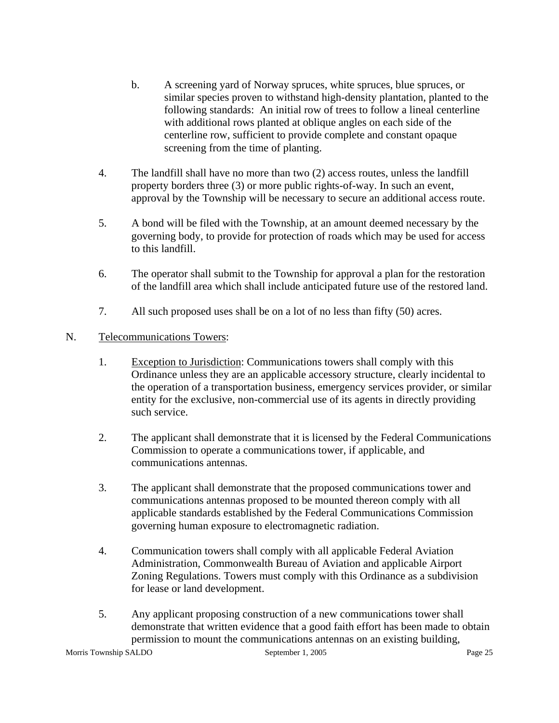- b. A screening yard of Norway spruces, white spruces, blue spruces, or similar species proven to withstand high-density plantation, planted to the following standards: An initial row of trees to follow a lineal centerline with additional rows planted at oblique angles on each side of the centerline row, sufficient to provide complete and constant opaque screening from the time of planting.
- 4. The landfill shall have no more than two (2) access routes, unless the landfill property borders three (3) or more public rights-of-way. In such an event, approval by the Township will be necessary to secure an additional access route.
- 5. A bond will be filed with the Township, at an amount deemed necessary by the governing body, to provide for protection of roads which may be used for access to this landfill.
- 6. The operator shall submit to the Township for approval a plan for the restoration of the landfill area which shall include anticipated future use of the restored land.
- 7. All such proposed uses shall be on a lot of no less than fifty (50) acres.

## N. Telecommunications Towers:

- 1. Exception to Jurisdiction: Communications towers shall comply with this Ordinance unless they are an applicable accessory structure, clearly incidental to the operation of a transportation business, emergency services provider, or similar entity for the exclusive, non-commercial use of its agents in directly providing such service.
- 2. The applicant shall demonstrate that it is licensed by the Federal Communications Commission to operate a communications tower, if applicable, and communications antennas.
- 3. The applicant shall demonstrate that the proposed communications tower and communications antennas proposed to be mounted thereon comply with all applicable standards established by the Federal Communications Commission governing human exposure to electromagnetic radiation.
- 4. Communication towers shall comply with all applicable Federal Aviation Administration, Commonwealth Bureau of Aviation and applicable Airport Zoning Regulations. Towers must comply with this Ordinance as a subdivision for lease or land development.
- 5. Any applicant proposing construction of a new communications tower shall demonstrate that written evidence that a good faith effort has been made to obtain permission to mount the communications antennas on an existing building,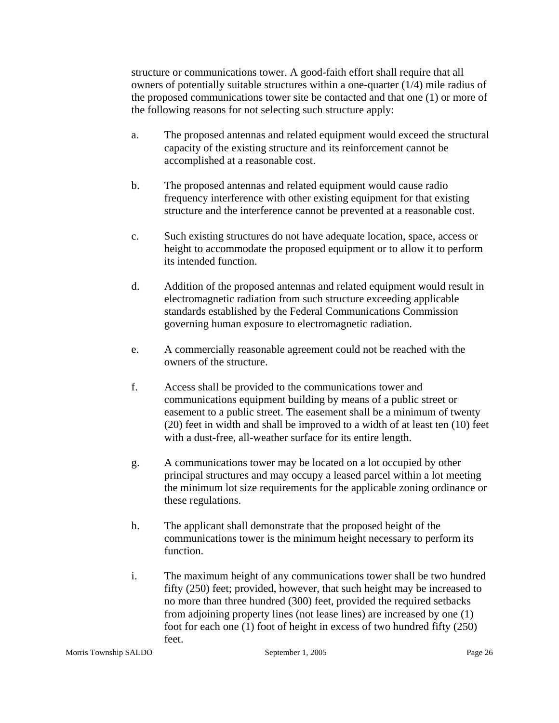structure or communications tower. A good-faith effort shall require that all owners of potentially suitable structures within a one-quarter (1/4) mile radius of the proposed communications tower site be contacted and that one (1) or more of the following reasons for not selecting such structure apply:

- a. The proposed antennas and related equipment would exceed the structural capacity of the existing structure and its reinforcement cannot be accomplished at a reasonable cost.
- b. The proposed antennas and related equipment would cause radio frequency interference with other existing equipment for that existing structure and the interference cannot be prevented at a reasonable cost.
- c. Such existing structures do not have adequate location, space, access or height to accommodate the proposed equipment or to allow it to perform its intended function.
- d. Addition of the proposed antennas and related equipment would result in electromagnetic radiation from such structure exceeding applicable standards established by the Federal Communications Commission governing human exposure to electromagnetic radiation.
- e. A commercially reasonable agreement could not be reached with the owners of the structure.
- f. Access shall be provided to the communications tower and communications equipment building by means of a public street or easement to a public street. The easement shall be a minimum of twenty (20) feet in width and shall be improved to a width of at least ten (10) feet with a dust-free, all-weather surface for its entire length.
- g. A communications tower may be located on a lot occupied by other principal structures and may occupy a leased parcel within a lot meeting the minimum lot size requirements for the applicable zoning ordinance or these regulations.
- h. The applicant shall demonstrate that the proposed height of the communications tower is the minimum height necessary to perform its function.
- i. The maximum height of any communications tower shall be two hundred fifty (250) feet; provided, however, that such height may be increased to no more than three hundred (300) feet, provided the required setbacks from adjoining property lines (not lease lines) are increased by one (1) foot for each one (1) foot of height in excess of two hundred fifty (250) feet.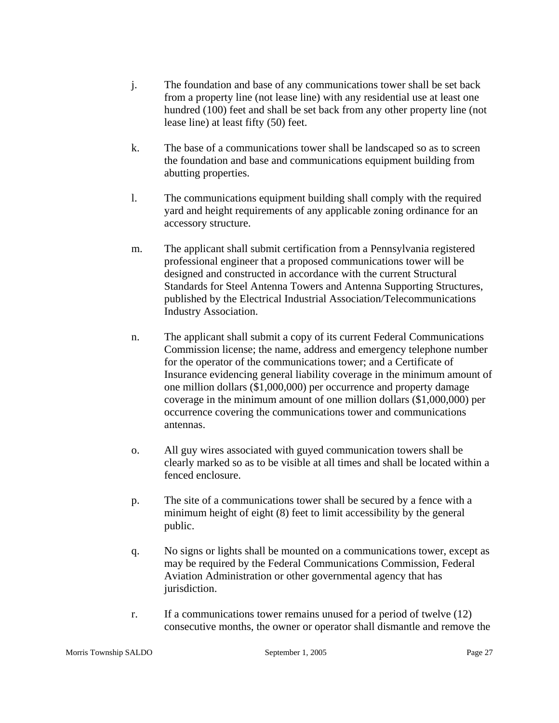- j. The foundation and base of any communications tower shall be set back from a property line (not lease line) with any residential use at least one hundred (100) feet and shall be set back from any other property line (not lease line) at least fifty (50) feet.
- k. The base of a communications tower shall be landscaped so as to screen the foundation and base and communications equipment building from abutting properties.
- l. The communications equipment building shall comply with the required yard and height requirements of any applicable zoning ordinance for an accessory structure.
- m. The applicant shall submit certification from a Pennsylvania registered professional engineer that a proposed communications tower will be designed and constructed in accordance with the current Structural Standards for Steel Antenna Towers and Antenna Supporting Structures, published by the Electrical Industrial Association/Telecommunications Industry Association.
- n. The applicant shall submit a copy of its current Federal Communications Commission license; the name, address and emergency telephone number for the operator of the communications tower; and a Certificate of Insurance evidencing general liability coverage in the minimum amount of one million dollars (\$1,000,000) per occurrence and property damage coverage in the minimum amount of one million dollars (\$1,000,000) per occurrence covering the communications tower and communications antennas.
- o. All guy wires associated with guyed communication towers shall be clearly marked so as to be visible at all times and shall be located within a fenced enclosure.
- p. The site of a communications tower shall be secured by a fence with a minimum height of eight (8) feet to limit accessibility by the general public.
- q. No signs or lights shall be mounted on a communications tower, except as may be required by the Federal Communications Commission, Federal Aviation Administration or other governmental agency that has jurisdiction.
- r. If a communications tower remains unused for a period of twelve (12) consecutive months, the owner or operator shall dismantle and remove the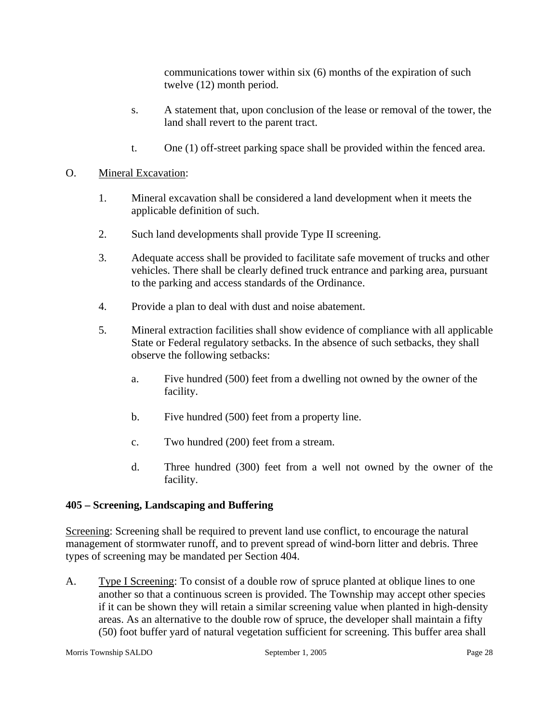communications tower within six (6) months of the expiration of such twelve (12) month period.

- s. A statement that, upon conclusion of the lease or removal of the tower, the land shall revert to the parent tract.
- t. One (1) off-street parking space shall be provided within the fenced area.

## O. Mineral Excavation:

- 1. Mineral excavation shall be considered a land development when it meets the applicable definition of such.
- 2. Such land developments shall provide Type II screening.
- 3. Adequate access shall be provided to facilitate safe movement of trucks and other vehicles. There shall be clearly defined truck entrance and parking area, pursuant to the parking and access standards of the Ordinance.
- 4. Provide a plan to deal with dust and noise abatement.
- 5. Mineral extraction facilities shall show evidence of compliance with all applicable State or Federal regulatory setbacks. In the absence of such setbacks, they shall observe the following setbacks:
	- a. Five hundred (500) feet from a dwelling not owned by the owner of the facility.
	- b. Five hundred (500) feet from a property line.
	- c. Two hundred (200) feet from a stream.
	- d. Three hundred (300) feet from a well not owned by the owner of the facility.

## **405 – Screening, Landscaping and Buffering**

Screening: Screening shall be required to prevent land use conflict, to encourage the natural management of stormwater runoff, and to prevent spread of wind-born litter and debris. Three types of screening may be mandated per Section 404.

A. Type I Screening: To consist of a double row of spruce planted at oblique lines to one another so that a continuous screen is provided. The Township may accept other species if it can be shown they will retain a similar screening value when planted in high-density areas. As an alternative to the double row of spruce, the developer shall maintain a fifty (50) foot buffer yard of natural vegetation sufficient for screening. This buffer area shall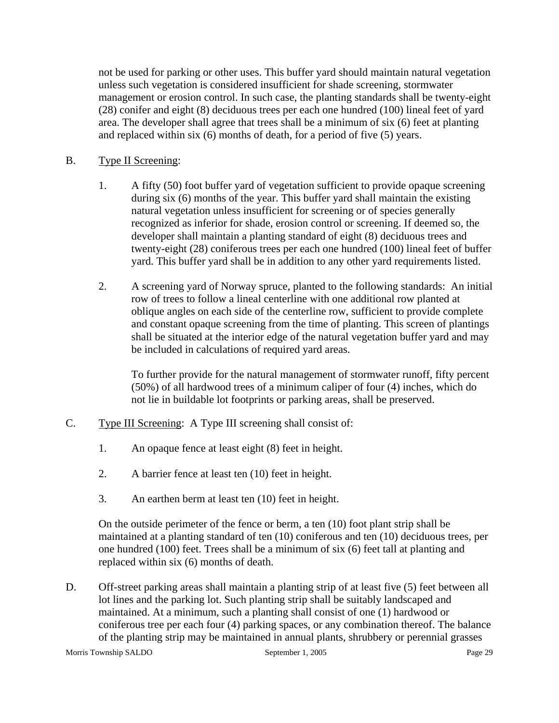not be used for parking or other uses. This buffer yard should maintain natural vegetation unless such vegetation is considered insufficient for shade screening, stormwater management or erosion control. In such case, the planting standards shall be twenty-eight (28) conifer and eight (8) deciduous trees per each one hundred (100) lineal feet of yard area. The developer shall agree that trees shall be a minimum of six (6) feet at planting and replaced within six (6) months of death, for a period of five (5) years.

- B. Type II Screening:
	- 1. A fifty (50) foot buffer yard of vegetation sufficient to provide opaque screening during six (6) months of the year. This buffer yard shall maintain the existing natural vegetation unless insufficient for screening or of species generally recognized as inferior for shade, erosion control or screening. If deemed so, the developer shall maintain a planting standard of eight (8) deciduous trees and twenty-eight (28) coniferous trees per each one hundred (100) lineal feet of buffer yard. This buffer yard shall be in addition to any other yard requirements listed.
	- 2. A screening yard of Norway spruce, planted to the following standards: An initial row of trees to follow a lineal centerline with one additional row planted at oblique angles on each side of the centerline row, sufficient to provide complete and constant opaque screening from the time of planting. This screen of plantings shall be situated at the interior edge of the natural vegetation buffer yard and may be included in calculations of required yard areas.

To further provide for the natural management of stormwater runoff, fifty percent (50%) of all hardwood trees of a minimum caliper of four (4) inches, which do not lie in buildable lot footprints or parking areas, shall be preserved.

- C. Type III Screening: A Type III screening shall consist of:
	- 1. An opaque fence at least eight (8) feet in height.
	- 2. A barrier fence at least ten (10) feet in height.
	- 3. An earthen berm at least ten (10) feet in height.

On the outside perimeter of the fence or berm, a ten (10) foot plant strip shall be maintained at a planting standard of ten (10) coniferous and ten (10) deciduous trees, per one hundred (100) feet. Trees shall be a minimum of six (6) feet tall at planting and replaced within six (6) months of death.

D. Off-street parking areas shall maintain a planting strip of at least five (5) feet between all lot lines and the parking lot. Such planting strip shall be suitably landscaped and maintained. At a minimum, such a planting shall consist of one (1) hardwood or coniferous tree per each four (4) parking spaces, or any combination thereof. The balance of the planting strip may be maintained in annual plants, shrubbery or perennial grasses

Morris Township SALDO September 1, 2005 Page 29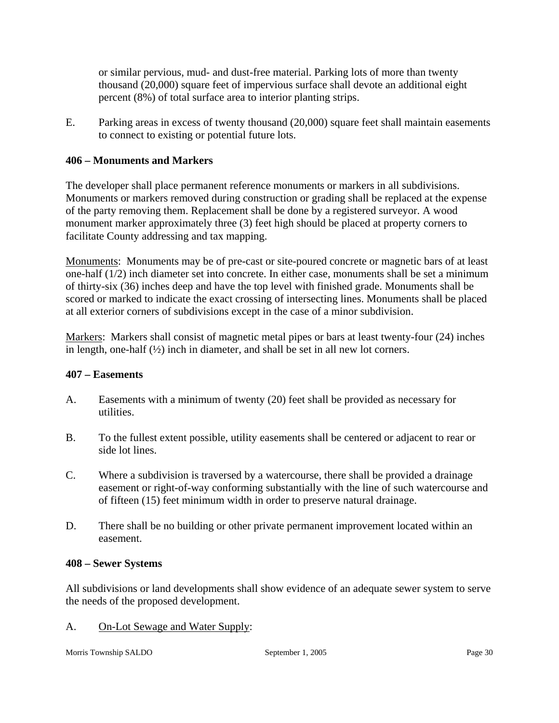or similar pervious, mud- and dust-free material. Parking lots of more than twenty thousand (20,000) square feet of impervious surface shall devote an additional eight percent (8%) of total surface area to interior planting strips.

E. Parking areas in excess of twenty thousand (20,000) square feet shall maintain easements to connect to existing or potential future lots.

## **406 – Monuments and Markers**

The developer shall place permanent reference monuments or markers in all subdivisions. Monuments or markers removed during construction or grading shall be replaced at the expense of the party removing them. Replacement shall be done by a registered surveyor. A wood monument marker approximately three (3) feet high should be placed at property corners to facilitate County addressing and tax mapping.

Monuments: Monuments may be of pre-cast or site-poured concrete or magnetic bars of at least one-half (1/2) inch diameter set into concrete. In either case, monuments shall be set a minimum of thirty-six (36) inches deep and have the top level with finished grade. Monuments shall be scored or marked to indicate the exact crossing of intersecting lines. Monuments shall be placed at all exterior corners of subdivisions except in the case of a minor subdivision.

Markers: Markers shall consist of magnetic metal pipes or bars at least twenty-four (24) inches in length, one-half  $(\frac{1}{2})$  inch in diameter, and shall be set in all new lot corners.

#### **407 – Easements**

- A. Easements with a minimum of twenty (20) feet shall be provided as necessary for utilities.
- B. To the fullest extent possible, utility easements shall be centered or adjacent to rear or side lot lines.
- C. Where a subdivision is traversed by a watercourse, there shall be provided a drainage easement or right-of-way conforming substantially with the line of such watercourse and of fifteen (15) feet minimum width in order to preserve natural drainage.
- D. There shall be no building or other private permanent improvement located within an easement.

#### **408 – Sewer Systems**

All subdivisions or land developments shall show evidence of an adequate sewer system to serve the needs of the proposed development.

A. On-Lot Sewage and Water Supply: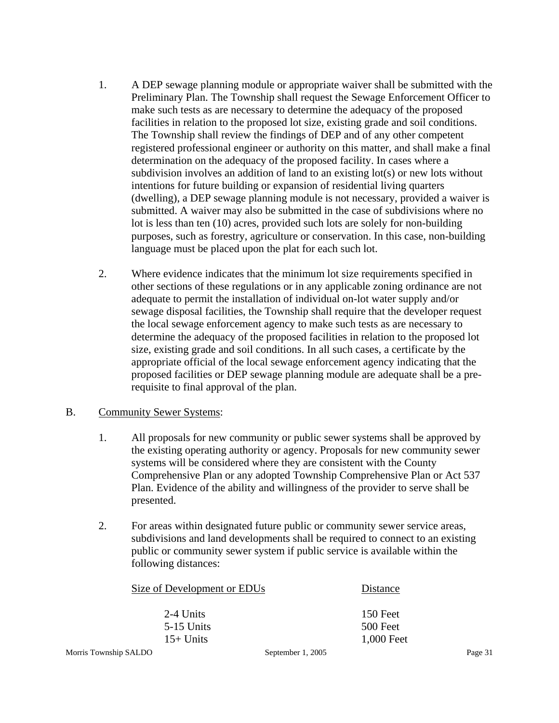- 1. A DEP sewage planning module or appropriate waiver shall be submitted with the Preliminary Plan. The Township shall request the Sewage Enforcement Officer to make such tests as are necessary to determine the adequacy of the proposed facilities in relation to the proposed lot size, existing grade and soil conditions. The Township shall review the findings of DEP and of any other competent registered professional engineer or authority on this matter, and shall make a final determination on the adequacy of the proposed facility. In cases where a subdivision involves an addition of land to an existing lot(s) or new lots without intentions for future building or expansion of residential living quarters (dwelling), a DEP sewage planning module is not necessary, provided a waiver is submitted. A waiver may also be submitted in the case of subdivisions where no lot is less than ten (10) acres, provided such lots are solely for non-building purposes, such as forestry, agriculture or conservation. In this case, non-building language must be placed upon the plat for each such lot.
- 2. Where evidence indicates that the minimum lot size requirements specified in other sections of these regulations or in any applicable zoning ordinance are not adequate to permit the installation of individual on-lot water supply and/or sewage disposal facilities, the Township shall require that the developer request the local sewage enforcement agency to make such tests as are necessary to determine the adequacy of the proposed facilities in relation to the proposed lot size, existing grade and soil conditions. In all such cases, a certificate by the appropriate official of the local sewage enforcement agency indicating that the proposed facilities or DEP sewage planning module are adequate shall be a prerequisite to final approval of the plan.

## B. Community Sewer Systems:

- 1. All proposals for new community or public sewer systems shall be approved by the existing operating authority or agency. Proposals for new community sewer systems will be considered where they are consistent with the County Comprehensive Plan or any adopted Township Comprehensive Plan or Act 537 Plan. Evidence of the ability and willingness of the provider to serve shall be presented.
- 2. For areas within designated future public or community sewer service areas, subdivisions and land developments shall be required to connect to an existing public or community sewer system if public service is available within the following distances:

|                       | Size of Development or EDUs |                   | Distance   |         |
|-----------------------|-----------------------------|-------------------|------------|---------|
|                       | 2-4 Units                   |                   | 150 Feet   |         |
|                       | $5-15$ Units                |                   | 500 Feet   |         |
|                       | $15+$ Units                 |                   | 1,000 Feet |         |
| Morris Township SALDO |                             | September 1, 2005 |            | Page 31 |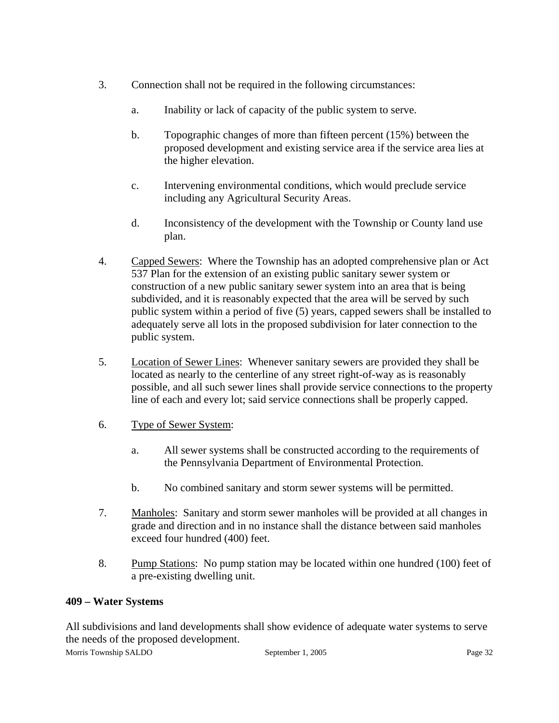- 3. Connection shall not be required in the following circumstances:
	- a. Inability or lack of capacity of the public system to serve.
	- b. Topographic changes of more than fifteen percent (15%) between the proposed development and existing service area if the service area lies at the higher elevation.
	- c. Intervening environmental conditions, which would preclude service including any Agricultural Security Areas.
	- d. Inconsistency of the development with the Township or County land use plan.
- 4. Capped Sewers: Where the Township has an adopted comprehensive plan or Act 537 Plan for the extension of an existing public sanitary sewer system or construction of a new public sanitary sewer system into an area that is being subdivided, and it is reasonably expected that the area will be served by such public system within a period of five (5) years, capped sewers shall be installed to adequately serve all lots in the proposed subdivision for later connection to the public system.
- 5. Location of Sewer Lines: Whenever sanitary sewers are provided they shall be located as nearly to the centerline of any street right-of-way as is reasonably possible, and all such sewer lines shall provide service connections to the property line of each and every lot; said service connections shall be properly capped.
- 6. Type of Sewer System:
	- a. All sewer systems shall be constructed according to the requirements of the Pennsylvania Department of Environmental Protection.
	- b. No combined sanitary and storm sewer systems will be permitted.
- 7. Manholes: Sanitary and storm sewer manholes will be provided at all changes in grade and direction and in no instance shall the distance between said manholes exceed four hundred (400) feet.
- 8. Pump Stations: No pump station may be located within one hundred (100) feet of a pre-existing dwelling unit.

## **409 – Water Systems**

Morris Township SALDO September 1, 2005 Page 32 All subdivisions and land developments shall show evidence of adequate water systems to serve the needs of the proposed development.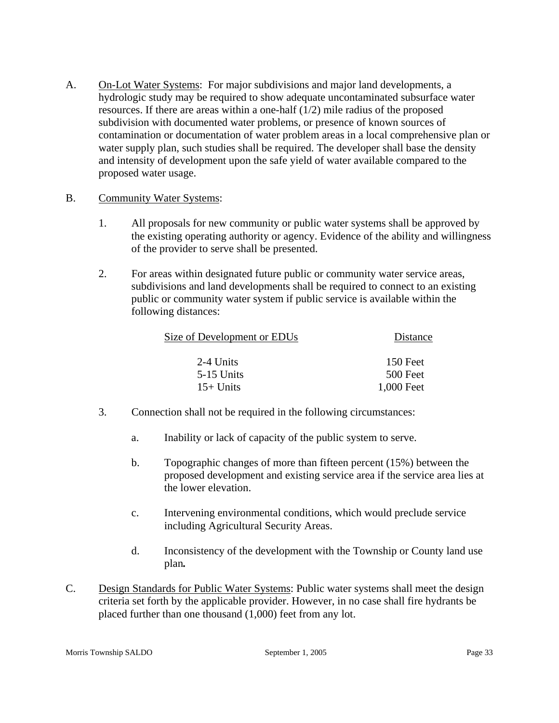A. On-Lot Water Systems: For major subdivisions and major land developments, a hydrologic study may be required to show adequate uncontaminated subsurface water resources. If there are areas within a one-half (1/2) mile radius of the proposed subdivision with documented water problems, or presence of known sources of contamination or documentation of water problem areas in a local comprehensive plan or water supply plan, such studies shall be required. The developer shall base the density and intensity of development upon the safe yield of water available compared to the proposed water usage.

#### B. Community Water Systems:

- 1. All proposals for new community or public water systems shall be approved by the existing operating authority or agency. Evidence of the ability and willingness of the provider to serve shall be presented.
- 2. For areas within designated future public or community water service areas, subdivisions and land developments shall be required to connect to an existing public or community water system if public service is available within the following distances:

| Distance   |
|------------|
| 150 Feet   |
| 500 Feet   |
| 1,000 Feet |
|            |

- 3. Connection shall not be required in the following circumstances:
	- a. Inability or lack of capacity of the public system to serve.
	- b. Topographic changes of more than fifteen percent (15%) between the proposed development and existing service area if the service area lies at the lower elevation.
	- c. Intervening environmental conditions, which would preclude service including Agricultural Security Areas.
	- d. Inconsistency of the development with the Township or County land use plan*.*
- C. Design Standards for Public Water Systems: Public water systems shall meet the design criteria set forth by the applicable provider. However, in no case shall fire hydrants be placed further than one thousand (1,000) feet from any lot.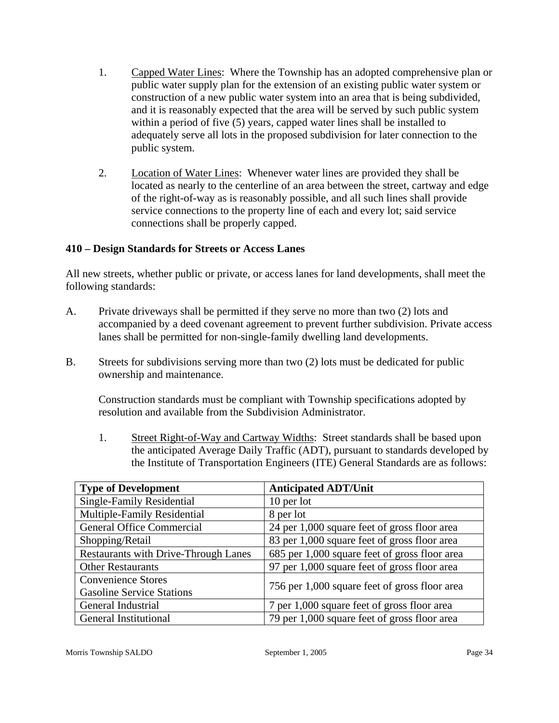- 1. Capped Water Lines: Where the Township has an adopted comprehensive plan or public water supply plan for the extension of an existing public water system or construction of a new public water system into an area that is being subdivided, and it is reasonably expected that the area will be served by such public system within a period of five (5) years, capped water lines shall be installed to adequately serve all lots in the proposed subdivision for later connection to the public system.
- 2. Location of Water Lines: Whenever water lines are provided they shall be located as nearly to the centerline of an area between the street, cartway and edge of the right-of-way as is reasonably possible, and all such lines shall provide service connections to the property line of each and every lot; said service connections shall be properly capped.

# **410 – Design Standards for Streets or Access Lanes**

All new streets, whether public or private, or access lanes for land developments, shall meet the following standards:

- A. Private driveways shall be permitted if they serve no more than two (2) lots and accompanied by a deed covenant agreement to prevent further subdivision. Private access lanes shall be permitted for non-single-family dwelling land developments.
- B. Streets for subdivisions serving more than two (2) lots must be dedicated for public ownership and maintenance.

Construction standards must be compliant with Township specifications adopted by resolution and available from the Subdivision Administrator.

1. Street Right-of-Way and Cartway Widths: Street standards shall be based upon the anticipated Average Daily Traffic (ADT), pursuant to standards developed by the Institute of Transportation Engineers (ITE) General Standards are as follows:

| <b>Type of Development</b>                  | <b>Anticipated ADT/Unit</b>                   |  |
|---------------------------------------------|-----------------------------------------------|--|
| Single-Family Residential                   | 10 per lot                                    |  |
| Multiple-Family Residential                 | 8 per lot                                     |  |
| <b>General Office Commercial</b>            | 24 per 1,000 square feet of gross floor area  |  |
| Shopping/Retail                             | 83 per 1,000 square feet of gross floor area  |  |
| <b>Restaurants with Drive-Through Lanes</b> | 685 per 1,000 square feet of gross floor area |  |
| <b>Other Restaurants</b>                    | 97 per 1,000 square feet of gross floor area  |  |
| <b>Convenience Stores</b>                   |                                               |  |
| <b>Gasoline Service Stations</b>            | 756 per 1,000 square feet of gross floor area |  |
| General Industrial                          | 7 per 1,000 square feet of gross floor area   |  |
| <b>General Institutional</b>                | 79 per 1,000 square feet of gross floor area  |  |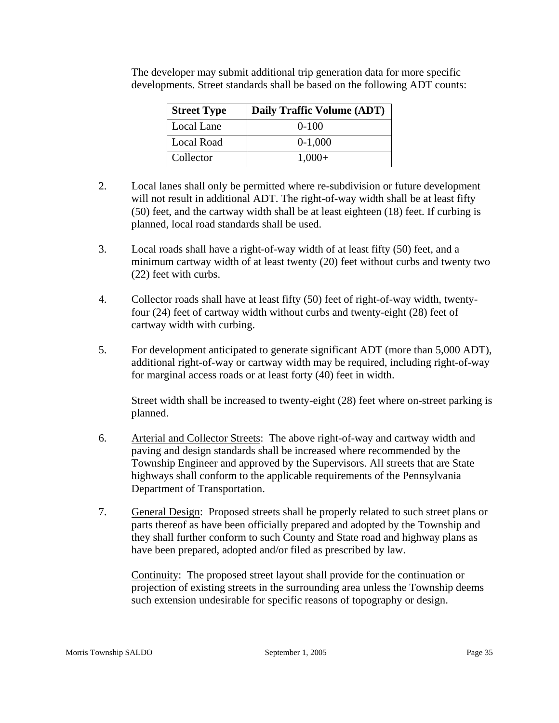| <b>Street Type</b> | Daily Traffic Volume (ADT) |
|--------------------|----------------------------|
| Local Lane         | $0-100$                    |
| Local Road         | $0-1,000$                  |
| Collector          | $1,000+$                   |

The developer may submit additional trip generation data for more specific developments. Street standards shall be based on the following ADT counts:

- 2. Local lanes shall only be permitted where re-subdivision or future development will not result in additional ADT. The right-of-way width shall be at least fifty (50) feet, and the cartway width shall be at least eighteen (18) feet. If curbing is planned, local road standards shall be used.
- 3. Local roads shall have a right-of-way width of at least fifty (50) feet, and a minimum cartway width of at least twenty (20) feet without curbs and twenty two (22) feet with curbs.
- 4. Collector roads shall have at least fifty (50) feet of right-of-way width, twentyfour (24) feet of cartway width without curbs and twenty-eight (28) feet of cartway width with curbing.
- 5. For development anticipated to generate significant ADT (more than 5,000 ADT), additional right-of-way or cartway width may be required, including right-of-way for marginal access roads or at least forty (40) feet in width.

Street width shall be increased to twenty-eight (28) feet where on-street parking is planned.

- 6. Arterial and Collector Streets: The above right-of-way and cartway width and paving and design standards shall be increased where recommended by the Township Engineer and approved by the Supervisors. All streets that are State highways shall conform to the applicable requirements of the Pennsylvania Department of Transportation.
- 7. General Design: Proposed streets shall be properly related to such street plans or parts thereof as have been officially prepared and adopted by the Township and they shall further conform to such County and State road and highway plans as have been prepared, adopted and/or filed as prescribed by law.

Continuity: The proposed street layout shall provide for the continuation or projection of existing streets in the surrounding area unless the Township deems such extension undesirable for specific reasons of topography or design.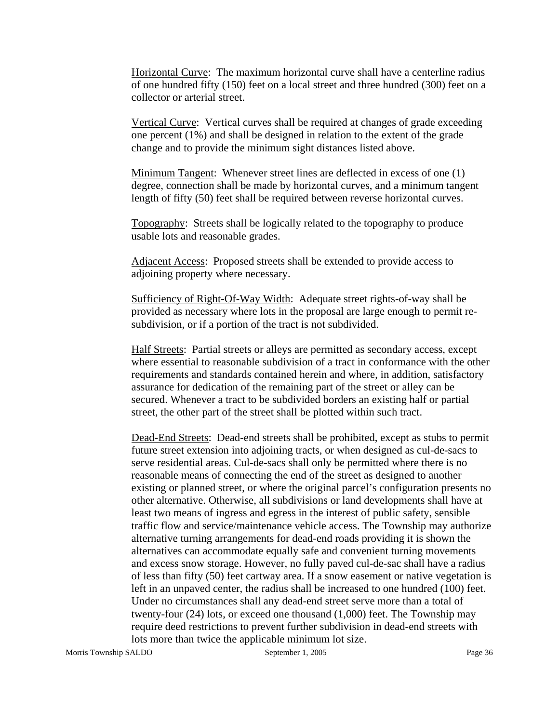Horizontal Curve: The maximum horizontal curve shall have a centerline radius of one hundred fifty (150) feet on a local street and three hundred (300) feet on a collector or arterial street.

Vertical Curve: Vertical curves shall be required at changes of grade exceeding one percent (1%) and shall be designed in relation to the extent of the grade change and to provide the minimum sight distances listed above.

Minimum Tangent: Whenever street lines are deflected in excess of one (1) degree, connection shall be made by horizontal curves, and a minimum tangent length of fifty (50) feet shall be required between reverse horizontal curves.

Topography: Streets shall be logically related to the topography to produce usable lots and reasonable grades.

Adjacent Access: Proposed streets shall be extended to provide access to adjoining property where necessary.

Sufficiency of Right-Of-Way Width: Adequate street rights-of-way shall be provided as necessary where lots in the proposal are large enough to permit resubdivision, or if a portion of the tract is not subdivided.

Half Streets: Partial streets or alleys are permitted as secondary access, except where essential to reasonable subdivision of a tract in conformance with the other requirements and standards contained herein and where, in addition, satisfactory assurance for dedication of the remaining part of the street or alley can be secured. Whenever a tract to be subdivided borders an existing half or partial street, the other part of the street shall be plotted within such tract.

Dead-End Streets: Dead-end streets shall be prohibited, except as stubs to permit future street extension into adjoining tracts, or when designed as cul-de-sacs to serve residential areas. Cul-de-sacs shall only be permitted where there is no reasonable means of connecting the end of the street as designed to another existing or planned street, or where the original parcel's configuration presents no other alternative. Otherwise, all subdivisions or land developments shall have at least two means of ingress and egress in the interest of public safety, sensible traffic flow and service/maintenance vehicle access. The Township may authorize alternative turning arrangements for dead-end roads providing it is shown the alternatives can accommodate equally safe and convenient turning movements and excess snow storage. However, no fully paved cul-de-sac shall have a radius of less than fifty (50) feet cartway area. If a snow easement or native vegetation is left in an unpaved center, the radius shall be increased to one hundred (100) feet. Under no circumstances shall any dead-end street serve more than a total of twenty-four (24) lots, or exceed one thousand (1,000) feet. The Township may require deed restrictions to prevent further subdivision in dead-end streets with lots more than twice the applicable minimum lot size.

Morris Township SALDO September 1, 2005 September 1, 2005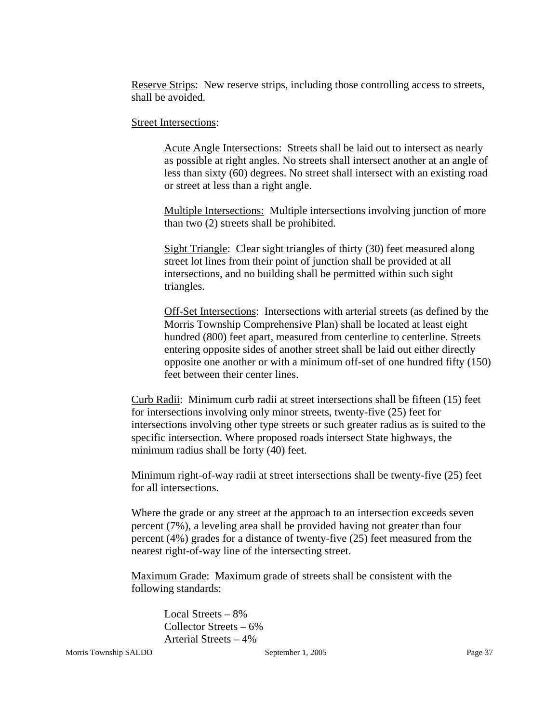Reserve Strips: New reserve strips, including those controlling access to streets, shall be avoided.

Street Intersections:

Acute Angle Intersections: Streets shall be laid out to intersect as nearly as possible at right angles. No streets shall intersect another at an angle of less than sixty (60) degrees. No street shall intersect with an existing road or street at less than a right angle.

Multiple Intersections: Multiple intersections involving junction of more than two (2) streets shall be prohibited.

Sight Triangle: Clear sight triangles of thirty (30) feet measured along street lot lines from their point of junction shall be provided at all intersections, and no building shall be permitted within such sight triangles.

Off-Set Intersections: Intersections with arterial streets (as defined by the Morris Township Comprehensive Plan) shall be located at least eight hundred (800) feet apart, measured from centerline to centerline. Streets entering opposite sides of another street shall be laid out either directly opposite one another or with a minimum off-set of one hundred fifty (150) feet between their center lines.

Curb Radii: Minimum curb radii at street intersections shall be fifteen (15) feet for intersections involving only minor streets, twenty-five (25) feet for intersections involving other type streets or such greater radius as is suited to the specific intersection. Where proposed roads intersect State highways, the minimum radius shall be forty (40) feet.

Minimum right-of-way radii at street intersections shall be twenty-five (25) feet for all intersections.

Where the grade or any street at the approach to an intersection exceeds seven percent (7%), a leveling area shall be provided having not greater than four percent (4%) grades for a distance of twenty-five (25) feet measured from the nearest right-of-way line of the intersecting street.

Maximum Grade: Maximum grade of streets shall be consistent with the following standards:

> Local Streets – 8% Collector Streets – 6% Arterial Streets – 4%

Morris Township SALDO September 1, 2005 Page 37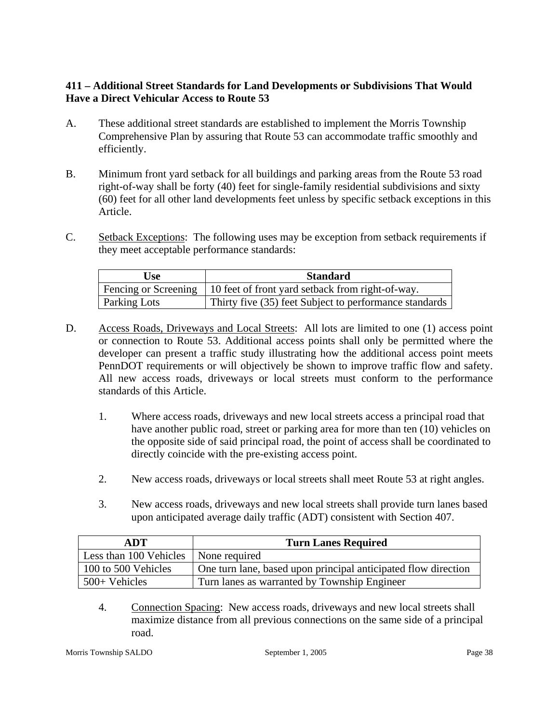# **411 – Additional Street Standards for Land Developments or Subdivisions That Would Have a Direct Vehicular Access to Route 53**

- A. These additional street standards are established to implement the Morris Township Comprehensive Plan by assuring that Route 53 can accommodate traffic smoothly and efficiently.
- B. Minimum front yard setback for all buildings and parking areas from the Route 53 road right-of-way shall be forty (40) feet for single-family residential subdivisions and sixty (60) feet for all other land developments feet unless by specific setback exceptions in this Article.
- C. Setback Exceptions: The following uses may be exception from setback requirements if they meet acceptable performance standards:

| Use                 | <b>Standard</b>                                                         |
|---------------------|-------------------------------------------------------------------------|
|                     | Fencing or Screening   10 feet of front yard setback from right-of-way. |
| <b>Parking Lots</b> | Thirty five (35) feet Subject to performance standards                  |

- D. Access Roads, Driveways and Local Streets: All lots are limited to one (1) access point or connection to Route 53. Additional access points shall only be permitted where the developer can present a traffic study illustrating how the additional access point meets PennDOT requirements or will objectively be shown to improve traffic flow and safety. All new access roads, driveways or local streets must conform to the performance standards of this Article.
	- 1. Where access roads, driveways and new local streets access a principal road that have another public road, street or parking area for more than ten (10) vehicles on the opposite side of said principal road, the point of access shall be coordinated to directly coincide with the pre-existing access point.
	- 2. New access roads, driveways or local streets shall meet Route 53 at right angles.
	- 3. New access roads, driveways and new local streets shall provide turn lanes based upon anticipated average daily traffic (ADT) consistent with Section 407.

| ADT                                    | <b>Turn Lanes Required</b>                                     |  |  |
|----------------------------------------|----------------------------------------------------------------|--|--|
| Less than 100 Vehicles   None required |                                                                |  |  |
| 100 to 500 Vehicles                    | One turn lane, based upon principal anticipated flow direction |  |  |
| $500+$ Vehicles                        | Turn lanes as warranted by Township Engineer                   |  |  |

4. Connection Spacing: New access roads, driveways and new local streets shall maximize distance from all previous connections on the same side of a principal road.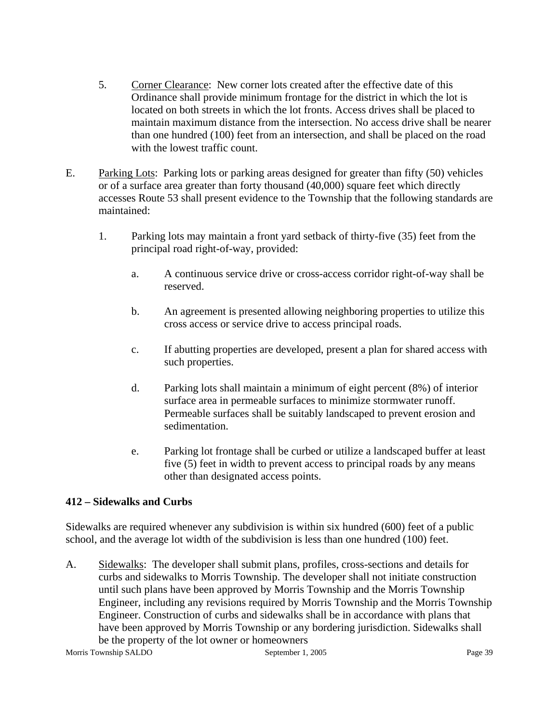- 5. Corner Clearance: New corner lots created after the effective date of this Ordinance shall provide minimum frontage for the district in which the lot is located on both streets in which the lot fronts. Access drives shall be placed to maintain maximum distance from the intersection. No access drive shall be nearer than one hundred (100) feet from an intersection, and shall be placed on the road with the lowest traffic count.
- E. Parking Lots: Parking lots or parking areas designed for greater than fifty (50) vehicles or of a surface area greater than forty thousand (40,000) square feet which directly accesses Route 53 shall present evidence to the Township that the following standards are maintained:
	- 1. Parking lots may maintain a front yard setback of thirty-five (35) feet from the principal road right-of-way, provided:
		- a. A continuous service drive or cross-access corridor right-of-way shall be reserved.
		- b. An agreement is presented allowing neighboring properties to utilize this cross access or service drive to access principal roads.
		- c. If abutting properties are developed, present a plan for shared access with such properties.
		- d. Parking lots shall maintain a minimum of eight percent (8%) of interior surface area in permeable surfaces to minimize stormwater runoff. Permeable surfaces shall be suitably landscaped to prevent erosion and sedimentation.
		- e. Parking lot frontage shall be curbed or utilize a landscaped buffer at least five (5) feet in width to prevent access to principal roads by any means other than designated access points.

# **412 – Sidewalks and Curbs**

Sidewalks are required whenever any subdivision is within six hundred (600) feet of a public school, and the average lot width of the subdivision is less than one hundred (100) feet.

A. Sidewalks: The developer shall submit plans, profiles, cross-sections and details for curbs and sidewalks to Morris Township. The developer shall not initiate construction until such plans have been approved by Morris Township and the Morris Township Engineer, including any revisions required by Morris Township and the Morris Township Engineer. Construction of curbs and sidewalks shall be in accordance with plans that have been approved by Morris Township or any bordering jurisdiction. Sidewalks shall be the property of the lot owner or homeowners

Morris Township SALDO September 1, 2005 Page 39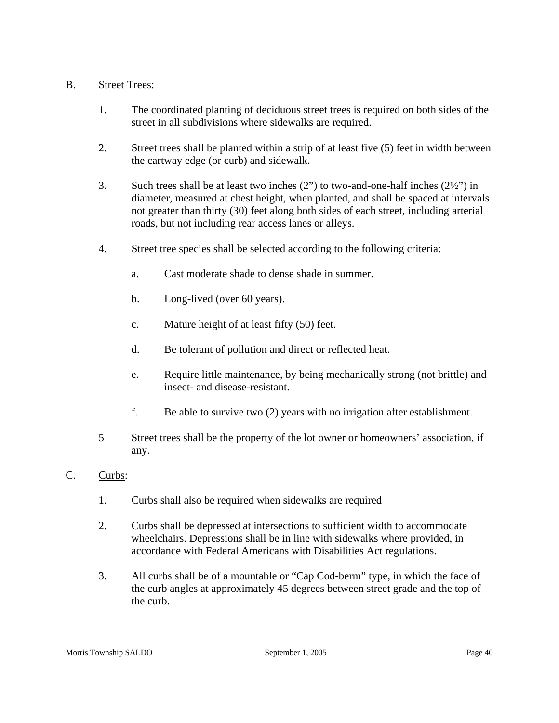#### B. Street Trees:

- 1. The coordinated planting of deciduous street trees is required on both sides of the street in all subdivisions where sidewalks are required.
- 2. Street trees shall be planted within a strip of at least five (5) feet in width between the cartway edge (or curb) and sidewalk.
- 3. Such trees shall be at least two inches (2") to two-and-one-half inches (2½") in diameter, measured at chest height, when planted, and shall be spaced at intervals not greater than thirty (30) feet along both sides of each street, including arterial roads, but not including rear access lanes or alleys.
- 4. Street tree species shall be selected according to the following criteria:
	- a. Cast moderate shade to dense shade in summer.
	- b. Long-lived (over 60 years).
	- c. Mature height of at least fifty (50) feet.
	- d. Be tolerant of pollution and direct or reflected heat.
	- e. Require little maintenance, by being mechanically strong (not brittle) and insect- and disease-resistant.
	- f. Be able to survive two (2) years with no irrigation after establishment.
- 5 Street trees shall be the property of the lot owner or homeowners' association, if any.

# C. Curbs:

- 1. Curbs shall also be required when sidewalks are required
- 2. Curbs shall be depressed at intersections to sufficient width to accommodate wheelchairs. Depressions shall be in line with sidewalks where provided, in accordance with Federal Americans with Disabilities Act regulations.
- 3. All curbs shall be of a mountable or "Cap Cod-berm" type, in which the face of the curb angles at approximately 45 degrees between street grade and the top of the curb.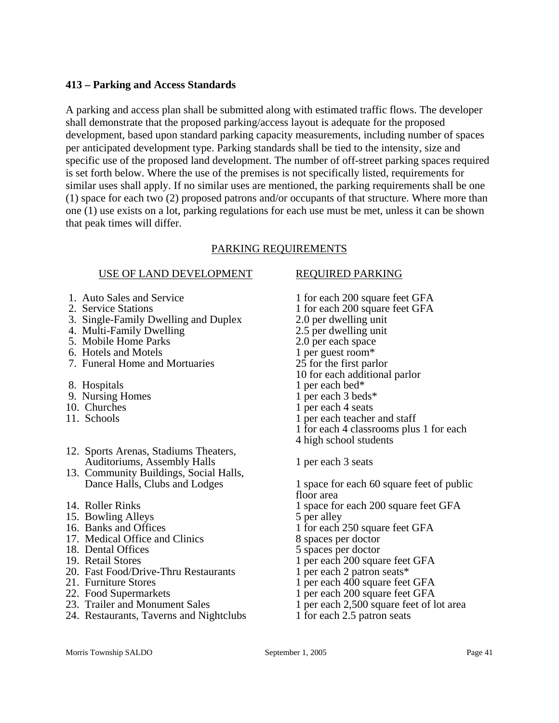#### **413 – Parking and Access Standards**

A parking and access plan shall be submitted along with estimated traffic flows. The developer shall demonstrate that the proposed parking/access layout is adequate for the proposed development, based upon standard parking capacity measurements, including number of spaces per anticipated development type. Parking standards shall be tied to the intensity, size and specific use of the proposed land development. The number of off-street parking spaces required is set forth below. Where the use of the premises is not specifically listed, requirements for similar uses shall apply. If no similar uses are mentioned, the parking requirements shall be one (1) space for each two (2) proposed patrons and/or occupants of that structure. Where more than one (1) use exists on a lot, parking regulations for each use must be met, unless it can be shown that peak times will differ.

# PARKING REQUIREMENTS

#### USE OF LAND DEVELOPMENT REQUIRED PARKING

- 
- 
- 3. Single-Family Dwelling and Duplex 2.0 per dwelling unit 4. Multi-Family Dwelling and Duplex 2.5 per dwelling unit
- 4. Multi-Family Dwelling
- 
- 6. Hotels and Motels
- 7. Funeral Home and Mortuaries 25 for the first parlor
- 
- 8. Hospitals 1 per each bed\*<br>
9. Nursing Homes 1 per each 3 bec 9. Nursing Homes 1 per each 3 beds\*<br>10. Churches 1 per each 4 seats
- 
- 
- 12. Sports Arenas, Stadiums Theaters, Auditoriums, Assembly Halls 1 per each 3 seats
- 13. Community Buildings, Social Halls,
- 
- 15. Bowling Alleys 5 per alley
- 
- 17. Medical Office and Clinics<br>18. Dental Offices
- 
- 
- 19. Retail Stores 1 per each 200 square feet GFA<br>
20. Fast Food/Drive-Thru Restaurants 1 per each 2 patron seats\* 20. Fast Food/Drive-Thru Restaurants<br>21. Furniture Stores
- 
- 
- 
- 24. Restaurants, Taverns and Nightclubs 1 for each 2.5 patron seats

- 1. Auto Sales and Service 1 for each 200 square feet GFA 2. Service Stations 1 for each 200 square feet GFA 5. Mobile Home Parks 2.0 per each space<br>6. Hotels and Motels 1 per guest room\*
	-
	-
	- 10 for each additional parlor
	-
	-
- 10. Churches 1 per each 4 seats<br>11. Schools 1 per each teacher
	- 1 per each teacher and staff
	- 1 for each 4 classrooms plus 1 for each
	- 4 high school students
	-
	- Dance Halls, Clubs and Lodges 1 space for each 60 square feet of public floor area
- 14. Roller Rinks 1 space for each 200 square feet GFA
	-
- 16. Banks and Offices<br>
17. Medical Office and Clinics<br>
17. Medical Office and Clinics<br>
18 spaces per doctor
	-
	- 5 spaces per doctor
	-
	-
- 21. Furniture Stores 1 per each 400 square feet GFA<br>22. Food Supermarkets 1 per each 200 square feet GFA
	- 1 per each 200 square feet GFA
- 23. Trailer and Monument Sales 1 per each 2,500 square feet of lot area
	-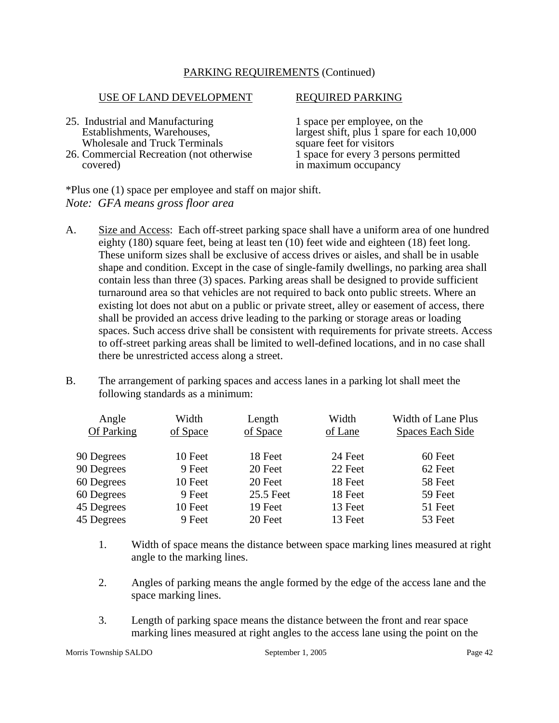#### PARKING REQUIREMENTS (Continued)

#### USE OF LAND DEVELOPMENT REQUIRED PARKING

- 25. Industrial and Manufacturing 1 space per employee, on the Establishments. Warehouses. 1 argest shift, plus 1 space for  $\epsilon$
- 26. Commercial Recreation (not otherwise covered)

largest shift, plus  $\dot{1}$  spare for each 10,000 square feet for visitors Wholesale and Truck Terminals<br>
Commercial Recreation (not otherwise 1 space for every 3 persons permitted in maximum occupancy

\*Plus one (1) space per employee and staff on major shift. *Note: GFA means gross floor area* 

- A. Size and Access: Each off-street parking space shall have a uniform area of one hundred eighty (180) square feet, being at least ten (10) feet wide and eighteen (18) feet long. These uniform sizes shall be exclusive of access drives or aisles, and shall be in usable shape and condition. Except in the case of single-family dwellings, no parking area shall contain less than three (3) spaces. Parking areas shall be designed to provide sufficient turnaround area so that vehicles are not required to back onto public streets. Where an existing lot does not abut on a public or private street, alley or easement of access, there shall be provided an access drive leading to the parking or storage areas or loading spaces. Such access drive shall be consistent with requirements for private streets. Access to off-street parking areas shall be limited to well-defined locations, and in no case shall there be unrestricted access along a street.
- B. The arrangement of parking spaces and access lanes in a parking lot shall meet the following standards as a minimum:

| Angle<br>Of Parking | Width<br>of Space | Length<br>of Space | Width<br>of Lane | Width of Lane Plus<br><b>Spaces Each Side</b> |
|---------------------|-------------------|--------------------|------------------|-----------------------------------------------|
| 90 Degrees          | 10 Feet           | 18 Feet            | 24 Feet          | 60 Feet                                       |
| 90 Degrees          | 9 Feet            | 20 Feet            | 22 Feet          | 62 Feet                                       |
| 60 Degrees          | 10 Feet           | 20 Feet            | 18 Feet          | 58 Feet                                       |
| 60 Degrees          | 9 Feet            | 25.5 Feet          | 18 Feet          | 59 Feet                                       |
| 45 Degrees          | 10 Feet           | 19 Feet            | 13 Feet          | 51 Feet                                       |
| 45 Degrees          | 9 Feet            | 20 Feet            | 13 Feet          | 53 Feet                                       |
|                     |                   |                    |                  |                                               |

- 1. Width of space means the distance between space marking lines measured at right angle to the marking lines.
- 2. Angles of parking means the angle formed by the edge of the access lane and the space marking lines.
- 3. Length of parking space means the distance between the front and rear space marking lines measured at right angles to the access lane using the point on the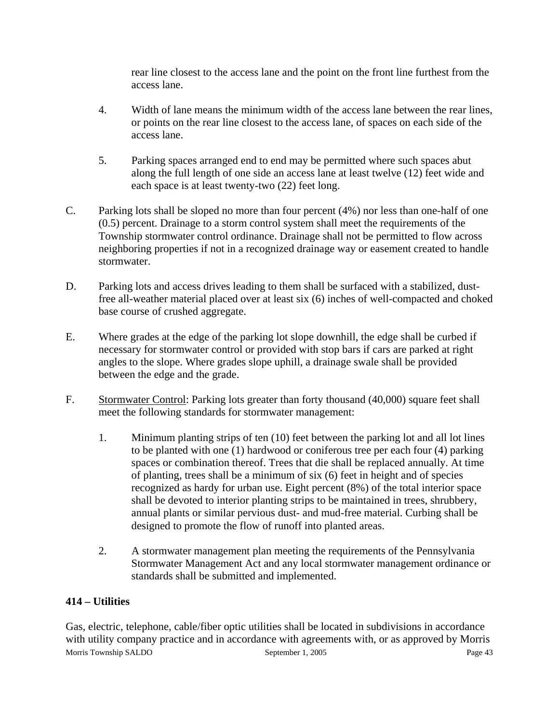rear line closest to the access lane and the point on the front line furthest from the access lane.

- 4. Width of lane means the minimum width of the access lane between the rear lines, or points on the rear line closest to the access lane, of spaces on each side of the access lane.
- 5. Parking spaces arranged end to end may be permitted where such spaces abut along the full length of one side an access lane at least twelve (12) feet wide and each space is at least twenty-two (22) feet long.
- C. Parking lots shall be sloped no more than four percent (4%) nor less than one-half of one (0.5) percent. Drainage to a storm control system shall meet the requirements of the Township stormwater control ordinance. Drainage shall not be permitted to flow across neighboring properties if not in a recognized drainage way or easement created to handle stormwater.
- D. Parking lots and access drives leading to them shall be surfaced with a stabilized, dustfree all-weather material placed over at least six (6) inches of well-compacted and choked base course of crushed aggregate.
- E. Where grades at the edge of the parking lot slope downhill, the edge shall be curbed if necessary for stormwater control or provided with stop bars if cars are parked at right angles to the slope. Where grades slope uphill, a drainage swale shall be provided between the edge and the grade.
- F. Stormwater Control: Parking lots greater than forty thousand (40,000) square feet shall meet the following standards for stormwater management:
	- 1. Minimum planting strips of ten (10) feet between the parking lot and all lot lines to be planted with one (1) hardwood or coniferous tree per each four (4) parking spaces or combination thereof. Trees that die shall be replaced annually. At time of planting, trees shall be a minimum of six (6) feet in height and of species recognized as hardy for urban use. Eight percent (8%) of the total interior space shall be devoted to interior planting strips to be maintained in trees, shrubbery, annual plants or similar pervious dust- and mud-free material. Curbing shall be designed to promote the flow of runoff into planted areas.
	- 2. A stormwater management plan meeting the requirements of the Pennsylvania Stormwater Management Act and any local stormwater management ordinance or standards shall be submitted and implemented.

# **414 – Utilities**

Morris Township SALDO September 1, 2005 Page 43 Gas, electric, telephone, cable/fiber optic utilities shall be located in subdivisions in accordance with utility company practice and in accordance with agreements with, or as approved by Morris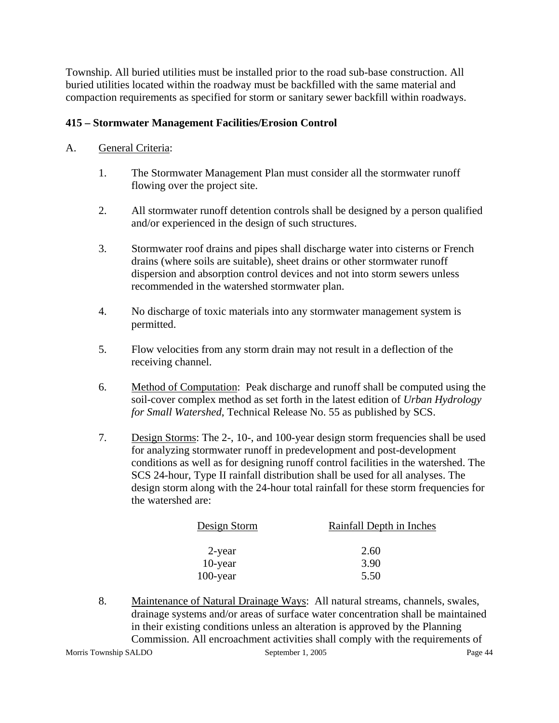Township. All buried utilities must be installed prior to the road sub-base construction. All buried utilities located within the roadway must be backfilled with the same material and compaction requirements as specified for storm or sanitary sewer backfill within roadways.

#### **415 – Stormwater Management Facilities/Erosion Control**

#### A. General Criteria:

- 1. The Stormwater Management Plan must consider all the stormwater runoff flowing over the project site.
- 2. All stormwater runoff detention controls shall be designed by a person qualified and/or experienced in the design of such structures.
- 3. Stormwater roof drains and pipes shall discharge water into cisterns or French drains (where soils are suitable), sheet drains or other stormwater runoff dispersion and absorption control devices and not into storm sewers unless recommended in the watershed stormwater plan.
- 4. No discharge of toxic materials into any stormwater management system is permitted.
- 5. Flow velocities from any storm drain may not result in a deflection of the receiving channel.
- 6. Method of Computation: Peak discharge and runoff shall be computed using the soil-cover complex method as set forth in the latest edition of *Urban Hydrology for Small Watershed*, Technical Release No. 55 as published by SCS.
- 7. Design Storms: The 2-, 10-, and 100-year design storm frequencies shall be used for analyzing stormwater runoff in predevelopment and post-development conditions as well as for designing runoff control facilities in the watershed. The SCS 24-hour, Type II rainfall distribution shall be used for all analyses. The design storm along with the 24-hour total rainfall for these storm frequencies for the watershed are:

| Design Storm | Rainfall Depth in Inches |
|--------------|--------------------------|
| 2-year       | 2.60                     |
| $10$ -year   | 3.90                     |
| $100$ -year  | 5.50                     |

Morris Township SALDO September 1, 2005 Page 44 8. Maintenance of Natural Drainage Ways: All natural streams, channels, swales, drainage systems and/or areas of surface water concentration shall be maintained in their existing conditions unless an alteration is approved by the Planning Commission. All encroachment activities shall comply with the requirements of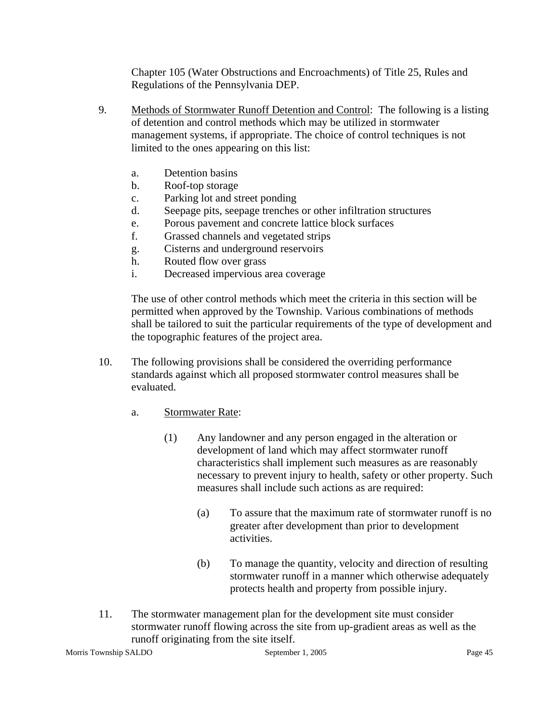Chapter 105 (Water Obstructions and Encroachments) of Title 25, Rules and Regulations of the Pennsylvania DEP.

- 9. Methods of Stormwater Runoff Detention and Control: The following is a listing of detention and control methods which may be utilized in stormwater management systems, if appropriate. The choice of control techniques is not limited to the ones appearing on this list:
	- a. Detention basins
	- b. Roof-top storage
	- c. Parking lot and street ponding
	- d. Seepage pits, seepage trenches or other infiltration structures
	- e. Porous pavement and concrete lattice block surfaces
	- f. Grassed channels and vegetated strips
	- g. Cisterns and underground reservoirs
	- h. Routed flow over grass
	- i. Decreased impervious area coverage

The use of other control methods which meet the criteria in this section will be permitted when approved by the Township. Various combinations of methods shall be tailored to suit the particular requirements of the type of development and the topographic features of the project area.

- 10. The following provisions shall be considered the overriding performance standards against which all proposed stormwater control measures shall be evaluated.
	- a. Stormwater Rate:
		- (1) Any landowner and any person engaged in the alteration or development of land which may affect stormwater runoff characteristics shall implement such measures as are reasonably necessary to prevent injury to health, safety or other property. Such measures shall include such actions as are required:
			- (a) To assure that the maximum rate of stormwater runoff is no greater after development than prior to development activities.
			- (b) To manage the quantity, velocity and direction of resulting stormwater runoff in a manner which otherwise adequately protects health and property from possible injury.
- 11. The stormwater management plan for the development site must consider stormwater runoff flowing across the site from up-gradient areas as well as the runoff originating from the site itself.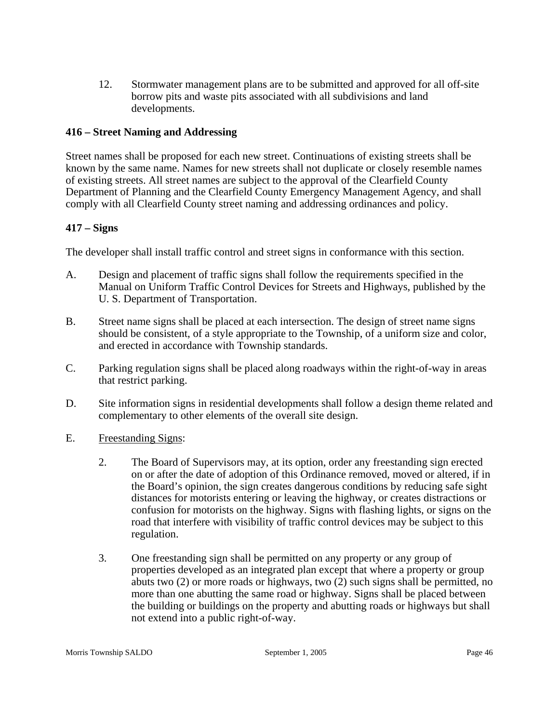12. Stormwater management plans are to be submitted and approved for all off-site borrow pits and waste pits associated with all subdivisions and land developments.

#### **416 – Street Naming and Addressing**

Street names shall be proposed for each new street. Continuations of existing streets shall be known by the same name. Names for new streets shall not duplicate or closely resemble names of existing streets. All street names are subject to the approval of the Clearfield County Department of Planning and the Clearfield County Emergency Management Agency, and shall comply with all Clearfield County street naming and addressing ordinances and policy.

#### **417 – Signs**

The developer shall install traffic control and street signs in conformance with this section.

- A. Design and placement of traffic signs shall follow the requirements specified in the Manual on Uniform Traffic Control Devices for Streets and Highways, published by the U. S. Department of Transportation.
- B. Street name signs shall be placed at each intersection. The design of street name signs should be consistent, of a style appropriate to the Township, of a uniform size and color, and erected in accordance with Township standards.
- C. Parking regulation signs shall be placed along roadways within the right-of-way in areas that restrict parking.
- D. Site information signs in residential developments shall follow a design theme related and complementary to other elements of the overall site design.
- E. Freestanding Signs:
	- 2. The Board of Supervisors may, at its option, order any freestanding sign erected on or after the date of adoption of this Ordinance removed, moved or altered, if in the Board's opinion, the sign creates dangerous conditions by reducing safe sight distances for motorists entering or leaving the highway, or creates distractions or confusion for motorists on the highway. Signs with flashing lights, or signs on the road that interfere with visibility of traffic control devices may be subject to this regulation.
	- 3. One freestanding sign shall be permitted on any property or any group of properties developed as an integrated plan except that where a property or group abuts two (2) or more roads or highways, two (2) such signs shall be permitted, no more than one abutting the same road or highway. Signs shall be placed between the building or buildings on the property and abutting roads or highways but shall not extend into a public right-of-way.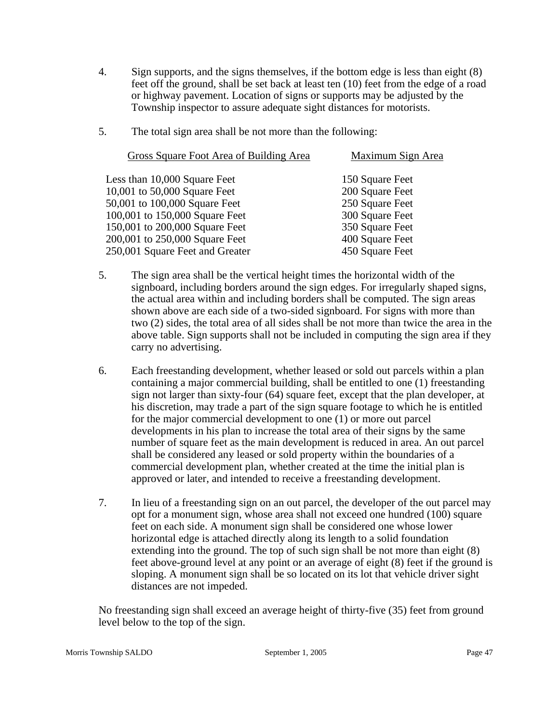- 4. Sign supports, and the signs themselves, if the bottom edge is less than eight (8) feet off the ground, shall be set back at least ten (10) feet from the edge of a road or highway pavement. Location of signs or supports may be adjusted by the Township inspector to assure adequate sight distances for motorists.
- 5. The total sign area shall be not more than the following:

| Gross Square Foot Area of Building Area | Maximum Sign Area |
|-----------------------------------------|-------------------|
| Less than 10,000 Square Feet            | 150 Square Feet   |
| 10,001 to 50,000 Square Feet            | 200 Square Feet   |
| 50,001 to 100,000 Square Feet           | 250 Square Feet   |
| 100,001 to 150,000 Square Feet          | 300 Square Feet   |
| 150,001 to 200,000 Square Feet          | 350 Square Feet   |
| 200,001 to 250,000 Square Feet          | 400 Square Feet   |
| 250,001 Square Feet and Greater         | 450 Square Feet   |
|                                         |                   |

- 5. The sign area shall be the vertical height times the horizontal width of the signboard, including borders around the sign edges. For irregularly shaped signs, the actual area within and including borders shall be computed. The sign areas shown above are each side of a two-sided signboard. For signs with more than two (2) sides, the total area of all sides shall be not more than twice the area in the above table. Sign supports shall not be included in computing the sign area if they carry no advertising.
- 6. Each freestanding development, whether leased or sold out parcels within a plan containing a major commercial building, shall be entitled to one (1) freestanding sign not larger than sixty-four (64) square feet, except that the plan developer, at his discretion, may trade a part of the sign square footage to which he is entitled for the major commercial development to one (1) or more out parcel developments in his plan to increase the total area of their signs by the same number of square feet as the main development is reduced in area. An out parcel shall be considered any leased or sold property within the boundaries of a commercial development plan, whether created at the time the initial plan is approved or later, and intended to receive a freestanding development.
- 7. In lieu of a freestanding sign on an out parcel, the developer of the out parcel may opt for a monument sign, whose area shall not exceed one hundred (100) square feet on each side. A monument sign shall be considered one whose lower horizontal edge is attached directly along its length to a solid foundation extending into the ground. The top of such sign shall be not more than eight (8) feet above-ground level at any point or an average of eight (8) feet if the ground is sloping. A monument sign shall be so located on its lot that vehicle driver sight distances are not impeded.

No freestanding sign shall exceed an average height of thirty-five (35) feet from ground level below to the top of the sign.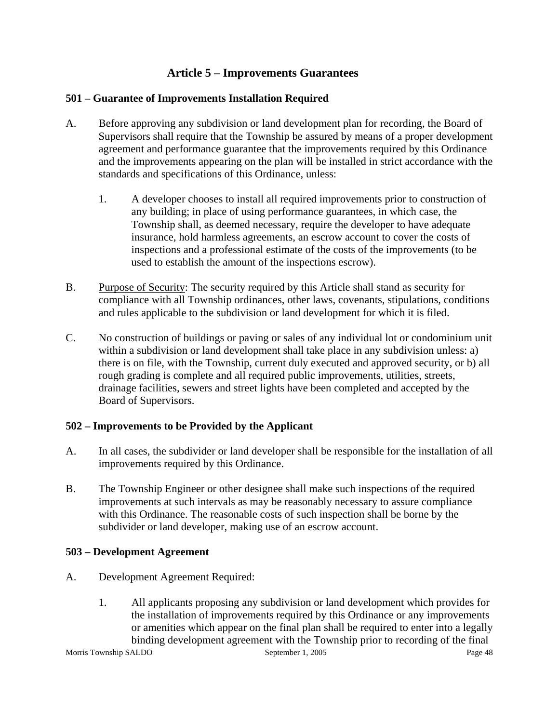# **Article 5 – Improvements Guarantees**

# **501 – Guarantee of Improvements Installation Required**

- A. Before approving any subdivision or land development plan for recording, the Board of Supervisors shall require that the Township be assured by means of a proper development agreement and performance guarantee that the improvements required by this Ordinance and the improvements appearing on the plan will be installed in strict accordance with the standards and specifications of this Ordinance, unless:
	- 1. A developer chooses to install all required improvements prior to construction of any building; in place of using performance guarantees, in which case, the Township shall, as deemed necessary, require the developer to have adequate insurance, hold harmless agreements, an escrow account to cover the costs of inspections and a professional estimate of the costs of the improvements (to be used to establish the amount of the inspections escrow).
- B. Purpose of Security: The security required by this Article shall stand as security for compliance with all Township ordinances, other laws, covenants, stipulations, conditions and rules applicable to the subdivision or land development for which it is filed.
- C. No construction of buildings or paving or sales of any individual lot or condominium unit within a subdivision or land development shall take place in any subdivision unless: a) there is on file, with the Township, current duly executed and approved security, or b) all rough grading is complete and all required public improvements, utilities, streets, drainage facilities, sewers and street lights have been completed and accepted by the Board of Supervisors.

# **502 – Improvements to be Provided by the Applicant**

- A. In all cases, the subdivider or land developer shall be responsible for the installation of all improvements required by this Ordinance.
- B. The Township Engineer or other designee shall make such inspections of the required improvements at such intervals as may be reasonably necessary to assure compliance with this Ordinance. The reasonable costs of such inspection shall be borne by the subdivider or land developer, making use of an escrow account.

# **503 – Development Agreement**

- A. Development Agreement Required:
	- 1. All applicants proposing any subdivision or land development which provides for the installation of improvements required by this Ordinance or any improvements or amenities which appear on the final plan shall be required to enter into a legally binding development agreement with the Township prior to recording of the final

Morris Township SALDO September 1, 2005 Page 48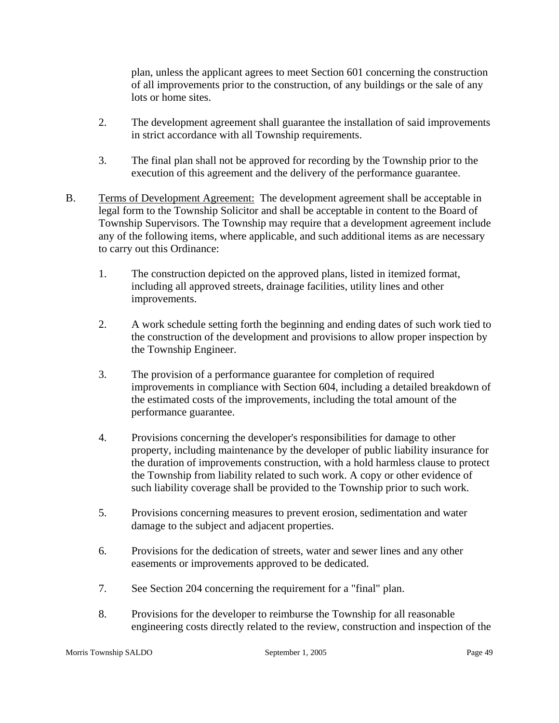plan, unless the applicant agrees to meet Section 601 concerning the construction of all improvements prior to the construction, of any buildings or the sale of any lots or home sites.

- 2. The development agreement shall guarantee the installation of said improvements in strict accordance with all Township requirements.
- 3. The final plan shall not be approved for recording by the Township prior to the execution of this agreement and the delivery of the performance guarantee.
- B. Terms of Development Agreement: The development agreement shall be acceptable in legal form to the Township Solicitor and shall be acceptable in content to the Board of Township Supervisors. The Township may require that a development agreement include any of the following items, where applicable, and such additional items as are necessary to carry out this Ordinance:
	- 1. The construction depicted on the approved plans, listed in itemized format, including all approved streets, drainage facilities, utility lines and other improvements.
	- 2. A work schedule setting forth the beginning and ending dates of such work tied to the construction of the development and provisions to allow proper inspection by the Township Engineer.
	- 3. The provision of a performance guarantee for completion of required improvements in compliance with Section 604, including a detailed breakdown of the estimated costs of the improvements, including the total amount of the performance guarantee.
	- 4. Provisions concerning the developer's responsibilities for damage to other property, including maintenance by the developer of public liability insurance for the duration of improvements construction, with a hold harmless clause to protect the Township from liability related to such work. A copy or other evidence of such liability coverage shall be provided to the Township prior to such work.
	- 5. Provisions concerning measures to prevent erosion, sedimentation and water damage to the subject and adjacent properties.
	- 6. Provisions for the dedication of streets, water and sewer lines and any other easements or improvements approved to be dedicated.
	- 7. See Section 204 concerning the requirement for a "final" plan.
	- 8. Provisions for the developer to reimburse the Township for all reasonable engineering costs directly related to the review, construction and inspection of the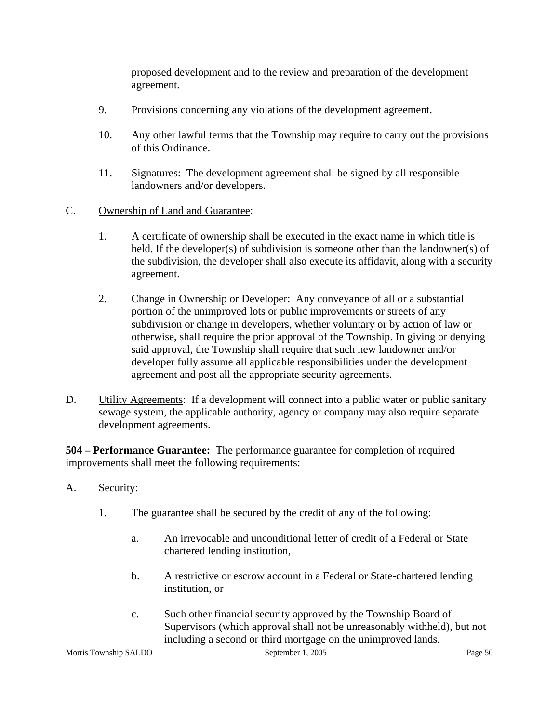proposed development and to the review and preparation of the development agreement.

- 9. Provisions concerning any violations of the development agreement.
- 10. Any other lawful terms that the Township may require to carry out the provisions of this Ordinance.
- 11. Signatures: The development agreement shall be signed by all responsible landowners and/or developers.

#### C. Ownership of Land and Guarantee:

- 1. A certificate of ownership shall be executed in the exact name in which title is held. If the developer(s) of subdivision is someone other than the landowner(s) of the subdivision, the developer shall also execute its affidavit, along with a security agreement.
- 2. Change in Ownership or Developer: Any conveyance of all or a substantial portion of the unimproved lots or public improvements or streets of any subdivision or change in developers, whether voluntary or by action of law or otherwise, shall require the prior approval of the Township. In giving or denying said approval, the Township shall require that such new landowner and/or developer fully assume all applicable responsibilities under the development agreement and post all the appropriate security agreements.
- D. Utility Agreements: If a development will connect into a public water or public sanitary sewage system, the applicable authority, agency or company may also require separate development agreements.

**504 – Performance Guarantee:** The performance guarantee for completion of required improvements shall meet the following requirements:

- A. Security:
	- 1. The guarantee shall be secured by the credit of any of the following:
		- a. An irrevocable and unconditional letter of credit of a Federal or State chartered lending institution,
		- b. A restrictive or escrow account in a Federal or State-chartered lending institution, or
		- c. Such other financial security approved by the Township Board of Supervisors (which approval shall not be unreasonably withheld), but not including a second or third mortgage on the unimproved lands.

Morris Township SALDO September 1, 2005 Page 50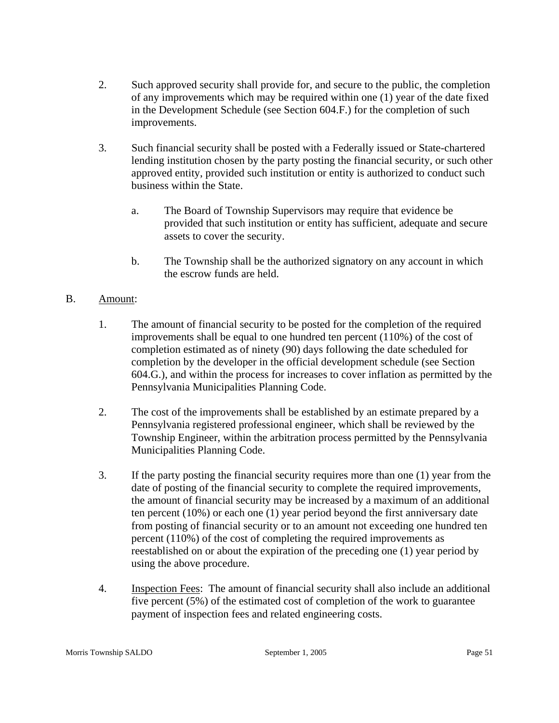- 2. Such approved security shall provide for, and secure to the public, the completion of any improvements which may be required within one (1) year of the date fixed in the Development Schedule (see Section 604.F.) for the completion of such improvements.
- 3. Such financial security shall be posted with a Federally issued or State-chartered lending institution chosen by the party posting the financial security, or such other approved entity, provided such institution or entity is authorized to conduct such business within the State.
	- a. The Board of Township Supervisors may require that evidence be provided that such institution or entity has sufficient, adequate and secure assets to cover the security.
	- b. The Township shall be the authorized signatory on any account in which the escrow funds are held.

# B. Amount:

- 1. The amount of financial security to be posted for the completion of the required improvements shall be equal to one hundred ten percent (110%) of the cost of completion estimated as of ninety (90) days following the date scheduled for completion by the developer in the official development schedule (see Section 604.G.), and within the process for increases to cover inflation as permitted by the Pennsylvania Municipalities Planning Code.
- 2. The cost of the improvements shall be established by an estimate prepared by a Pennsylvania registered professional engineer, which shall be reviewed by the Township Engineer, within the arbitration process permitted by the Pennsylvania Municipalities Planning Code.
- 3. If the party posting the financial security requires more than one (1) year from the date of posting of the financial security to complete the required improvements, the amount of financial security may be increased by a maximum of an additional ten percent (10%) or each one (1) year period beyond the first anniversary date from posting of financial security or to an amount not exceeding one hundred ten percent (110%) of the cost of completing the required improvements as reestablished on or about the expiration of the preceding one (1) year period by using the above procedure.
- 4. Inspection Fees: The amount of financial security shall also include an additional five percent (5%) of the estimated cost of completion of the work to guarantee payment of inspection fees and related engineering costs.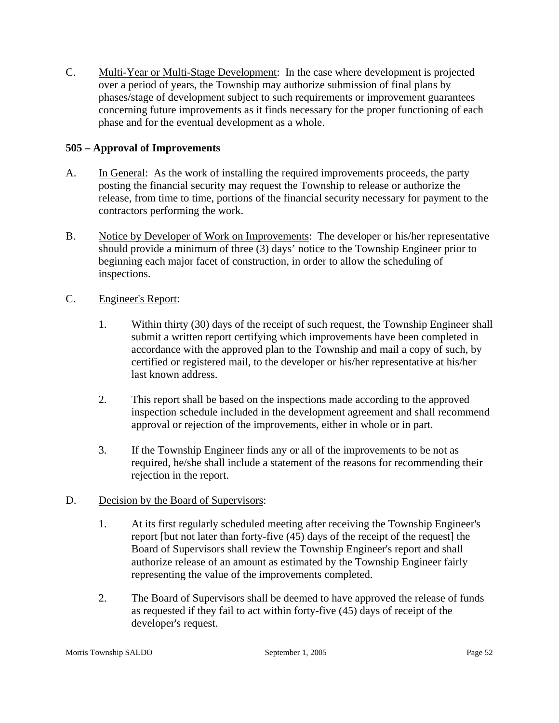C. Multi-Year or Multi-Stage Development: In the case where development is projected over a period of years, the Township may authorize submission of final plans by phases/stage of development subject to such requirements or improvement guarantees concerning future improvements as it finds necessary for the proper functioning of each phase and for the eventual development as a whole.

# **505 – Approval of Improvements**

- A. In General: As the work of installing the required improvements proceeds, the party posting the financial security may request the Township to release or authorize the release, from time to time, portions of the financial security necessary for payment to the contractors performing the work.
- B. Notice by Developer of Work on Improvements: The developer or his/her representative should provide a minimum of three (3) days' notice to the Township Engineer prior to beginning each major facet of construction, in order to allow the scheduling of inspections.
- C. Engineer's Report:
	- 1. Within thirty (30) days of the receipt of such request, the Township Engineer shall submit a written report certifying which improvements have been completed in accordance with the approved plan to the Township and mail a copy of such, by certified or registered mail, to the developer or his/her representative at his/her last known address.
	- 2. This report shall be based on the inspections made according to the approved inspection schedule included in the development agreement and shall recommend approval or rejection of the improvements, either in whole or in part.
	- 3. If the Township Engineer finds any or all of the improvements to be not as required, he/she shall include a statement of the reasons for recommending their rejection in the report.
- D. Decision by the Board of Supervisors:
	- 1. At its first regularly scheduled meeting after receiving the Township Engineer's report [but not later than forty-five (45) days of the receipt of the request] the Board of Supervisors shall review the Township Engineer's report and shall authorize release of an amount as estimated by the Township Engineer fairly representing the value of the improvements completed.
	- 2. The Board of Supervisors shall be deemed to have approved the release of funds as requested if they fail to act within forty-five (45) days of receipt of the developer's request.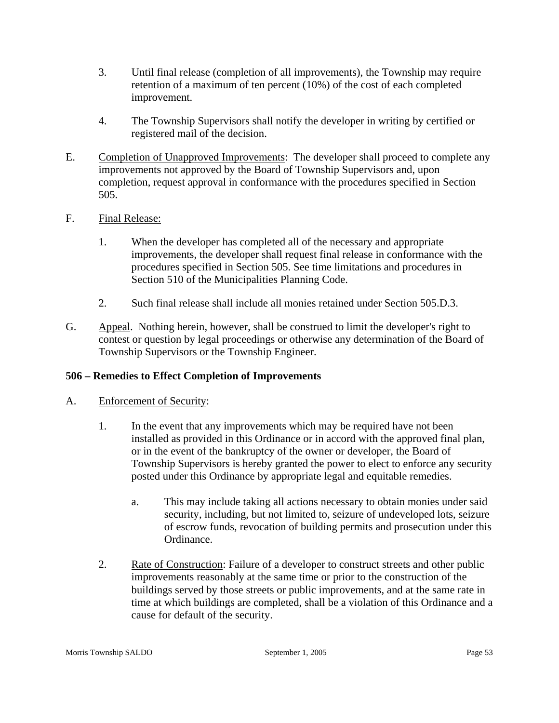- 3. Until final release (completion of all improvements), the Township may require retention of a maximum of ten percent (10%) of the cost of each completed improvement.
- 4. The Township Supervisors shall notify the developer in writing by certified or registered mail of the decision.
- E. Completion of Unapproved Improvements: The developer shall proceed to complete any improvements not approved by the Board of Township Supervisors and, upon completion, request approval in conformance with the procedures specified in Section 505.
- F. Final Release:
	- 1. When the developer has completed all of the necessary and appropriate improvements, the developer shall request final release in conformance with the procedures specified in Section 505. See time limitations and procedures in Section 510 of the Municipalities Planning Code.
	- 2. Such final release shall include all monies retained under Section 505.D.3.
- G. Appeal. Nothing herein, however, shall be construed to limit the developer's right to contest or question by legal proceedings or otherwise any determination of the Board of Township Supervisors or the Township Engineer.

# **506 – Remedies to Effect Completion of Improvements**

- A. Enforcement of Security:
	- 1. In the event that any improvements which may be required have not been installed as provided in this Ordinance or in accord with the approved final plan, or in the event of the bankruptcy of the owner or developer, the Board of Township Supervisors is hereby granted the power to elect to enforce any security posted under this Ordinance by appropriate legal and equitable remedies.
		- a. This may include taking all actions necessary to obtain monies under said security, including, but not limited to, seizure of undeveloped lots, seizure of escrow funds, revocation of building permits and prosecution under this Ordinance.
	- 2. Rate of Construction: Failure of a developer to construct streets and other public improvements reasonably at the same time or prior to the construction of the buildings served by those streets or public improvements, and at the same rate in time at which buildings are completed, shall be a violation of this Ordinance and a cause for default of the security.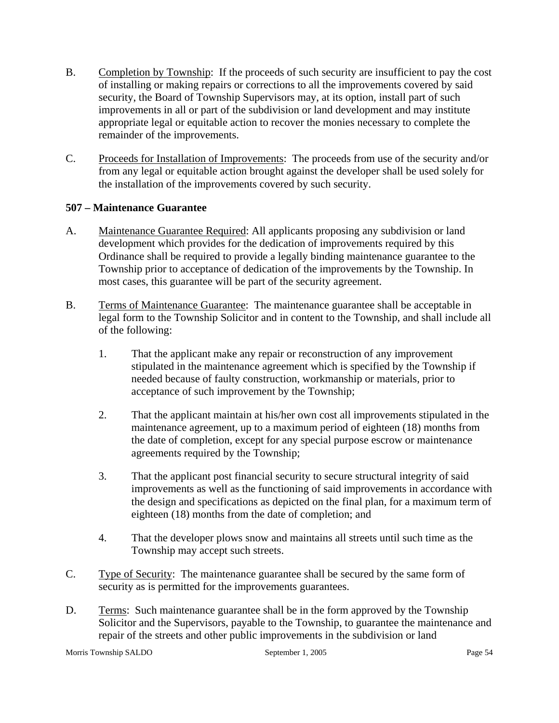- B. Completion by Township: If the proceeds of such security are insufficient to pay the cost of installing or making repairs or corrections to all the improvements covered by said security, the Board of Township Supervisors may, at its option, install part of such improvements in all or part of the subdivision or land development and may institute appropriate legal or equitable action to recover the monies necessary to complete the remainder of the improvements.
- C. Proceeds for Installation of Improvements: The proceeds from use of the security and/or from any legal or equitable action brought against the developer shall be used solely for the installation of the improvements covered by such security.

# **507 – Maintenance Guarantee**

- A. Maintenance Guarantee Required: All applicants proposing any subdivision or land development which provides for the dedication of improvements required by this Ordinance shall be required to provide a legally binding maintenance guarantee to the Township prior to acceptance of dedication of the improvements by the Township. In most cases, this guarantee will be part of the security agreement.
- B. Terms of Maintenance Guarantee: The maintenance guarantee shall be acceptable in legal form to the Township Solicitor and in content to the Township, and shall include all of the following:
	- 1. That the applicant make any repair or reconstruction of any improvement stipulated in the maintenance agreement which is specified by the Township if needed because of faulty construction, workmanship or materials, prior to acceptance of such improvement by the Township;
	- 2. That the applicant maintain at his/her own cost all improvements stipulated in the maintenance agreement, up to a maximum period of eighteen (18) months from the date of completion, except for any special purpose escrow or maintenance agreements required by the Township;
	- 3. That the applicant post financial security to secure structural integrity of said improvements as well as the functioning of said improvements in accordance with the design and specifications as depicted on the final plan, for a maximum term of eighteen (18) months from the date of completion; and
	- 4. That the developer plows snow and maintains all streets until such time as the Township may accept such streets.
- C. Type of Security: The maintenance guarantee shall be secured by the same form of security as is permitted for the improvements guarantees.
- D. Terms: Such maintenance guarantee shall be in the form approved by the Township Solicitor and the Supervisors, payable to the Township, to guarantee the maintenance and repair of the streets and other public improvements in the subdivision or land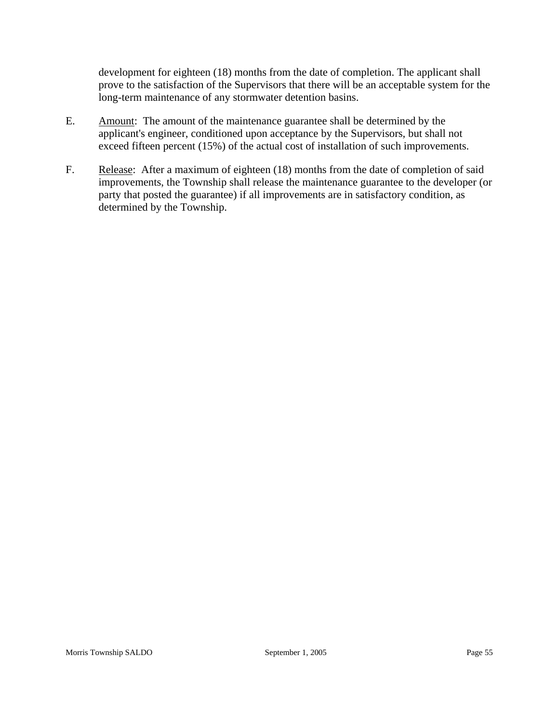development for eighteen (18) months from the date of completion. The applicant shall prove to the satisfaction of the Supervisors that there will be an acceptable system for the long-term maintenance of any stormwater detention basins.

- E. Amount: The amount of the maintenance guarantee shall be determined by the applicant's engineer, conditioned upon acceptance by the Supervisors, but shall not exceed fifteen percent (15%) of the actual cost of installation of such improvements.
- F. Release: After a maximum of eighteen (18) months from the date of completion of said improvements, the Township shall release the maintenance guarantee to the developer (or party that posted the guarantee) if all improvements are in satisfactory condition, as determined by the Township.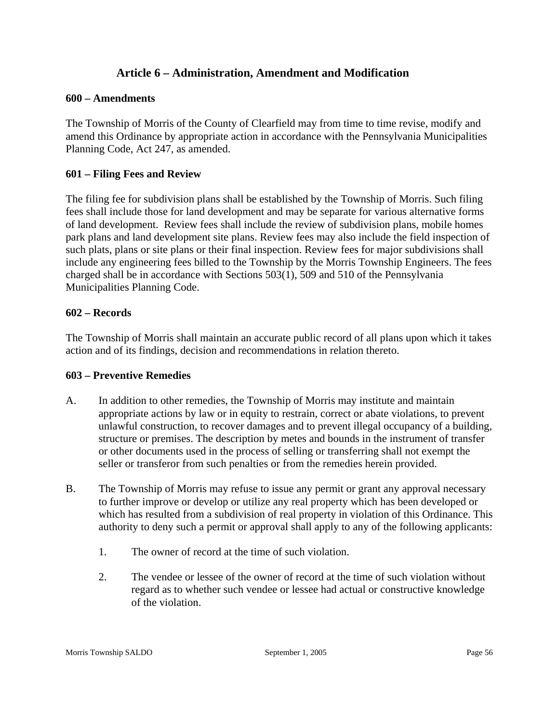# **Article 6 – Administration, Amendment and Modification**

#### **600 – Amendments**

The Township of Morris of the County of Clearfield may from time to time revise, modify and amend this Ordinance by appropriate action in accordance with the Pennsylvania Municipalities Planning Code, Act 247, as amended.

#### **601 – Filing Fees and Review**

The filing fee for subdivision plans shall be established by the Township of Morris. Such filing fees shall include those for land development and may be separate for various alternative forms of land development. Review fees shall include the review of subdivision plans, mobile homes park plans and land development site plans. Review fees may also include the field inspection of such plats, plans or site plans or their final inspection. Review fees for major subdivisions shall include any engineering fees billed to the Township by the Morris Township Engineers. The fees charged shall be in accordance with Sections 503(1), 509 and 510 of the Pennsylvania Municipalities Planning Code.

#### **602 – Records**

The Township of Morris shall maintain an accurate public record of all plans upon which it takes action and of its findings, decision and recommendations in relation thereto.

#### **603 – Preventive Remedies**

- A. In addition to other remedies, the Township of Morris may institute and maintain appropriate actions by law or in equity to restrain, correct or abate violations, to prevent unlawful construction, to recover damages and to prevent illegal occupancy of a building, structure or premises. The description by metes and bounds in the instrument of transfer or other documents used in the process of selling or transferring shall not exempt the seller or transferor from such penalties or from the remedies herein provided.
- B. The Township of Morris may refuse to issue any permit or grant any approval necessary to further improve or develop or utilize any real property which has been developed or which has resulted from a subdivision of real property in violation of this Ordinance. This authority to deny such a permit or approval shall apply to any of the following applicants:
	- 1. The owner of record at the time of such violation.
	- 2. The vendee or lessee of the owner of record at the time of such violation without regard as to whether such vendee or lessee had actual or constructive knowledge of the violation.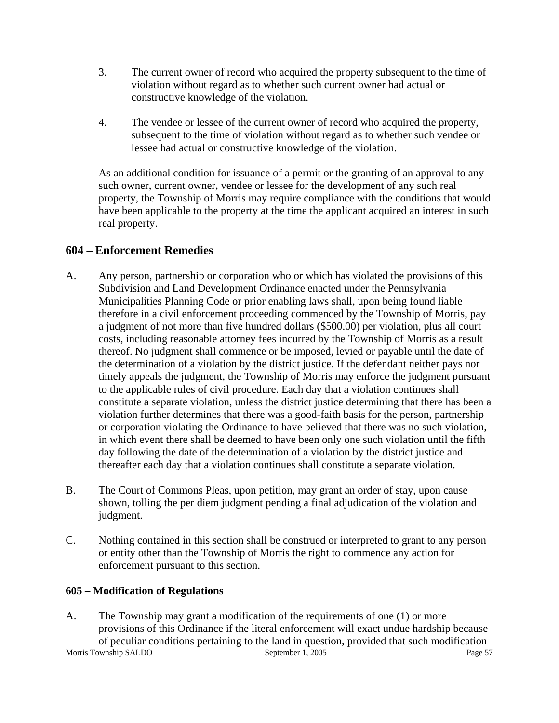- 3. The current owner of record who acquired the property subsequent to the time of violation without regard as to whether such current owner had actual or constructive knowledge of the violation.
- 4. The vendee or lessee of the current owner of record who acquired the property, subsequent to the time of violation without regard as to whether such vendee or lessee had actual or constructive knowledge of the violation.

As an additional condition for issuance of a permit or the granting of an approval to any such owner, current owner, vendee or lessee for the development of any such real property, the Township of Morris may require compliance with the conditions that would have been applicable to the property at the time the applicant acquired an interest in such real property.

# **604 – Enforcement Remedies**

- A. Any person, partnership or corporation who or which has violated the provisions of this Subdivision and Land Development Ordinance enacted under the Pennsylvania Municipalities Planning Code or prior enabling laws shall, upon being found liable therefore in a civil enforcement proceeding commenced by the Township of Morris, pay a judgment of not more than five hundred dollars (\$500.00) per violation, plus all court costs, including reasonable attorney fees incurred by the Township of Morris as a result thereof. No judgment shall commence or be imposed, levied or payable until the date of the determination of a violation by the district justice. If the defendant neither pays nor timely appeals the judgment, the Township of Morris may enforce the judgment pursuant to the applicable rules of civil procedure. Each day that a violation continues shall constitute a separate violation, unless the district justice determining that there has been a violation further determines that there was a good-faith basis for the person, partnership or corporation violating the Ordinance to have believed that there was no such violation, in which event there shall be deemed to have been only one such violation until the fifth day following the date of the determination of a violation by the district justice and thereafter each day that a violation continues shall constitute a separate violation.
- B. The Court of Commons Pleas, upon petition, may grant an order of stay, upon cause shown, tolling the per diem judgment pending a final adjudication of the violation and judgment.
- C. Nothing contained in this section shall be construed or interpreted to grant to any person or entity other than the Township of Morris the right to commence any action for enforcement pursuant to this section.

# **605 – Modification of Regulations**

Morris Township SALDO September 1, 2005 Page 57 A. The Township may grant a modification of the requirements of one (1) or more provisions of this Ordinance if the literal enforcement will exact undue hardship because of peculiar conditions pertaining to the land in question, provided that such modification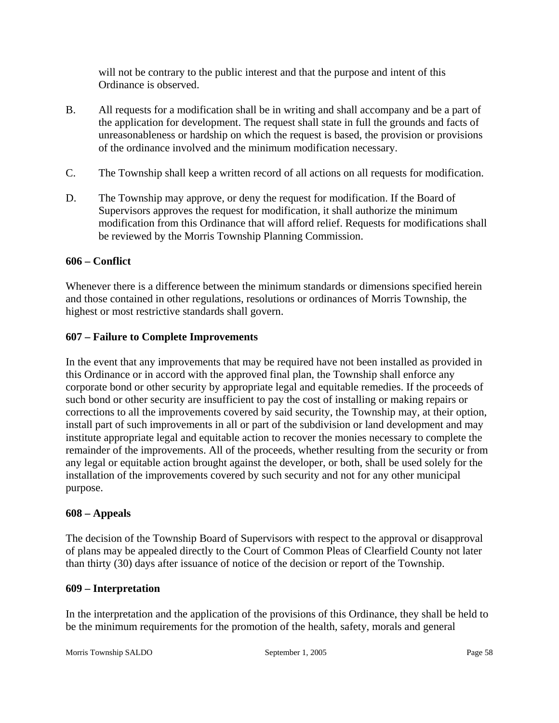will not be contrary to the public interest and that the purpose and intent of this Ordinance is observed.

- B. All requests for a modification shall be in writing and shall accompany and be a part of the application for development. The request shall state in full the grounds and facts of unreasonableness or hardship on which the request is based, the provision or provisions of the ordinance involved and the minimum modification necessary.
- C. The Township shall keep a written record of all actions on all requests for modification.
- D. The Township may approve, or deny the request for modification. If the Board of Supervisors approves the request for modification, it shall authorize the minimum modification from this Ordinance that will afford relief. Requests for modifications shall be reviewed by the Morris Township Planning Commission.

# **606 – Conflict**

Whenever there is a difference between the minimum standards or dimensions specified herein and those contained in other regulations, resolutions or ordinances of Morris Township, the highest or most restrictive standards shall govern.

# **607 – Failure to Complete Improvements**

In the event that any improvements that may be required have not been installed as provided in this Ordinance or in accord with the approved final plan, the Township shall enforce any corporate bond or other security by appropriate legal and equitable remedies. If the proceeds of such bond or other security are insufficient to pay the cost of installing or making repairs or corrections to all the improvements covered by said security, the Township may, at their option, install part of such improvements in all or part of the subdivision or land development and may institute appropriate legal and equitable action to recover the monies necessary to complete the remainder of the improvements. All of the proceeds, whether resulting from the security or from any legal or equitable action brought against the developer, or both, shall be used solely for the installation of the improvements covered by such security and not for any other municipal purpose.

# **608 – Appeals**

The decision of the Township Board of Supervisors with respect to the approval or disapproval of plans may be appealed directly to the Court of Common Pleas of Clearfield County not later than thirty (30) days after issuance of notice of the decision or report of the Township.

# **609 – Interpretation**

In the interpretation and the application of the provisions of this Ordinance, they shall be held to be the minimum requirements for the promotion of the health, safety, morals and general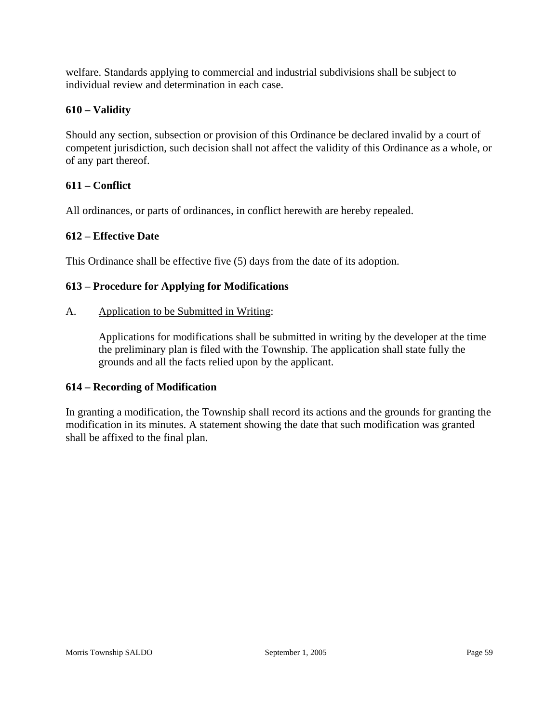welfare. Standards applying to commercial and industrial subdivisions shall be subject to individual review and determination in each case.

# **610 – Validity**

Should any section, subsection or provision of this Ordinance be declared invalid by a court of competent jurisdiction, such decision shall not affect the validity of this Ordinance as a whole, or of any part thereof.

# **611 – Conflict**

All ordinances, or parts of ordinances, in conflict herewith are hereby repealed.

# **612 – Effective Date**

This Ordinance shall be effective five (5) days from the date of its adoption.

# **613 – Procedure for Applying for Modifications**

#### A. Application to be Submitted in Writing:

Applications for modifications shall be submitted in writing by the developer at the time the preliminary plan is filed with the Township. The application shall state fully the grounds and all the facts relied upon by the applicant.

# **614 – Recording of Modification**

In granting a modification, the Township shall record its actions and the grounds for granting the modification in its minutes. A statement showing the date that such modification was granted shall be affixed to the final plan.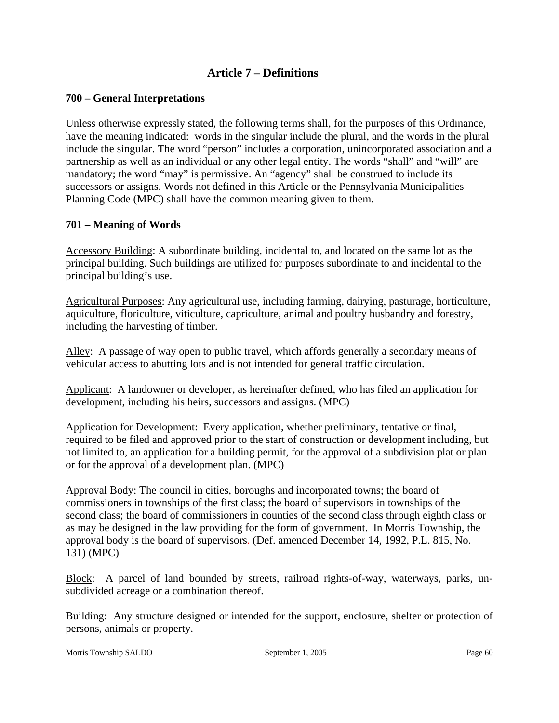# **Article 7 – Definitions**

#### **700 – General Interpretations**

Unless otherwise expressly stated, the following terms shall, for the purposes of this Ordinance, have the meaning indicated: words in the singular include the plural, and the words in the plural include the singular. The word "person" includes a corporation, unincorporated association and a partnership as well as an individual or any other legal entity. The words "shall" and "will" are mandatory; the word "may" is permissive. An "agency" shall be construed to include its successors or assigns. Words not defined in this Article or the Pennsylvania Municipalities Planning Code (MPC) shall have the common meaning given to them.

#### **701 – Meaning of Words**

Accessory Building: A subordinate building, incidental to, and located on the same lot as the principal building. Such buildings are utilized for purposes subordinate to and incidental to the principal building's use.

Agricultural Purposes: Any agricultural use, including farming, dairying, pasturage, horticulture, aquiculture, floriculture, viticulture, capriculture, animal and poultry husbandry and forestry, including the harvesting of timber.

Alley: A passage of way open to public travel, which affords generally a secondary means of vehicular access to abutting lots and is not intended for general traffic circulation.

Applicant: A landowner or developer, as hereinafter defined, who has filed an application for development, including his heirs, successors and assigns. (MPC)

Application for Development: Every application, whether preliminary, tentative or final, required to be filed and approved prior to the start of construction or development including, but not limited to, an application for a building permit, for the approval of a subdivision plat or plan or for the approval of a development plan. (MPC)

Approval Body: The council in cities, boroughs and incorporated towns; the board of commissioners in townships of the first class; the board of supervisors in townships of the second class; the board of commissioners in counties of the second class through eighth class or as may be designed in the law providing for the form of government. In Morris Township, the approval body is the board of supervisors*.* (Def. amended December 14, 1992, P.L. 815, No. 131) (MPC)

Block: A parcel of land bounded by streets, railroad rights-of-way, waterways, parks, unsubdivided acreage or a combination thereof.

Building: Any structure designed or intended for the support, enclosure, shelter or protection of persons, animals or property.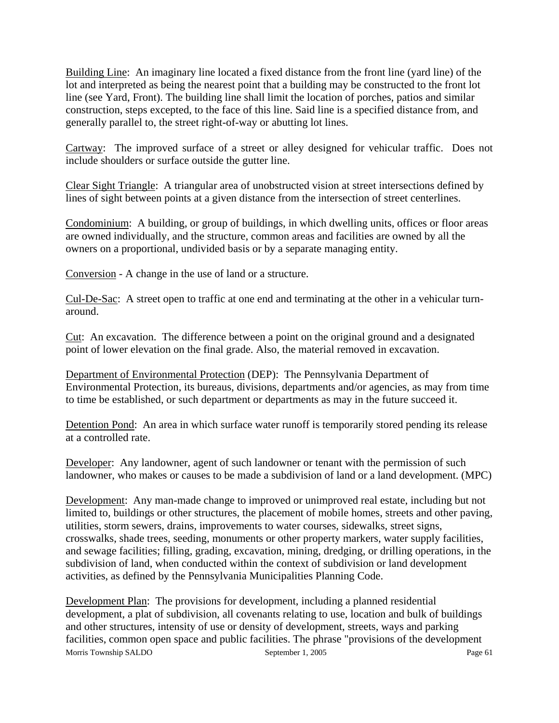Building Line: An imaginary line located a fixed distance from the front line (yard line) of the lot and interpreted as being the nearest point that a building may be constructed to the front lot line (see Yard, Front). The building line shall limit the location of porches, patios and similar construction, steps excepted, to the face of this line. Said line is a specified distance from, and generally parallel to, the street right-of-way or abutting lot lines.

Cartway: The improved surface of a street or alley designed for vehicular traffic. Does not include shoulders or surface outside the gutter line.

Clear Sight Triangle: A triangular area of unobstructed vision at street intersections defined by lines of sight between points at a given distance from the intersection of street centerlines.

Condominium: A building, or group of buildings, in which dwelling units, offices or floor areas are owned individually, and the structure, common areas and facilities are owned by all the owners on a proportional, undivided basis or by a separate managing entity.

Conversion - A change in the use of land or a structure.

Cul-De-Sac: A street open to traffic at one end and terminating at the other in a vehicular turnaround.

Cut: An excavation. The difference between a point on the original ground and a designated point of lower elevation on the final grade. Also, the material removed in excavation.

Department of Environmental Protection (DEP): The Pennsylvania Department of Environmental Protection, its bureaus, divisions, departments and/or agencies, as may from time to time be established, or such department or departments as may in the future succeed it.

Detention Pond: An area in which surface water runoff is temporarily stored pending its release at a controlled rate.

Developer: Any landowner, agent of such landowner or tenant with the permission of such landowner, who makes or causes to be made a subdivision of land or a land development. (MPC)

Development: Any man-made change to improved or unimproved real estate, including but not limited to, buildings or other structures, the placement of mobile homes, streets and other paving, utilities, storm sewers, drains, improvements to water courses, sidewalks, street signs, crosswalks, shade trees, seeding, monuments or other property markers, water supply facilities, and sewage facilities; filling, grading, excavation, mining, dredging, or drilling operations, in the subdivision of land, when conducted within the context of subdivision or land development activities, as defined by the Pennsylvania Municipalities Planning Code.

Morris Township SALDO September 1, 2005 Page 61 Development Plan: The provisions for development, including a planned residential development, a plat of subdivision, all covenants relating to use, location and bulk of buildings and other structures, intensity of use or density of development, streets, ways and parking facilities, common open space and public facilities. The phrase "provisions of the development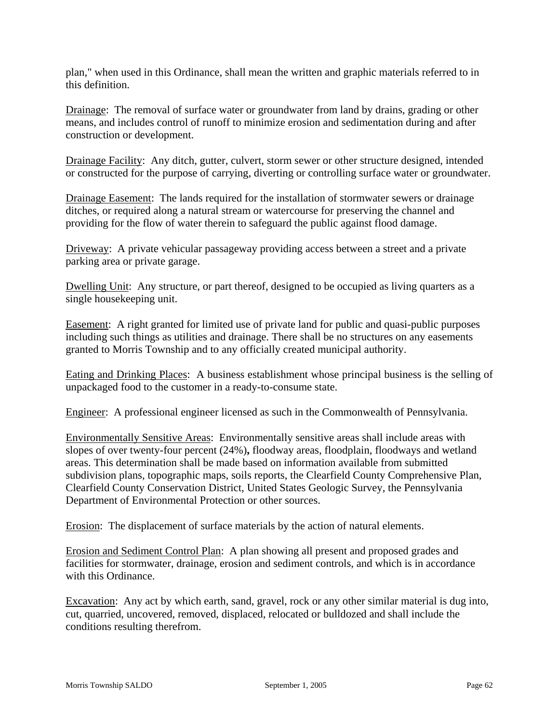plan," when used in this Ordinance, shall mean the written and graphic materials referred to in this definition.

Drainage: The removal of surface water or groundwater from land by drains, grading or other means, and includes control of runoff to minimize erosion and sedimentation during and after construction or development.

Drainage Facility: Any ditch, gutter, culvert, storm sewer or other structure designed, intended or constructed for the purpose of carrying, diverting or controlling surface water or groundwater.

Drainage Easement: The lands required for the installation of stormwater sewers or drainage ditches, or required along a natural stream or watercourse for preserving the channel and providing for the flow of water therein to safeguard the public against flood damage.

Driveway: A private vehicular passageway providing access between a street and a private parking area or private garage.

Dwelling Unit: Any structure, or part thereof, designed to be occupied as living quarters as a single housekeeping unit.

Easement: A right granted for limited use of private land for public and quasi-public purposes including such things as utilities and drainage. There shall be no structures on any easements granted to Morris Township and to any officially created municipal authority.

Eating and Drinking Places: A business establishment whose principal business is the selling of unpackaged food to the customer in a ready-to-consume state.

Engineer: A professional engineer licensed as such in the Commonwealth of Pennsylvania.

Environmentally Sensitive Areas: Environmentally sensitive areas shall include areas with slopes of over twenty-four percent (24%)**,** floodway areas, floodplain, floodways and wetland areas. This determination shall be made based on information available from submitted subdivision plans, topographic maps, soils reports, the Clearfield County Comprehensive Plan, Clearfield County Conservation District, United States Geologic Survey, the Pennsylvania Department of Environmental Protection or other sources.

Erosion: The displacement of surface materials by the action of natural elements.

Erosion and Sediment Control Plan: A plan showing all present and proposed grades and facilities for stormwater, drainage, erosion and sediment controls, and which is in accordance with this Ordinance.

Excavation: Any act by which earth, sand, gravel, rock or any other similar material is dug into, cut, quarried, uncovered, removed, displaced, relocated or bulldozed and shall include the conditions resulting therefrom.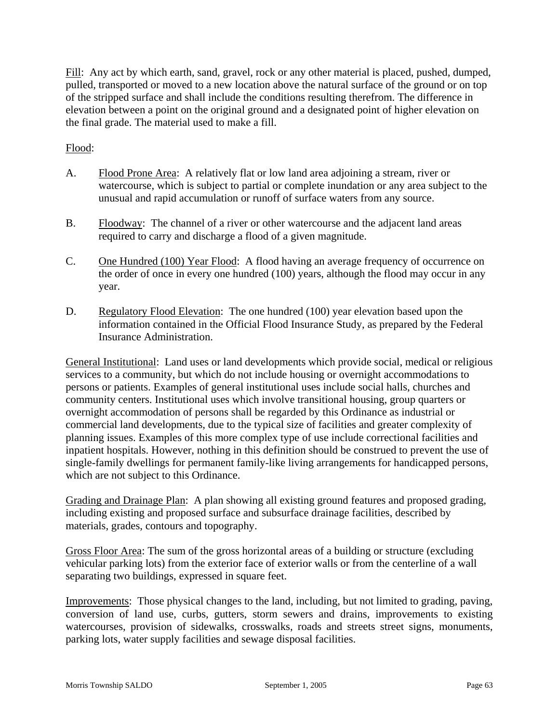Fill: Any act by which earth, sand, gravel, rock or any other material is placed, pushed, dumped, pulled, transported or moved to a new location above the natural surface of the ground or on top of the stripped surface and shall include the conditions resulting therefrom. The difference in elevation between a point on the original ground and a designated point of higher elevation on the final grade. The material used to make a fill.

#### Flood:

- A. Flood Prone Area: A relatively flat or low land area adjoining a stream, river or watercourse, which is subject to partial or complete inundation or any area subject to the unusual and rapid accumulation or runoff of surface waters from any source.
- B. Floodway: The channel of a river or other watercourse and the adjacent land areas required to carry and discharge a flood of a given magnitude.
- C. One Hundred (100) Year Flood: A flood having an average frequency of occurrence on the order of once in every one hundred (100) years, although the flood may occur in any year.
- D. Regulatory Flood Elevation: The one hundred (100) year elevation based upon the information contained in the Official Flood Insurance Study, as prepared by the Federal Insurance Administration.

General Institutional: Land uses or land developments which provide social, medical or religious services to a community, but which do not include housing or overnight accommodations to persons or patients. Examples of general institutional uses include social halls, churches and community centers. Institutional uses which involve transitional housing, group quarters or overnight accommodation of persons shall be regarded by this Ordinance as industrial or commercial land developments, due to the typical size of facilities and greater complexity of planning issues. Examples of this more complex type of use include correctional facilities and inpatient hospitals. However, nothing in this definition should be construed to prevent the use of single-family dwellings for permanent family-like living arrangements for handicapped persons, which are not subject to this Ordinance.

Grading and Drainage Plan: A plan showing all existing ground features and proposed grading, including existing and proposed surface and subsurface drainage facilities, described by materials, grades, contours and topography.

Gross Floor Area: The sum of the gross horizontal areas of a building or structure (excluding vehicular parking lots) from the exterior face of exterior walls or from the centerline of a wall separating two buildings, expressed in square feet.

Improvements: Those physical changes to the land, including, but not limited to grading, paving, conversion of land use, curbs, gutters, storm sewers and drains, improvements to existing watercourses, provision of sidewalks, crosswalks, roads and streets street signs, monuments, parking lots, water supply facilities and sewage disposal facilities.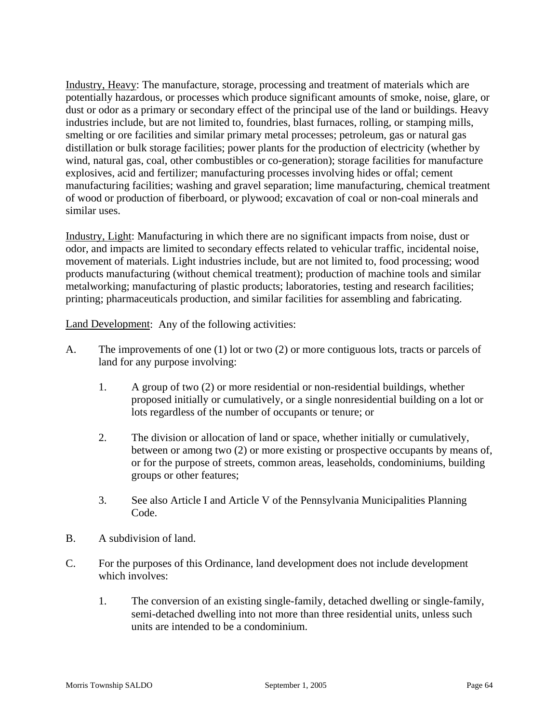Industry, Heavy: The manufacture, storage, processing and treatment of materials which are potentially hazardous, or processes which produce significant amounts of smoke, noise, glare, or dust or odor as a primary or secondary effect of the principal use of the land or buildings. Heavy industries include, but are not limited to, foundries, blast furnaces, rolling, or stamping mills, smelting or ore facilities and similar primary metal processes; petroleum, gas or natural gas distillation or bulk storage facilities; power plants for the production of electricity (whether by wind, natural gas, coal, other combustibles or co-generation); storage facilities for manufacture explosives, acid and fertilizer; manufacturing processes involving hides or offal; cement manufacturing facilities; washing and gravel separation; lime manufacturing, chemical treatment of wood or production of fiberboard, or plywood; excavation of coal or non-coal minerals and similar uses.

Industry, Light: Manufacturing in which there are no significant impacts from noise, dust or odor, and impacts are limited to secondary effects related to vehicular traffic, incidental noise, movement of materials. Light industries include, but are not limited to, food processing; wood products manufacturing (without chemical treatment); production of machine tools and similar metalworking; manufacturing of plastic products; laboratories, testing and research facilities; printing; pharmaceuticals production, and similar facilities for assembling and fabricating.

Land Development: Any of the following activities:

- A. The improvements of one (1) lot or two (2) or more contiguous lots, tracts or parcels of land for any purpose involving:
	- 1. A group of two (2) or more residential or non-residential buildings, whether proposed initially or cumulatively, or a single nonresidential building on a lot or lots regardless of the number of occupants or tenure; or
	- 2. The division or allocation of land or space, whether initially or cumulatively, between or among two (2) or more existing or prospective occupants by means of, or for the purpose of streets, common areas, leaseholds, condominiums, building groups or other features;
	- 3. See also Article I and Article V of the Pennsylvania Municipalities Planning Code.
- B. A subdivision of land.
- C. For the purposes of this Ordinance, land development does not include development which involves:
	- 1. The conversion of an existing single-family, detached dwelling or single-family, semi-detached dwelling into not more than three residential units, unless such units are intended to be a condominium.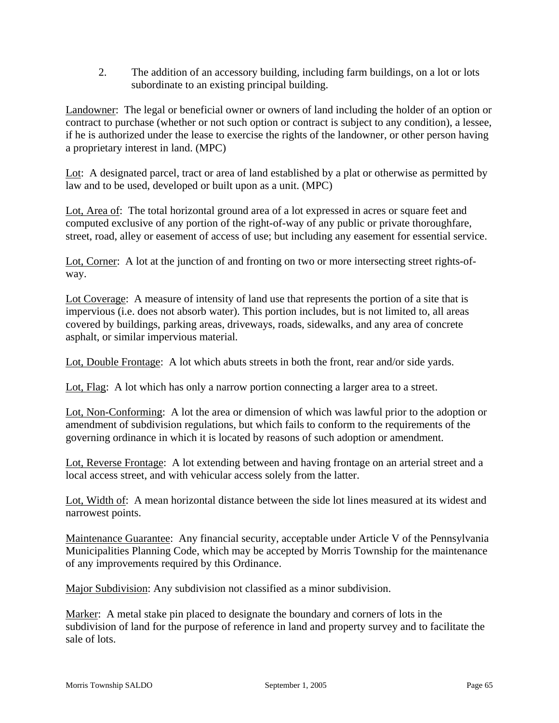2. The addition of an accessory building, including farm buildings, on a lot or lots subordinate to an existing principal building.

Landowner: The legal or beneficial owner or owners of land including the holder of an option or contract to purchase (whether or not such option or contract is subject to any condition), a lessee, if he is authorized under the lease to exercise the rights of the landowner, or other person having a proprietary interest in land. (MPC)

Lot: A designated parcel, tract or area of land established by a plat or otherwise as permitted by law and to be used, developed or built upon as a unit. (MPC)

Lot, Area of: The total horizontal ground area of a lot expressed in acres or square feet and computed exclusive of any portion of the right-of-way of any public or private thoroughfare, street, road, alley or easement of access of use; but including any easement for essential service.

Lot, Corner: A lot at the junction of and fronting on two or more intersecting street rights-ofway.

Lot Coverage: A measure of intensity of land use that represents the portion of a site that is impervious (i.e. does not absorb water). This portion includes, but is not limited to, all areas covered by buildings, parking areas, driveways, roads, sidewalks, and any area of concrete asphalt, or similar impervious material*.* 

Lot, Double Frontage: A lot which abuts streets in both the front, rear and/or side yards.

Lot, Flag: A lot which has only a narrow portion connecting a larger area to a street.

Lot, Non-Conforming: A lot the area or dimension of which was lawful prior to the adoption or amendment of subdivision regulations, but which fails to conform to the requirements of the governing ordinance in which it is located by reasons of such adoption or amendment.

Lot, Reverse Frontage: A lot extending between and having frontage on an arterial street and a local access street, and with vehicular access solely from the latter.

Lot, Width of: A mean horizontal distance between the side lot lines measured at its widest and narrowest points.

Maintenance Guarantee: Any financial security, acceptable under Article V of the Pennsylvania Municipalities Planning Code, which may be accepted by Morris Township for the maintenance of any improvements required by this Ordinance.

Major Subdivision: Any subdivision not classified as a minor subdivision.

Marker: A metal stake pin placed to designate the boundary and corners of lots in the subdivision of land for the purpose of reference in land and property survey and to facilitate the sale of lots.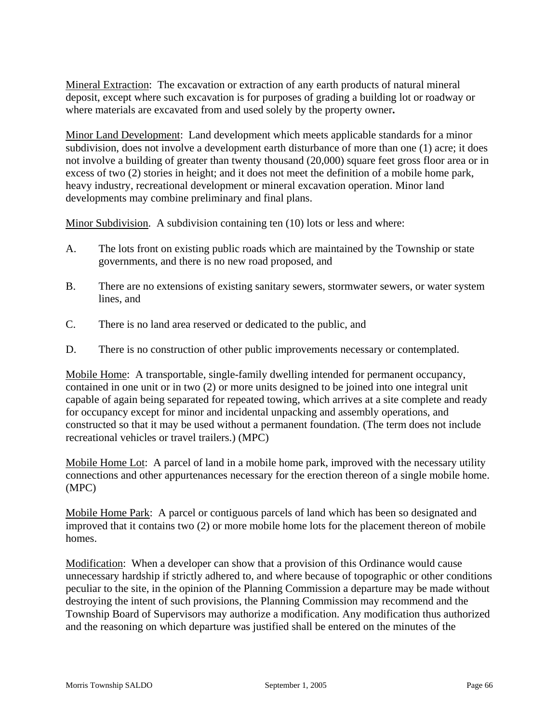Mineral Extraction: The excavation or extraction of any earth products of natural mineral deposit, except where such excavation is for purposes of grading a building lot or roadway or where materials are excavated from and used solely by the property owner**.** 

Minor Land Development: Land development which meets applicable standards for a minor subdivision, does not involve a development earth disturbance of more than one (1) acre; it does not involve a building of greater than twenty thousand (20,000) square feet gross floor area or in excess of two (2) stories in height; and it does not meet the definition of a mobile home park, heavy industry, recreational development or mineral excavation operation. Minor land developments may combine preliminary and final plans.

Minor Subdivision. A subdivision containing ten (10) lots or less and where:

- A. The lots front on existing public roads which are maintained by the Township or state governments, and there is no new road proposed, and
- B. There are no extensions of existing sanitary sewers, stormwater sewers, or water system lines, and
- C. There is no land area reserved or dedicated to the public, and
- D. There is no construction of other public improvements necessary or contemplated.

Mobile Home: A transportable, single-family dwelling intended for permanent occupancy, contained in one unit or in two (2) or more units designed to be joined into one integral unit capable of again being separated for repeated towing, which arrives at a site complete and ready for occupancy except for minor and incidental unpacking and assembly operations, and constructed so that it may be used without a permanent foundation. (The term does not include recreational vehicles or travel trailers.) (MPC)

Mobile Home Lot: A parcel of land in a mobile home park, improved with the necessary utility connections and other appurtenances necessary for the erection thereon of a single mobile home. (MPC)

Mobile Home Park: A parcel or contiguous parcels of land which has been so designated and improved that it contains two (2) or more mobile home lots for the placement thereon of mobile homes.

Modification: When a developer can show that a provision of this Ordinance would cause unnecessary hardship if strictly adhered to, and where because of topographic or other conditions peculiar to the site, in the opinion of the Planning Commission a departure may be made without destroying the intent of such provisions, the Planning Commission may recommend and the Township Board of Supervisors may authorize a modification. Any modification thus authorized and the reasoning on which departure was justified shall be entered on the minutes of the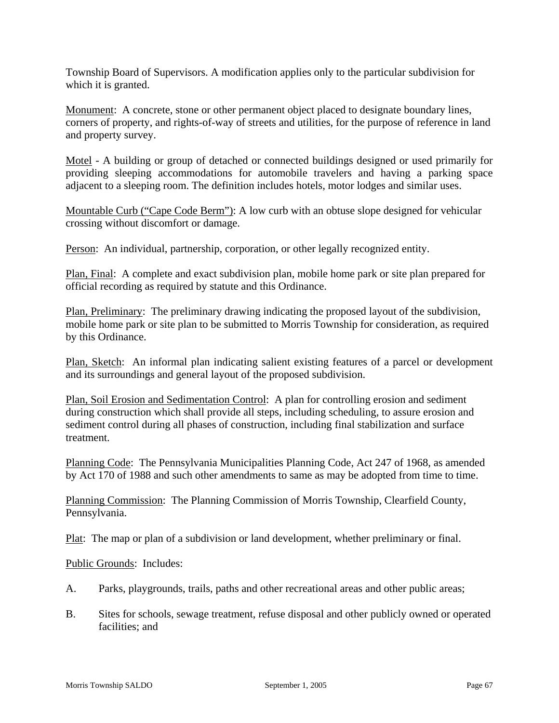Township Board of Supervisors. A modification applies only to the particular subdivision for which it is granted.

Monument: A concrete, stone or other permanent object placed to designate boundary lines, corners of property, and rights-of-way of streets and utilities, for the purpose of reference in land and property survey.

Motel - A building or group of detached or connected buildings designed or used primarily for providing sleeping accommodations for automobile travelers and having a parking space adjacent to a sleeping room. The definition includes hotels, motor lodges and similar uses.

Mountable Curb ("Cape Code Berm"): A low curb with an obtuse slope designed for vehicular crossing without discomfort or damage.

Person: An individual, partnership, corporation, or other legally recognized entity.

Plan, Final: A complete and exact subdivision plan, mobile home park or site plan prepared for official recording as required by statute and this Ordinance.

Plan, Preliminary: The preliminary drawing indicating the proposed layout of the subdivision, mobile home park or site plan to be submitted to Morris Township for consideration, as required by this Ordinance.

Plan, Sketch: An informal plan indicating salient existing features of a parcel or development and its surroundings and general layout of the proposed subdivision.

Plan, Soil Erosion and Sedimentation Control: A plan for controlling erosion and sediment during construction which shall provide all steps, including scheduling, to assure erosion and sediment control during all phases of construction, including final stabilization and surface treatment.

Planning Code: The Pennsylvania Municipalities Planning Code, Act 247 of 1968, as amended by Act 170 of 1988 and such other amendments to same as may be adopted from time to time.

Planning Commission: The Planning Commission of Morris Township, Clearfield County, Pennsylvania.

Plat: The map or plan of a subdivision or land development, whether preliminary or final.

Public Grounds: Includes:

- A. Parks, playgrounds, trails, paths and other recreational areas and other public areas;
- B. Sites for schools, sewage treatment, refuse disposal and other publicly owned or operated facilities; and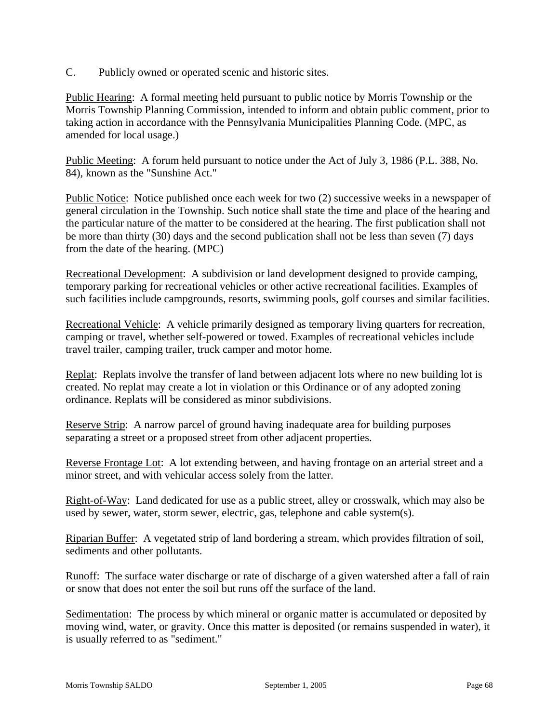C. Publicly owned or operated scenic and historic sites.

Public Hearing: A formal meeting held pursuant to public notice by Morris Township or the Morris Township Planning Commission, intended to inform and obtain public comment, prior to taking action in accordance with the Pennsylvania Municipalities Planning Code. (MPC, as amended for local usage.)

Public Meeting: A forum held pursuant to notice under the Act of July 3, 1986 (P.L. 388, No. 84), known as the "Sunshine Act."

Public Notice: Notice published once each week for two (2) successive weeks in a newspaper of general circulation in the Township. Such notice shall state the time and place of the hearing and the particular nature of the matter to be considered at the hearing. The first publication shall not be more than thirty (30) days and the second publication shall not be less than seven (7) days from the date of the hearing. (MPC)

Recreational Development: A subdivision or land development designed to provide camping, temporary parking for recreational vehicles or other active recreational facilities. Examples of such facilities include campgrounds, resorts, swimming pools, golf courses and similar facilities.

Recreational Vehicle: A vehicle primarily designed as temporary living quarters for recreation, camping or travel, whether self-powered or towed. Examples of recreational vehicles include travel trailer, camping trailer, truck camper and motor home.

Replat: Replats involve the transfer of land between adjacent lots where no new building lot is created. No replat may create a lot in violation or this Ordinance or of any adopted zoning ordinance. Replats will be considered as minor subdivisions.

Reserve Strip: A narrow parcel of ground having inadequate area for building purposes separating a street or a proposed street from other adjacent properties.

Reverse Frontage Lot: A lot extending between, and having frontage on an arterial street and a minor street, and with vehicular access solely from the latter.

Right-of-Way: Land dedicated for use as a public street, alley or crosswalk, which may also be used by sewer, water, storm sewer, electric, gas, telephone and cable system(s).

Riparian Buffer: A vegetated strip of land bordering a stream, which provides filtration of soil, sediments and other pollutants.

Runoff: The surface water discharge or rate of discharge of a given watershed after a fall of rain or snow that does not enter the soil but runs off the surface of the land.

Sedimentation: The process by which mineral or organic matter is accumulated or deposited by moving wind, water, or gravity. Once this matter is deposited (or remains suspended in water), it is usually referred to as "sediment."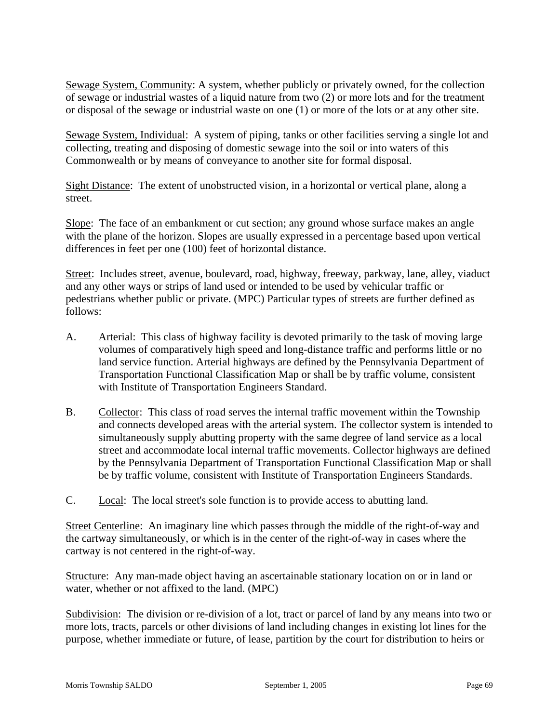Sewage System, Community: A system, whether publicly or privately owned, for the collection of sewage or industrial wastes of a liquid nature from two (2) or more lots and for the treatment or disposal of the sewage or industrial waste on one (1) or more of the lots or at any other site.

Sewage System, Individual: A system of piping, tanks or other facilities serving a single lot and collecting, treating and disposing of domestic sewage into the soil or into waters of this Commonwealth or by means of conveyance to another site for formal disposal.

Sight Distance: The extent of unobstructed vision, in a horizontal or vertical plane, along a street.

Slope: The face of an embankment or cut section; any ground whose surface makes an angle with the plane of the horizon. Slopes are usually expressed in a percentage based upon vertical differences in feet per one (100) feet of horizontal distance.

Street: Includes street, avenue, boulevard, road, highway, freeway, parkway, lane, alley, viaduct and any other ways or strips of land used or intended to be used by vehicular traffic or pedestrians whether public or private. (MPC) Particular types of streets are further defined as follows:

- A. Arterial: This class of highway facility is devoted primarily to the task of moving large volumes of comparatively high speed and long-distance traffic and performs little or no land service function. Arterial highways are defined by the Pennsylvania Department of Transportation Functional Classification Map or shall be by traffic volume, consistent with Institute of Transportation Engineers Standard.
- B. Collector: This class of road serves the internal traffic movement within the Township and connects developed areas with the arterial system. The collector system is intended to simultaneously supply abutting property with the same degree of land service as a local street and accommodate local internal traffic movements. Collector highways are defined by the Pennsylvania Department of Transportation Functional Classification Map or shall be by traffic volume, consistent with Institute of Transportation Engineers Standards.
- C. Local: The local street's sole function is to provide access to abutting land.

Street Centerline: An imaginary line which passes through the middle of the right-of-way and the cartway simultaneously, or which is in the center of the right-of-way in cases where the cartway is not centered in the right-of-way.

Structure: Any man-made object having an ascertainable stationary location on or in land or water, whether or not affixed to the land. (MPC)

Subdivision: The division or re-division of a lot, tract or parcel of land by any means into two or more lots, tracts, parcels or other divisions of land including changes in existing lot lines for the purpose, whether immediate or future, of lease, partition by the court for distribution to heirs or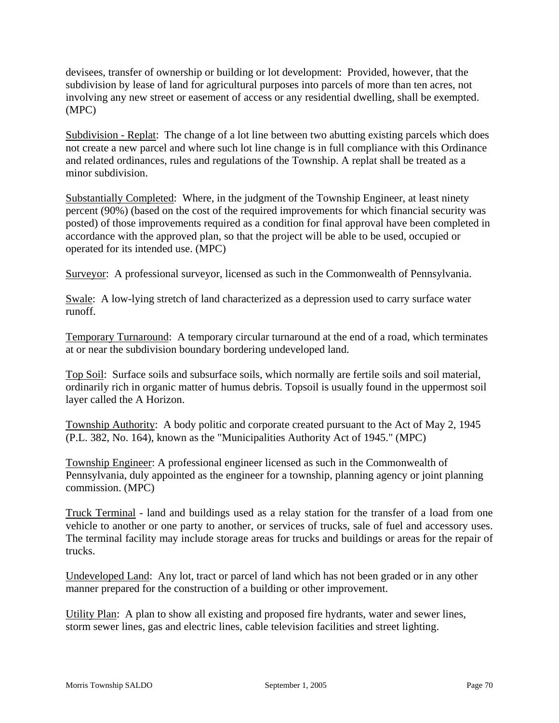devisees, transfer of ownership or building or lot development: Provided, however, that the subdivision by lease of land for agricultural purposes into parcels of more than ten acres, not involving any new street or easement of access or any residential dwelling, shall be exempted. (MPC)

Subdivision - Replat: The change of a lot line between two abutting existing parcels which does not create a new parcel and where such lot line change is in full compliance with this Ordinance and related ordinances, rules and regulations of the Township. A replat shall be treated as a minor subdivision.

Substantially Completed: Where, in the judgment of the Township Engineer, at least ninety percent (90%) (based on the cost of the required improvements for which financial security was posted) of those improvements required as a condition for final approval have been completed in accordance with the approved plan, so that the project will be able to be used, occupied or operated for its intended use. (MPC)

Surveyor: A professional surveyor, licensed as such in the Commonwealth of Pennsylvania.

Swale: A low-lying stretch of land characterized as a depression used to carry surface water runoff.

Temporary Turnaround: A temporary circular turnaround at the end of a road, which terminates at or near the subdivision boundary bordering undeveloped land.

Top Soil: Surface soils and subsurface soils, which normally are fertile soils and soil material, ordinarily rich in organic matter of humus debris. Topsoil is usually found in the uppermost soil layer called the A Horizon.

Township Authority: A body politic and corporate created pursuant to the Act of May 2, 1945 (P.L. 382, No. 164), known as the "Municipalities Authority Act of 1945." (MPC)

Township Engineer: A professional engineer licensed as such in the Commonwealth of Pennsylvania, duly appointed as the engineer for a township, planning agency or joint planning commission. (MPC)

Truck Terminal - land and buildings used as a relay station for the transfer of a load from one vehicle to another or one party to another, or services of trucks, sale of fuel and accessory uses. The terminal facility may include storage areas for trucks and buildings or areas for the repair of trucks.

Undeveloped Land: Any lot, tract or parcel of land which has not been graded or in any other manner prepared for the construction of a building or other improvement.

Utility Plan: A plan to show all existing and proposed fire hydrants, water and sewer lines, storm sewer lines, gas and electric lines, cable television facilities and street lighting.